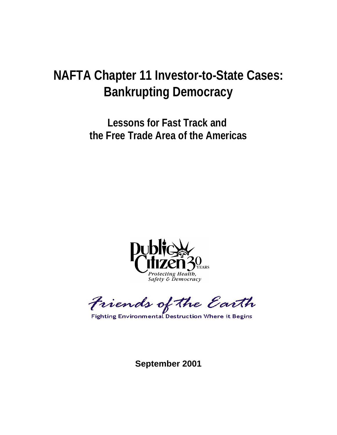# **NAFTA Chapter 11 Investor-to-State Cases: Bankrupting Democracy**

**Lessons for Fast Track and the Free Trade Area of the Americas**



Friends of the Earth

**Fighting Environmental Destruction Where it Begins** 

**September 2001**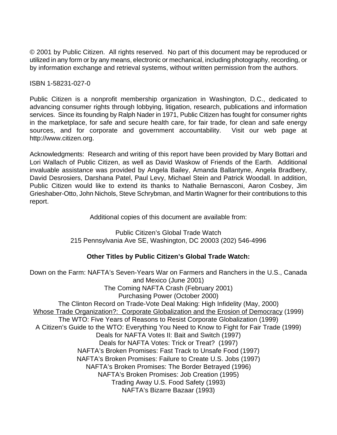© 2001 by Public Citizen. All rights reserved. No part of this document may be reproduced or utilized in any form or by any means, electronic or mechanical, including photography, recording, or by information exchange and retrieval systems, without written permission from the authors.

ISBN 1-58231-027-0

Public Citizen is a nonprofit membership organization in Washington, D.C., dedicated to advancing consumer rights through lobbying, litigation, research, publications and information services. Since its founding by Ralph Nader in 1971, Public Citizen has fought for consumer rights in the marketplace, for safe and secure health care, for fair trade, for clean and safe energy sources, and for corporate and government accountability. Visit our web page at http://www.citizen.org.

Acknowledgments: Research and writing of this report have been provided by Mary Bottari and Lori Wallach of Public Citizen, as well as David Waskow of Friends of the Earth. Additional invaluable assistance was provided by Angela Bailey, Amanda Ballantyne, Angela Bradbery, David Desrosiers, Darshana Patel, Paul Levy, Michael Stein and Patrick Woodall. In addition, Public Citizen would like to extend its thanks to Nathalie Bernasconi, Aaron Cosbey, Jim Grieshaber-Otto, John Nichols, Steve Schrybman, and Martin Wagner for their contributions to this report.

Additional copies of this document are available from:

Public Citizen's Global Trade Watch 215 Pennsylvania Ave SE, Washington, DC 20003 (202) 546-4996

### **Other Titles by Public Citizen's Global Trade Watch:**

Down on the Farm: NAFTA's Seven-Years War on Farmers and Ranchers in the U.S., Canada and Mexico (June 2001) The Coming NAFTA Crash (February 2001) Purchasing Power (October 2000) The Clinton Record on Trade-Vote Deal Making: High Infidelity (May, 2000) Whose Trade Organization?: Corporate Globalization and the Erosion of Democracy (1999) The WTO: Five Years of Reasons to Resist Corporate Globalization (1999) A Citizen's Guide to the WTO: Everything You Need to Know to Fight for Fair Trade (1999) Deals for NAFTA Votes II: Bait and Switch (1997) Deals for NAFTA Votes: Trick or Treat? (1997) NAFTA's Broken Promises: Fast Track to Unsafe Food (1997) NAFTA's Broken Promises: Failure to Create U.S. Jobs (1997) NAFTA's Broken Promises: The Border Betrayed (1996) NAFTA's Broken Promises: Job Creation (1995) Trading Away U.S. Food Safety (1993) NAFTA's Bizarre Bazaar (1993)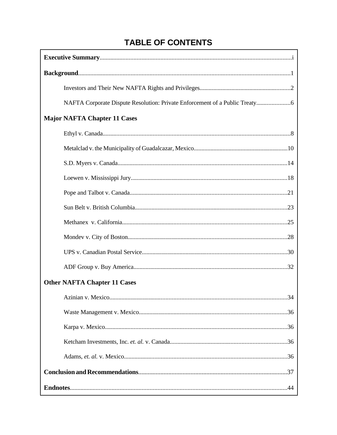# **TABLE OF CONTENTS**

 $\mathbf{r}$ 

| <b>Major NAFTA Chapter 11 Cases</b> |  |  |  |  |  |
|-------------------------------------|--|--|--|--|--|
|                                     |  |  |  |  |  |
|                                     |  |  |  |  |  |
|                                     |  |  |  |  |  |
|                                     |  |  |  |  |  |
|                                     |  |  |  |  |  |
|                                     |  |  |  |  |  |
|                                     |  |  |  |  |  |
|                                     |  |  |  |  |  |
|                                     |  |  |  |  |  |
|                                     |  |  |  |  |  |
| <b>Other NAFTA Chapter 11 Cases</b> |  |  |  |  |  |
| 34                                  |  |  |  |  |  |
|                                     |  |  |  |  |  |
|                                     |  |  |  |  |  |
|                                     |  |  |  |  |  |
|                                     |  |  |  |  |  |
|                                     |  |  |  |  |  |
|                                     |  |  |  |  |  |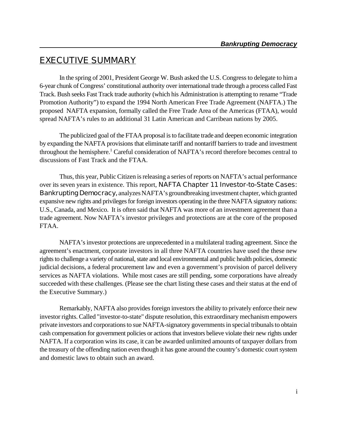# **EXECUTIVE SUMMARY**

In the spring of 2001, President George W. Bush asked the U.S. Congress to delegate to him a 6-year chunk of Congress' constitutional authority over international trade through a process called Fast Track. Bush seeks Fast Track trade authority (which his Administration is attempting to rename "Trade Promotion Authority") to expand the 1994 North American Free Trade Agreement (NAFTA.) The proposed NAFTA expansion, formally called the Free Trade Area of the Americas (FTAA), would spread NAFTA's rules to an additional 31 Latin American and Carribean nations by 2005.

The publicized goal of the FTAA proposal is to facilitate trade and deepen economic integration by expanding the NAFTA provisions that eliminate tariff and nontariff barriers to trade and investment throughout the hemisphere.<sup>1</sup> Careful consideration of NAFTA's record therefore becomes central to discussions of Fast Track and the FTAA.

Thus, this year, Public Citizen is releasing a series of reports on NAFTA's actual performance over its seven years in existence. This report, **NAFTA Chapter 11 Investor-to-State Cases: Bankrupting Democracy,** analyzes NAFTA's groundbreaking investment chapter, which granted expansive new rights and privileges for foreign investors operating in the three NAFTA signatory nations: U.S., Canada, and Mexico. It is often said that NAFTA was more of an investment agreement than a trade agreement. Now NAFTA's investor privileges and protections are at the core of the proposed FTAA.

NAFTA's investor protections are unprecedented in a multilateral trading agreement. Since the agreement's enactment, corporate investors in all three NAFTA countries have used the these new rights to challenge a variety of national, state and local environmental and public health policies, domestic judicial decisions, a federal procurement law and even a government's provision of parcel delivery services as NAFTA violations. While most cases are still pending, some corporations have already succeeded with these challenges. (Please see the chart listing these cases and their status at the end of the Executive Summary.)

Remarkably, NAFTA also provides foreign investors the ability to privately enforce their new investor rights. Called "investor-to-state" dispute resolution, this extraordinary mechanism empowers private investors and corporations to sue NAFTA-signatory governments in special tribunals to obtain cash compensation for government policies or actions that investors believe violate their new rights under NAFTA. If a corporation wins its case, it can be awarded unlimited amounts of taxpayer dollars from the treasury of the offending nation even though it has gone around the country's domestic court system and domestic laws to obtain such an award.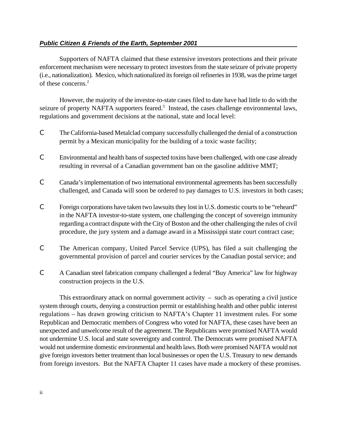#### *Public Citizen & Friends of the Earth, September 2001*

Supporters of NAFTA claimed that these extensive investors protections and their private enforcement mechanism were necessary to protect investors from the state seizure of private property (i.e., nationalization). Mexico, which nationalized its foreign oil refineries in 1938, was the prime target of these concerns.<sup>2</sup>

However, the majority of the investor-to-state cases filed to date have had little to do with the seizure of property NAFTA supporters feared.<sup>3</sup> Instead, the cases challenge environmental laws, regulations and government decisions at the national, state and local level:

- C The California-based Metalclad company successfully challenged the denial of a construction permit by a Mexican municipality for the building of a toxic waste facility;
- C Environmental and health bans of suspected toxins have been challenged, with one case already resulting in reversal of a Canadian government ban on the gasoline additive MMT;
- C Canada's implementation of two international environmental agreements has been successfully challenged, and Canada will soon be ordered to pay damages to U.S. investors in both cases;
- C Foreign corporations have taken two lawsuits they lost in U.S. domestic courts to be "reheard" in the NAFTA investor-to-state system, one challenging the concept of sovereign immunity regarding a contract dispute with the City of Boston and the other challenging the rules of civil procedure, the jury system and a damage award in a Mississippi state court contract case;
- C The American company, United Parcel Service (UPS), has filed a suit challenging the governmental provision of parcel and courier services by the Canadian postal service; and
- C A Canadian steel fabrication company challenged a federal "Buy America" law for highway construction projects in the U.S.

This extraordinary attack on normal government activity – such as operating a civil justice system through courts, denying a construction permit or establishing health and other public interest regulations – has drawn growing criticism to NAFTA's Chapter 11 investment rules. For some Republican and Democratic members of Congress who voted for NAFTA, these cases have been an unexpected and unwelcome result of the agreement. The Republicans were promised NAFTA would not undermine U.S. local and state sovereignty and control. The Democrats were promised NAFTA would not undermine domestic environmental and health laws. Both were promised NAFTA would not give foreign investors better treatment than local businesses or open the U.S. Treasury to new demands from foreign investors. But the NAFTA Chapter 11 cases have made a mockery of these promises.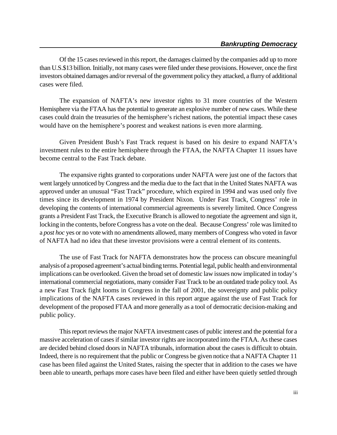Of the 15 cases reviewed in this report, the damages claimed by the companies add up to more than U.S.\$13 billion. Initially, not many cases were filed under these provisions. However, once the first investors obtained damages and/or reversal of the government policy they attacked, a flurry of additional cases were filed.

The expansion of NAFTA's new investor rights to 31 more countries of the Western Hemisphere via the FTAA has the potential to generate an explosive number of new cases. While these cases could drain the treasuries of the hemisphere's richest nations, the potential impact these cases would have on the hemisphere's poorest and weakest nations is even more alarming.

Given President Bush's Fast Track request is based on his desire to expand NAFTA's investment rules to the entire hemisphere through the FTAA, the NAFTA Chapter 11 issues have become central to the Fast Track debate.

The expansive rights granted to corporations under NAFTA were just one of the factors that went largely unnoticed by Congress and the media due to the fact that in the United States NAFTA was approved under an unusual "Fast Track" procedure, which expired in 1994 and was used only five times since its development in 1974 by President Nixon. Under Fast Track, Congress' role in developing the contents of international commercial agreements is severely limited. Once Congress grants a President Fast Track, the Executive Branch is allowed to negotiate the agreement and sign it, locking in the contents, before Congress has a vote on the deal. Because Congress' role was limited to a *post hoc* yes or no vote with no amendments allowed, many members of Congress who voted in favor of NAFTA had no idea that these investor provisions were a central element of its contents.

The use of Fast Track for NAFTA demonstrates how the process can obscure meaningful analysis of a proposed agreement's actual binding terms. Potential legal, public health and environmental implications can be overlooked. Given the broad set of domestic law issues now implicated in today's international commercial negotiations, many consider Fast Track to be an outdated trade policy tool. As a new Fast Track fight looms in Congress in the fall of 2001, the sovereignty and public policy implications of the NAFTA cases reviewed in this report argue against the use of Fast Track for development of the proposed FTAA and more generally as a tool of democratic decision-making and public policy.

This report reviews the major NAFTA investment cases of public interest and the potential for a massive acceleration of cases if similar investor rights are incorporated into the FTAA. As these cases are decided behind closed doors in NAFTA tribunals, information about the cases is difficult to obtain. Indeed, there is no requirement that the public or Congress be given notice that a NAFTA Chapter 11 case has been filed against the United States, raising the specter that in addition to the cases we have been able to unearth, perhaps more cases have been filed and either have been quietly settled through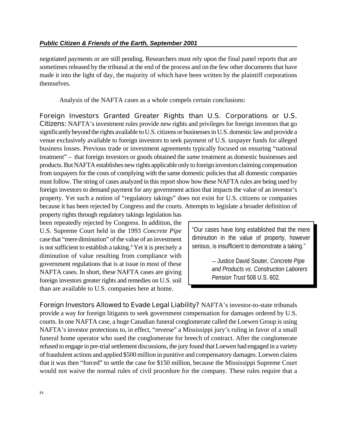negotiated payments or are still pending. Researchers must rely upon the final panel reports that are sometimes released by the tribunal at the end of the process and on the few other documents that have made it into the light of day, the majority of which have been written by the plaintiff corporations themselves.

Analysis of the NAFTA cases as a whole compels certain conclusions:

**Foreign Investors Granted Greater Rights than U.S. Corporations or U.S. Citizens:** NAFTA's investment rules provide new rights and privileges for foreign investors that go significantly beyond the rights available to U.S. citizens or businesses in U.S. domestic law and provide a venue exclusively available to foreign investors to seek payment of U.S. taxpayer funds for alleged business losses. Previous trade or investment agreements typically focused on ensuring "national treatment" – that foreign investors or goods obtained the *same* treatment as domestic businesses and products. ButNAFTA establishes new rights applicable only to foreign investors claiming compensation from taxpayers for the costs of complying with the same domestic policies that all domestic companies must follow. The string of cases analyzed in this report show how these NAFTA rules are being used by foreign investors to demand payment for any government action that impacts the value of an investor's property. Yet such a notion of "regulatory takings" does not exist for U.S. citizens or companies because it has been rejected by Congress and the courts. Attempts to legislate a broader definition of

property rights through regulatory takings legislation has been repeatedly rejected by Congress. In addition, the U.S. Supreme Court held in the 1993 *Concrete Pipe* case that "mere diminution" of the value of an investment is not sufficient to establish a taking.<sup>4</sup> Yet it is precisely a diminution of value resulting from compliance with government regulations that is at issue in most of these NAFTA cases. In short, these NAFTA cases are giving foreign investors greater rights and remedies on U.S. soil than are available to U.S. companies here at home.

"Our cases have long established that the mere diminution in the value of property, however serious, is insufficient to demonstrate a taking."

> — Justice David Souter, *Concrete Pipe and Products vs. Construction Laborers Pension Trust* 508 U.S. 602*.*

**Foreign Investors Allowed to Evade Legal Liability?** NAFTA's investor-to-state tribunals provide a way for foreign litigants to seek government compensation for damages ordered by U.S. courts. In one NAFTA case, a huge Canadian funeral conglomerate called the Loewen Group is using NAFTA's investor protections to, in effect, "reverse" a Mississippi jury's ruling in favor of a small funeral home operator who sued the conglomerate for breech of contract. After the conglomerate refused to engage in pre-trial settlement discussions, the jury found that Loewen had engaged in a variety offraudulent actions and applied \$500 million in punitive and compensatory damages. Loewen claims that it was then "forced" to settle the case for \$150 million, because the Mississippi Supreme Court would not waive the normal rules of civil procedure for the company. These rules require that a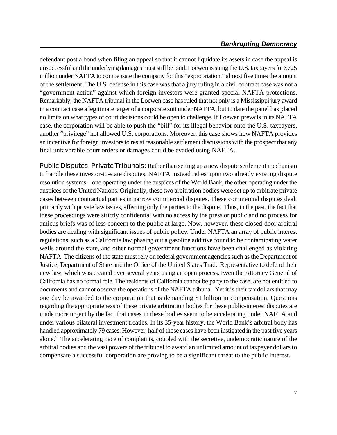defendant post a bond when filing an appeal so that it cannot liquidate its assets in case the appeal is unsuccessful and the underlying damages must still be paid. Loewen is suing the U.S. taxpayers for \$725 million under NAFTA to compensate the company for this "expropriation," almost five times the amount of the settlement. The U.S. defense in this case was that a jury ruling in a civil contract case was not a "government action" against which foreign investors were granted special NAFTA protections. Remarkably, the NAFTA tribunal in the Loewen case has ruled that not only is a Mississippi jury award in a contract case a legitimate target of a corporate suit under NAFTA, but to date the panel has placed no limits on what types of court decisions could be open to challenge. If Loewen prevails in its NAFTA case, the corporation will be able to push the "bill" for its illegal behavior onto the U.S. taxpayers, another "privilege" not allowed U.S. corporations. Moreover, this case shows how NAFTA provides an incentive for foreign investors to resist reasonable settlement discussions with the prospect that any final unfavorable court orders or damages could be evaded using NAFTA.

**Public Disputes, Private Tribunals:** Rather than setting up a new dispute settlement mechanism to handle these investor-to-state disputes, NAFTA instead relies upon two already existing dispute resolution systems – one operating under the auspices of the World Bank, the other operating under the auspices of the United Nations. Originally, these two arbitration bodies were set up to arbitrate private cases between contractual parties in narrow commercial disputes. These commercial disputes dealt primarily with private law issues, affecting only the parties to the dispute. Thus, in the past, the fact that these proceedings were strictly confidential with no access by the press or public and no process for amicus briefs was of less concern to the public at large. Now, however, these closed-door arbitral bodies are dealing with significant issues of public policy. Under NAFTA an array of public interest regulations, such as a California law phasing out a gasoline additive found to be contaminating water wells around the state, and other normal government functions have been challenged as violating NAFTA. The citizens of the state must rely on federal government agencies such as the Department of Justice, Department of State and the Office of the United States Trade Representative to defend their new law, which was created over several years using an open process. Even the Attorney General of California has no formal role. The residents of California cannot be party to the case, are not entitled to documents and cannot observe the operations of the NAFTA tribunal. Yet it is their tax dollars that may one day be awarded to the corporation that is demanding \$1 billion in compensation. Questions regarding the appropriateness of these private arbitration bodies for these public-interest disputes are made more urgent by the fact that cases in these bodies seem to be accelerating under NAFTA and under various bilateral investment treaties. In its 35-year history, the World Bank's arbitral body has handled approximately 79 cases. However, half of those cases have been instigated in the past five years alone.<sup>5</sup> The accelerating pace of complaints, coupled with the secretive, undemocratic nature of the arbitral bodies and the vast powers of the tribunal to award an unlimited amount of taxpayer dollars to compensate a successful corporation are proving to be a significant threat to the public interest.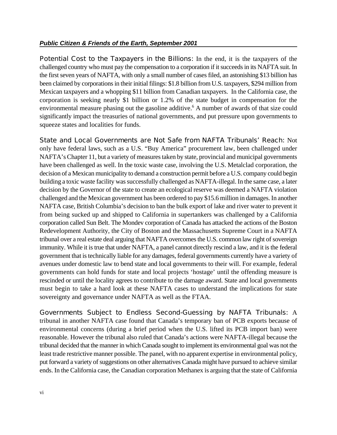**Potential Cost to the Taxpayers in the Billions:** In the end, it is the taxpayers of the challenged country who must pay the compensation to a corporation if it succeeds in its NAFTA suit. In the first seven years of NAFTA, with only a small number of cases filed, an astonishing \$13 billion has been claimed by corporations in their initial filings: \$1.8 billion from U.S. taxpayers, \$294 million from Mexican taxpayers and a whopping \$11 billion from Canadian taxpayers. In the California case, the corporation is seeking nearly \$1 billion or 1.2% of the state budget in compensation for the environmental measure phasing out the gasoline additive.<sup>6</sup> A number of awards of that size could significantly impact the treasuries of national governments, and put pressure upon governments to squeeze states and localities for funds.

**State and Local Governments are Not Safe from NAFTA Tribunals' Reach:** Not only have federal laws, such as a U.S. "Buy America" procurement law, been challenged under NAFTA's Chapter 11, but a variety of measures taken by state, provincial and municipal governments have been challenged as well. In the toxic waste case, involving the U.S. Metalclad corporation, the decision of a Mexican municipality to demand a construction permit before a U.S. company could begin building a toxic waste facility was successfully challenged as NAFTA-illegal. In the same case, a later decision by the Governor of the state to create an ecological reserve was deemed a NAFTA violation challenged and the Mexican government has been ordered to pay \$15.6 million in damages. In another NAFTA case, British Columbia's decision to ban the bulk export of lake and river water to prevent it from being sucked up and shipped to California in supertankers was challenged by a California corporation called Sun Belt. The Mondev corporation of Canada has attacked the actions of the Boston Redevelopment Authority, the City of Boston and the Massachusetts Supreme Court in a NAFTA tribunal over a real estate deal arguing that NAFTA overcomes the U.S. common law right of sovereign immunity. While it is true that under NAFTA, a panel cannot directly rescind a law, and it is the federal government that is technically liable for any damages, federal governments currently have a variety of avenues under domestic law to bend state and local governments to their will. For example, federal governments can hold funds for state and local projects 'hostage' until the offending measure is rescinded or until the locality agrees to contribute to the damage award. State and local governments must begin to take a hard look at these NAFTA cases to understand the implications for state sovereignty and governance under NAFTA as well as the FTAA.

**Governments Subject to Endless Second-Guessing by NAFTA Tribunals:** A tribunal in another NAFTA case found that Canada's temporary ban of PCB exports because of environmental concerns (during a brief period when the U.S. lifted its PCB import ban) were reasonable. However the tribunal also ruled that Canada's actions were NAFTA-illegal because the tribunal decided that the manner in which Canada sought to implement its environmental goal was not the least trade restrictive manner possible. The panel, with no apparent expertise in environmental policy, put forward a variety of suggestions on other alternatives Canada might have pursued to achieve similar ends. In the California case, the Canadian corporation Methanex is arguing that the state of California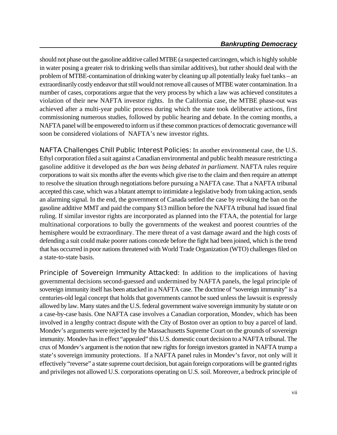should not phase out the gasoline additive called MTBE (a suspected carcinogen, which is highly soluble in water posing a greater risk to drinking wells than similar additives), but rather should deal with the problem of MTBE-contamination of drinking water by cleaning up all potentially leaky fuel tanks – an extraordinarily costly endeavor that still would not remove all causes of MTBE water contamination. In a number of cases, corporations argue that the very process by which a law was achieved constitutes a violation of their new NAFTA investor rights. In the California case, the MTBE phase-out was achieved after a multi-year public process during which the state took deliberative actions, first commissioning numerous studies, followed by public hearing and debate. In the coming months, a NAFTA panel will be empowered to inform us if these common practices of democratic governance will soon be considered violations of NAFTA's new investor rights.

**NAFTA Challenges Chill Public Interest Policies:** In another environmental case, the U.S. Ethyl corporation filed a suit against a Canadian environmental and public health measure restricting a gasoline additive it developed *as the ban was being debated in parliament*. NAFTA rules require corporations to wait six months after the events which give rise to the claim and then require an attempt to resolve the situation through negotiations before pursuing a NAFTA case. That a NAFTA tribunal accepted this case, which was a blatant attempt to intimidate a legislative body from taking action, sends an alarming signal. In the end, the government of Canada settled the case by revoking the ban on the gasoline additive MMT and paid the company \$13 million before the NAFTA tribunal had issued final ruling. If similar investor rights are incorporated as planned into the FTAA, the potential for large multinational corporations to bully the governments of the weakest and poorest countries of the hemisphere would be extraordinary. The mere threat of a vast damage award and the high costs of defending a suit could make poorer nations concede before the fight had been joined, which is the trend that has occurred in poor nations threatened with World Trade Organization (WTO) challenges filed on a state-to-state basis.

**Principle of Sovereign Immunity Attacked:** In addition to the implications of having governmental decisions second-guessed and undermined by NAFTA panels, the legal principle of sovereign immunity itself has been attacked in a NAFTA case. The doctrine of "sovereign immunity" is a centuries-old legal concept that holds that governments cannot be sued unless the lawsuit is expressly allowed by law.Many states and the U.S. federal government waive sovereign immunity by statute or on a case-by-case basis. One NAFTA case involves a Canadian corporation, Mondev, which has been involved in a lengthy contract dispute with the City of Boston over an option to buy a parcel of land. Mondev's arguments were rejected by the Massachusetts Supreme Court on the grounds of sovereign immunity. Mondev has in effect "appealed" this U.S. domestic court decision to a NAFTA tribunal. The crux of Mondev's argument is the notion that new rights for foreign investors granted in NAFTA trump a state's sovereign immunity protections. If a NAFTA panel rules in Mondev's favor, not only will it effectively "reverse" a state supreme court decision, but again foreign corporations will be granted rights and privileges not allowed U.S. corporations operating on U.S. soil. Moreover, a bedrock principle of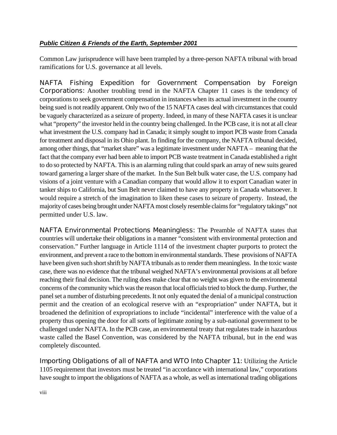Common Law jurisprudence will have been trampled by a three-person NAFTA tribunal with broad ramifications for U.S. governance at all levels.

**NAFTA Fishing Expedition for Government Compensation by Foreign Corporations:** Another troubling trend in the NAFTA Chapter 11 cases is the tendency of corporations to seek government compensation in instances when its actual investment in the country being sued is not readily apparent. Only two of the 15 NAFTA cases deal with circumstances that could be vaguely characterized as a seizure of property. Indeed, in many of these NAFTA cases it is unclear what "property" the investor held in the country being challenged. In the PCB case, it is not at all clear what investment the U.S. company had in Canada; it simply sought to import PCB waste from Canada for treatment and disposal in its Ohio plant. In finding for the company, the NAFTA tribunal decided, among other things, that "market share" was a legitimate investment under NAFTA – meaning that the fact that the company ever had been able to import PCB waste treatment in Canada established a right to do so protected by NAFTA. This is an alarming ruling that could spark an array of new suits geared toward garnering a larger share of the market. In the Sun Belt bulk water case, the U.S. company had visions of a joint venture with a Canadian company that would allow it to export Canadian water in tanker ships to California, but Sun Belt never claimed to have any property in Canada whatsoever. It would require a stretch of the imagination to liken these cases to seizure of property. Instead, the majority of cases being brought under NAFTAmost closely resemble claims for "regulatory takings" not permitted under U.S. law.

**NAFTA Environmental Protections Meaningless:** The Preamble of NAFTA states that countries will undertake their obligations in a manner "consistent with environmental protection and conservation." Further language in Article 1114 of the investment chapter purports to protect the environment, and prevent a race to the bottom in environmental standards. These provisions of NAFTA have been given such short shrift by NAFTA tribunals as to render them meaningless. In the toxic waste case, there was no evidence that the tribunal weighed NAFTA's environmental provisions at all before reaching their final decision. The ruling does make clear that no weight was given to the environmental concerns of the community which was the reason that local officials tried to block the dump. Further, the panel set a number of disturbing precedents. It not only equated the denial of a municipal construction permit and the creation of an ecological reserve with an "expropriation" under NAFTA, but it broadened the definition of expropriations to include "incidental" interference with the value of a property thus opening the door for all sorts of legitimate zoning by a sub-national government to be challenged under NAFTA. In the PCB case, an environmental treaty that regulates trade in hazardous waste called the Basel Convention, was considered by the NAFTA tribunal, but in the end was completely discounted.

**Importing Obligations of all of NAFTA and WTO Into Chapter 11:** Utilizing the Article 1105 requirement that investors must be treated "in accordance with international law," corporations have sought to import the obligations of NAFTA as a whole, as well as international trading obligations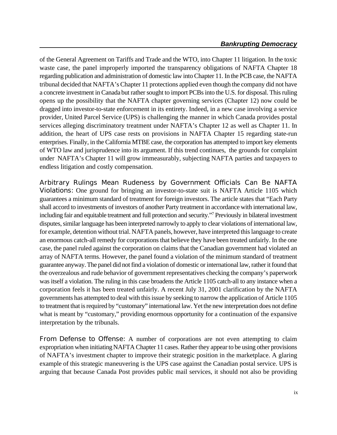of the General Agreement on Tariffs and Trade and the WTO, into Chapter 11 litigation. In the toxic waste case, the panel improperly imported the transparency obligations of NAFTA Chapter 18 regarding publication and administration of domestic law into Chapter 11. In the PCB case, the NAFTA tribunal decided that NAFTA's Chapter 11 protections applied even though the company did not have a concrete investment in Canada but rather sought to import PCBs into the U.S. for disposal. This ruling opens up the possibility that the NAFTA chapter governing services (Chapter 12) now could be dragged into investor-to-state enforcement in its entirety. Indeed, in a new case involving a service provider, United Parcel Service (UPS) is challenging the manner in which Canada provides postal services alleging discriminatory treatment under NAFTA's Chapter 12 as well as Chapter 11. In addition, the heart of UPS case rests on provisions in NAFTA Chapter 15 regarding state-run enterprises. Finally, in the California MTBE case, the corporation has attempted to import key elements of WTO law and jurisprudence into its argument. If this trend continues, the grounds for complaint under NAFTA's Chapter 11 will grow immeasurably, subjecting NAFTA parties and taxpayers to endless litigation and costly compensation.

**Arbitrary Rulings Mean Rudeness by Government Officials Can Be NAFTA Violations:** One ground for bringing an investor-to-state suit is NAFTA Article 1105 which guarantees a minimum standard of treatment for foreign investors. The article states that "Each Party shall accord to investments of investors of another Party treatment in accordance with international law, including fair and equitable treatment and full protection and security."<sup>7</sup> Previously in bilateral investment disputes, similar language has been interpreted narrowly to apply to clear violations of international law, for example, detention without trial. NAFTA panels, however, have interpreted this language to create an enormous catch-all remedy for corporations that believe they have been treated unfairly. In the one case, the panel ruled against the corporation on claims that the Canadian government had violated an array of NAFTA terms. However, the panel found a violation of the minimum standard of treatment guarantee anyway. The panel did not find a violation of domestic or international law, rather it found that the overzealous and rude behavior of government representatives checking the company's paperwork was itself a violation. The ruling in this case broadens the Article 1105 catch-all to any instance when a corporation feels it has been treated unfairly. A recent July 31, 2001 clarification by the NAFTA governments has attempted to deal with this issue by seeking to narrow the application of Article 1105 to treatment that is required by "customary" international law. Yet the new interpretation does not define what is meant by "customary," providing enormous opportunity for a continuation of the expansive interpretation by the tribunals.

**From Defense to Offense:** A number of corporations are not even attempting to claim expropriation when initiating NAFTA Chapter 11 cases. Rather they appear to be using other provisions of NAFTA's investment chapter to improve their strategic position in the marketplace. A glaring example of this strategic maneuvering is the UPS case against the Canadian postal service. UPS is arguing that because Canada Post provides public mail services, it should not also be providing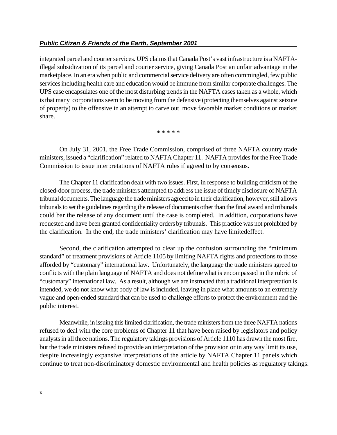integrated parcel and courier services. UPS claims that Canada Post's vast infrastructure is a NAFTAillegal subsidization of its parcel and courier service, giving Canada Post an unfair advantage in the marketplace. In an era when public and commercial service delivery are often commingled, few public services including health care and education would be immune from similar corporate challenges. The UPS case encapsulates one of the most disturbing trends in the NAFTA cases taken as a whole, which is that many corporations seem to be moving from the defensive (protecting themselves against seizure of property) to the offensive in an attempt to carve out move favorable market conditions or market share.

\* \* \* \* \*

On July 31, 2001, the Free Trade Commission, comprised of three NAFTA country trade ministers, issued a "clarification" related to NAFTA Chapter 11. NAFTA provides for the Free Trade Commission to issue interpretations of NAFTA rules if agreed to by consensus.

The Chapter 11 clarification dealt with two issues. First, in response to building criticism of the closed-door process, the trade ministers attempted to address the issue of timely disclosure of NAFTA tribunal documents. The language the trade ministers agreed to in their clarification, however, still allows tribunals to set the guidelines regarding the release of documents other than the final award and tribunals could bar the release of any document until the case is completed. In addition, corporations have requested and have been granted confidentiality orders by tribunals. This practice was not prohibited by the clarification. In the end, the trade ministers' clarification may have limitedeffect.

Second, the clarification attempted to clear up the confusion surrounding the "minimum standard" of treatment provisions of Article 1105 by limiting NAFTA rights and protections to those afforded by "customary" international law. Unfortunately, the language the trade ministers agreed to conflicts with the plain language of NAFTA and does not define what is encompassed in the rubric of "customary" international law. As a result, although we are instructed that a traditional interpretation is intended, we do not know what body of law is included, leaving in place what amounts to an extremely vague and open-ended standard that can be used to challenge efforts to protect the environment and the public interest.

Meanwhile, in issuing this limited clarification, the trade ministers from the three NAFTA nations refused to deal with the core problems of Chapter 11 that have been raised by legislators and policy analysts in all three nations. The regulatory takings provisions of Article 1110 has drawn the most fire, but the trade ministers refused to provide an interpretation of the provision or in any way limit its use, despite increasingly expansive interpretations of the article by NAFTA Chapter 11 panels which continue to treat non-discriminatory domestic environmental and health policies as regulatory takings.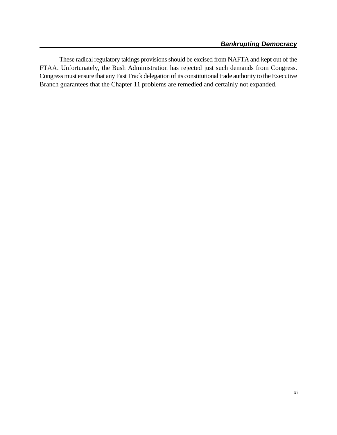These radical regulatory takings provisions should be excised from NAFTA and kept out of the FTAA. Unfortunately, the Bush Administration has rejected just such demands from Congress. Congress must ensure that any Fast Track delegation of its constitutional trade authority to the Executive Branch guarantees that the Chapter 11 problems are remedied and certainly not expanded.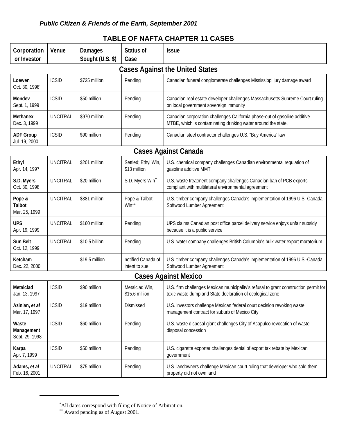| Corporation<br>or Investor               | Venue           | <b>Damages</b><br>Sought (U.S. \$) | <b>Status of</b><br>Case            | <b>Issue</b>                                                                                                                                      |  |  |
|------------------------------------------|-----------------|------------------------------------|-------------------------------------|---------------------------------------------------------------------------------------------------------------------------------------------------|--|--|
| <b>Cases Against the United States</b>   |                 |                                    |                                     |                                                                                                                                                   |  |  |
| Loewen<br>Oct. 30, 1998                  | <b>ICSID</b>    | \$725 million                      | Pending                             | Canadian funeral conglomerate challenges Mississippi jury damage award                                                                            |  |  |
| Mondev<br>Sept. 1, 1999                  | <b>ICSID</b>    | \$50 million                       | Pending                             | Canadian real estate developer challenges Massachusetts Supreme Court ruling<br>on local government sovereign immunity                            |  |  |
| <b>Methanex</b><br>Dec. 3, 1999          | <b>UNCITRAL</b> | \$970 million                      | Pending                             | Canadian corporation challenges California phase-out of gasoline additive<br>MTBE, which is contaminating drinking water around the state.        |  |  |
| <b>ADF Group</b><br>Jul. 19, 2000        | <b>ICSID</b>    | \$90 million                       | Pending                             | Canadian steel contractor challenges U.S. "Buy America" law                                                                                       |  |  |
| <b>Cases Against Canada</b>              |                 |                                    |                                     |                                                                                                                                                   |  |  |
| Ethyl<br>Apr. 14, 1997                   | <b>UNCITRAL</b> | \$201 million                      | Settled; Ethyl Win,<br>\$13 million | U.S. chemical company challenges Canadian environmental regulation of<br>gasoline additive MMT                                                    |  |  |
| S.D. Myers<br>Oct. 30, 1998              | <b>UNCITRAL</b> | \$20 million                       | S.D. Myers Win"                     | U.S. waste treatment company challenges Canadian ban of PCB exports<br>compliant with multilateral environmental agreement                        |  |  |
| Pope &<br><b>Talbot</b><br>Mar. 25, 1999 | <b>UNCITRAL</b> | \$381 million                      | Pope & Talbot<br>Win**              | U.S. timber company challenges Canada's implementation of 1996 U.S.-Canada<br>Softwood Lumber Agreement                                           |  |  |
| <b>UPS</b><br>Apr. 19, 1999              | <b>UNCITRAL</b> | \$160 million                      | Pending                             | UPS claims Canadian post office parcel delivery service enjoys unfair subsidy<br>because it is a public service                                   |  |  |
| Sun Belt<br>Oct. 12, 1999                | <b>UNCITRAL</b> | \$10.5 billion                     | Pending                             | U.S. water company challenges British Columbia's bulk water export moratorium                                                                     |  |  |
| Ketcham<br>Dec. 22, 2000                 |                 | \$19.5 million                     | notified Canada of<br>intent to sue | U.S. timber company challenges Canada's implementation of 1996 U.S.-Canada<br>Softwood Lumber Agreement                                           |  |  |
| <b>Cases Against Mexico</b>              |                 |                                    |                                     |                                                                                                                                                   |  |  |
| Metalclad<br>Jan. 13, 1997               | <b>ICSID</b>    | \$90 million                       | Metalclad Win,<br>\$15.6 million    | U.S. firm challenges Mexican municipality's refusal to grant construction permit for<br>toxic waste dump and State declaration of ecological zone |  |  |
| Azinian, et al<br>Mar. 17, 1997          | <b>ICSID</b>    | \$19 million                       | Dismissed                           | U.S. investors challenge Mexican federal court decision revoking waste<br>management contract for suburb of Mexico City                           |  |  |
| Waste<br>Management<br>Sept. 29, 1998    | <b>ICSID</b>    | \$60 million                       | Pending                             | U.S. waste disposal giant challenges City of Acapulco revocation of waste<br>disposal concession                                                  |  |  |
| Karpa<br>Apr. 7, 1999                    | <b>ICSID</b>    | \$50 million                       | Pending                             | U.S. cigarette exporter challenges denial of export tax rebate by Mexican<br>government                                                           |  |  |
| Adams, et al<br>Feb. 16, 2001            | <b>UNCITRAL</b> | \$75 million                       | Pending                             | U.S. landowners challenge Mexican court ruling that developer who sold them<br>property did not own land                                          |  |  |

### **TABLE OF NAFTA CHAPTER 11 CASES**

All dates correspond with filing of Notice of Arbitration. \*

<sup>\*\*</sup> Award pending as of August 2001.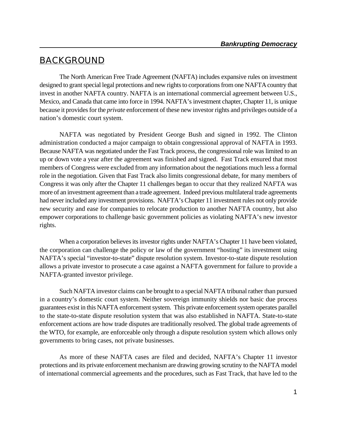# **BACKGROUND**

The North American Free Trade Agreement (NAFTA) includes expansive rules on investment designed to grant special legal protections and new rights to corporations from one NAFTA country that invest in another NAFTA country. NAFTA is an international commercial agreement between U.S., Mexico, and Canada that came into force in 1994. NAFTA's investment chapter, Chapter 11, is unique because it provides for the *private* enforcement of these new investor rights and privileges outside of a nation's domestic court system.

NAFTA was negotiated by President George Bush and signed in 1992. The Clinton administration conducted a major campaign to obtain congressional approval of NAFTA in 1993. Because NAFTA was negotiated under the Fast Track process, the congressional role was limited to an up or down vote a year after the agreement was finished and signed. Fast Track ensured that most members of Congress were excluded from any information about the negotiations much less a formal role in the negotiation. Given that Fast Track also limits congressional debate, for many members of Congress it was only after the Chapter 11 challenges began to occur that they realized NAFTA was more of an investment agreement than a trade agreement. Indeed previous multilateral trade agreements had never included any investment provisions. NAFTA's Chapter 11 investment rules not only provide new security and ease for companies to relocate production to another NAFTA country, but also empower corporations to challenge basic government policies as violating NAFTA's new investor rights.

When a corporation believes its investor rights under NAFTA's Chapter 11 have been violated, the corporation can challenge the policy or law of the government "hosting" its investment using NAFTA's special "investor-to-state" dispute resolution system. Investor-to-state dispute resolution allows a private investor to prosecute a case against a NAFTA government for failure to provide a NAFTA-granted investor privilege.

Such NAFTA investor claims can be brought to a special NAFTA tribunal rather than pursued in a country's domestic court system. Neither sovereign immunity shields nor basic due process guarantees exist in this NAFTA enforcement system. This private enforcement system operates parallel to the state-to-state dispute resolution system that was also established in NAFTA. State-to-state enforcement actions are how trade disputes are traditionally resolved. The global trade agreements of the WTO, for example, are enforceable only through a dispute resolution system which allows only governments to bring cases, not private businesses.

As more of these NAFTA cases are filed and decided, NAFTA's Chapter 11 investor protections and its private enforcement mechanism are drawing growing scrutiny to the NAFTA model of international commercial agreements and the procedures, such as Fast Track, that have led to the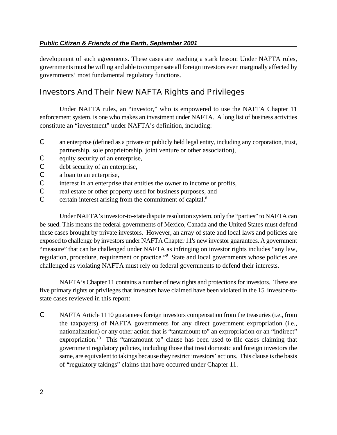development of such agreements. These cases are teaching a stark lesson: Under NAFTA rules, governments must be willing and able to compensate all foreign investors even marginally affected by governments' most fundamental regulatory functions.

# **Investors And Their New NAFTA Rights and Privileges**

Under NAFTA rules, an "investor," who is empowered to use the NAFTA Chapter 11 enforcement system, is one who makes an investment under NAFTA. A long list of business activities constitute an "investment" under NAFTA's definition, including:

- C an enterprise (defined as a private or publicly held legal entity, including any corporation, trust, partnership, sole proprietorship, joint venture or other association),
- C equity security of an enterprise,
- C debt security of an enterprise,
- C a loan to an enterprise,
- C interest in an enterprise that entitles the owner to income or profits,
- C real estate or other property used for business purposes, and
- $\mathcal{C}$  certain interest arising from the commitment of capital.<sup>8</sup>

Under NAFTA's investor-to-state dispute resolution system, only the "parties" to NAFTA can be sued. This means the federal governments of Mexico, Canada and the United States must defend these cases brought by private investors. However, an array of state and local laws and policies are exposed to challenge by investors under NAFTA Chapter 11's new investor guarantees. A government "measure" that can be challenged under NAFTA as infringing on investor rights includes "any law, regulation, procedure, requirement or practice."<sup>9</sup> State and local governments whose policies are challenged as violating NAFTA must rely on federal governments to defend their interests.

NAFTA's Chapter 11 contains a number of new rights and protections for investors. There are five primary rights or privileges that investors have claimed have been violated in the 15 investor-tostate cases reviewed in this report:

C NAFTA Article 1110 guarantees foreign investors compensation from the treasuries (i.e., from the taxpayers) of NAFTA governments for any direct government expropriation (i.e., nationalization) or any other action that is "tantamount to" an expropriation or an "indirect" expropriation.<sup>10</sup> This "tantamount to" clause has been used to file cases claiming that government regulatory policies, including those that treat domestic and foreign investors the same, are equivalent to takings because they restrict investors' actions. This clause is the basis of "regulatory takings" claims that have occurred under Chapter 11.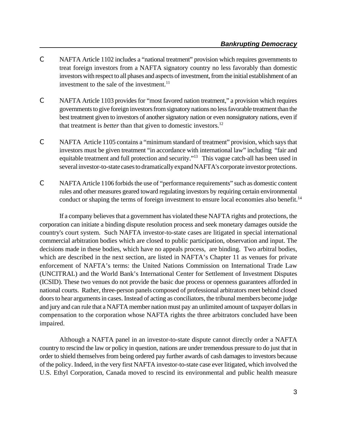- C NAFTA Article 1102 includes a "national treatment" provision which requires governments to treat foreign investors from a NAFTA signatory country no less favorably than domestic investors with respect to all phases and aspects of investment, from the initial establishment of an investment to the sale of the investment. $^{11}$
- C NAFTA Article 1103 provides for "most favored nation treatment," a provision which requires governments to give foreign investors from signatory nations no less favorable treatment than the best treatment given to investors of another signatory nation or even nonsignatory nations, even if that treatment is *better* than that given to domestic investors. 12
- C NAFTA Article 1105 contains a "minimum standard of treatment" provision, which says that investors must be given treatment "in accordance with international law" including "fair and equitable treatment and full protection and security."<sup>13</sup> This vague catch-all has been used in several investor-to-state cases to dramatically expand NAFTA's corporate investor protections.
- C NAFTA Article 1106 forbids the use of "performance requirements" such as domestic content rules and other measures geared toward regulating investors by requiring certain environmental conduct or shaping the terms of foreign investment to ensure local economies also benefit.<sup>14</sup>

If a company believes that a government has violated these NAFTA rights and protections, the corporation can initiate a binding dispute resolution process and seek monetary damages outside the country's court system. Such NAFTA investor-to-state cases are litigated in special international commercial arbitration bodies which are closed to public participation, observation and input. The decisions made in these bodies, which have no appeals process, are binding. Two arbitral bodies, which are described in the next section, are listed in NAFTA's Chapter 11 as venues for private enforcement of NAFTA's terms: the United Nations Commission on International Trade Law (UNCITRAL) and the World Bank's International Center for Settlement of Investment Disputes (ICSID). These two venues do not provide the basic due process or openness guarantees afforded in national courts. Rather, three-person panels composed of professional arbitrators meet behind closed doors to hear arguments in cases. Instead of acting as conciliators, the tribunal members become judge and jury and can rule that a NAFTA member nation must pay an unlimited amount of taxpayer dollars in compensation to the corporation whose NAFTA rights the three arbitrators concluded have been impaired.

Although a NAFTA panel in an investor-to-state dispute cannot directly order a NAFTA country to rescind the law or policy in question, nations are under tremendous pressure to do just that in order to shield themselves from being ordered pay further awards of cash damages to investors because of the policy. Indeed, in the very first NAFTA investor-to-state case ever litigated, which involved the U.S. Ethyl Corporation, Canada moved to rescind its environmental and public health measure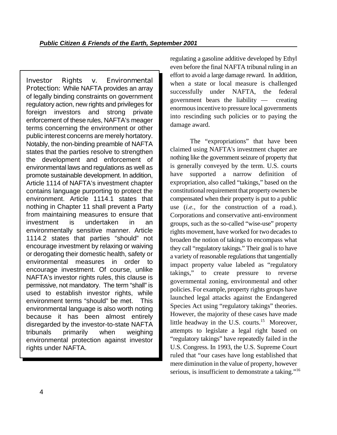**Investor Rights v. Environmental Protection:** While NAFTA provides an array of legally binding constraints on government regulatory action, new rights and privileges for foreign investors and strong private enforcement of these rules, NAFTA's meager terms concerning the environment or other public interest concerns are merely hortatory. Notably, the non-binding preamble of NAFTA states that the parties resolve to strengthen the development and enforcement of environmental laws and regulations as well as promote sustainable development. In addition, Article 1114 of NAFTA's investment chapter contains language purporting to protect the environment. Article 1114.1 states that nothing in Chapter 11 shall prevent a Party from maintaining measures to ensure that investment is undertaken in an environmentally sensitive manner. Article 1114.2 states that parties "should" not encourage investment by relaxing or waiving or derogating their domestic health, safety or environmental measures in order to encourage investment. Of course, unlike NAFTA's investor rights rules, this clause is permissive, not mandatory. The term "shall" is used to establish investor rights, while environment terms "should" be met. This environmental language is also worth noting because it has been almost entirely disregarded by the investor-to-state NAFTA tribunals primarily when weighing environmental protection against investor rights under NAFTA.

regulating a gasoline additive developed by Ethyl even before the final NAFTA tribunal ruling in an effort to avoid a large damage reward. In addition, when a state or local measure is challenged successfully under NAFTA, the federal government bears the liability — creating enormous incentive to pressure local governments into rescinding such policies or to paying the damage award.

The "expropriations" that have been claimed using NAFTA's investment chapter are nothing like the government seizure of property that is generally conveyed by the term. U.S. courts have supported a narrow definition of expropriation, also called "takings," based on the constitutional requirement that property owners be compensated when their property is put to a public use (*i.e.*, for the construction of a road.). Corporations and conservative anti-environment groups, such as the so-called "wise-use" property rights movement, have worked for two decades to broaden the notion of takings to encompass what they call "regulatory takings." Their goal is to have a variety of reasonable regulations that tangentially impact property value labeled as "regulatory takings," to create pressure to reverse governmental zoning, environmental and other policies. For example, property rights groups have launched legal attacks against the Endangered Species Act using "regulatory takings" theories. However, the majority of these cases have made little headway in the U.S. courts.<sup>15</sup> Moreover, attempts to legislate a legal right based on "regulatory takings" have repeatedly failed in the U.S. Congress. In 1993, the U.S. Supreme Court ruled that "our cases have long established that mere diminution in the value of property, however serious, is insufficient to demonstrate a taking."<sup>16</sup>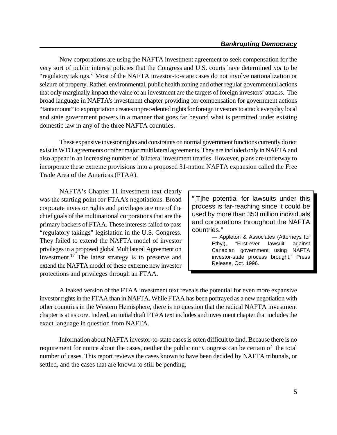Now corporations are using the NAFTA investment agreement to seek compensation for the very sort of public interest policies that the Congress and U.S. courts have determined *not* to be "regulatory takings." Most of the NAFTA investor-to-state cases do not involve nationalization or seizure of property. Rather, environmental, public health zoning and other regular governmental actions that only marginally impact the value of an investment are the targets of foreign investors' attacks. The broad language in NAFTA's investment chapter providing for compensation for government actions "tantamount" to expropriation creates unprecedented rights for foreign investors to attack everyday local and state government powers in a manner that goes far beyond what is permitted under existing domestic law in any of the three NAFTA countries.

These expansive investor rights and constraints on normal government functions currently do not exist in WTO agreements or other major multilateral agreements.They are included only in NAFTA and also appear in an increasing number of bilateral investment treaties. However, plans are underway to incorporate these extreme provisions into a proposed 31-nation NAFTA expansion called the Free Trade Area of the Americas (FTAA).

NAFTA's Chapter 11 investment text clearly was the starting point for FTAA's negotiations. Broad corporate investor rights and privileges are one of the chief goals of the multinational corporations that are the primary backers of FTAA. These interests failed to pass "regulatory takings" legislation in the U.S. Congress. They failed to extend the NAFTA model of investor privilegesin a proposed global Multilateral Agreement on Investment.<sup>17</sup> The latest strategy is to preserve and extend the NAFTA model of these extreme new investor protections and privileges through an FTAA.

"[T]he potential for lawsuits under this process is far-reaching since it could be used by more than 350 million individuals and corporations throughout the NAFTA countries."

> — Appleton & Associates (Attorneys for Ethyl), "First-ever lawsuit against Canadian government using NAFTA investor-state process brought," Press Release, Oct. 1996.

A leaked version of the FTAA investment text reveals the potential for even more expansive investor rights in the FTAA than in NAFTA. While FTAA has been portrayed as a new negotiation with other countries in the Western Hemisphere, there is no question that the radical NAFTA investment chapter is at its core. Indeed, an initial draft FTAA text includes and investment chapter that includes the exact language in question from NAFTA.

Information about NAFTA investor-to-state cases is often difficult to find. Because there is no requirement for notice about the cases, neither the public nor Congress can be certain of the total number of cases. This report reviews the cases known to have been decided by NAFTA tribunals, or settled, and the cases that are known to still be pending.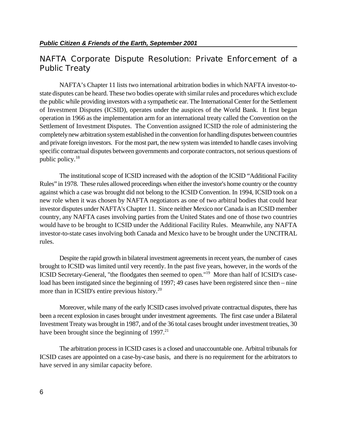# **NAFTA Corporate Dispute Resolution: Private Enforcement of a Public Treaty**

NAFTA's Chapter 11 lists two international arbitration bodies in which NAFTA investor-tostate disputes can be heard. These two bodies operate with similar rules and procedures which exclude the public while providing investors with a sympathetic ear. The International Center for the Settlement of Investment Disputes (ICSID), operates under the auspices of the World Bank. It first began operation in 1966 as the implementation arm for an international treaty called the Convention on the Settlement of Investment Disputes. The Convention assigned ICSID the role of administering the completelynew arbitration system established in the convention for handling disputes between countries and private foreign investors. For the most part, the new system was intended to handle cases involving specific contractual disputes between governments and corporate contractors, not serious questions of public policy. 18

The institutional scope of ICSID increased with the adoption of the ICSID "Additional Facility Rules" in 1978. These rules allowed proceedings when either the investor's home country or the country against which a case was brought did not belong to the ICSID Convention. In 1994, ICSID took on a new role when it was chosen by NAFTA negotiators as one of two arbitral bodies that could hear investor disputes under NAFTA's Chapter 11. Since neither Mexico nor Canada is an ICSID member country, any NAFTA cases involving parties from the United States and one of those two countries would have to be brought to ICSID under the Additional Facility Rules. Meanwhile, any NAFTA investor-to-state cases involving both Canada and Mexico have to be brought under the UNCITRAL rules.

Despite the rapid growth in bilateral investment agreements in recent years, the number of cases brought to ICSID was limited until very recently. In the past five years, however, in the words of the ICSID Secretary-General, "the floodgates then seemed to open."<sup>19</sup> More than half of ICSID's caseload has been instigated since the beginning of 1997; 49 cases have been registered since then – nine more than in ICSID's entire previous history.<sup>20</sup>

Moreover, while many of the early ICSID cases involved private contractual disputes, there has been a recent explosion in cases brought under investment agreements. The first case under a Bilateral Investment Treaty was brought in 1987, and of the 36 total cases brought under investment treaties, 30 have been brought since the beginning of  $1997<sup>21</sup>$ 

The arbitration process in ICSID cases is a closed and unaccountable one. Arbitral tribunals for ICSID cases are appointed on a case-by-case basis, and there is no requirement for the arbitrators to have served in any similar capacity before.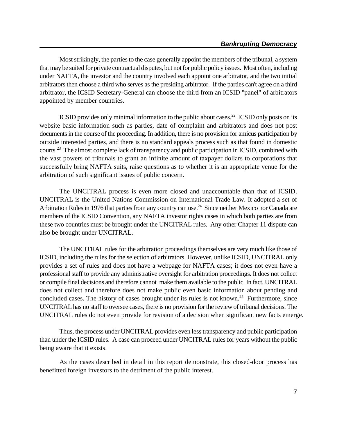Most strikingly, the parties to the case generally appoint the members of the tribunal, a system that may be suited for private contractual disputes, but not for public policy issues. Most often, including under NAFTA, the investor and the country involved each appoint one arbitrator, and the two initial arbitrators then choose a third who serves as the presiding arbitrator. If the parties can't agree on a third arbitrator, the ICSID Secretary-General can choose the third from an ICSID "panel" of arbitrators appointed by member countries.

ICSID provides only minimal information to the public about cases.<sup>22</sup> ICSID only posts on its website basic information such as parties, date of complaint and arbitrators and does not post documents in the course of the proceeding. In addition, there is no provision for amicus participation by outside interested parties, and there is no standard appeals process such as that found in domestic courts.<sup>23</sup> The almost complete lack of transparency and public participation in ICSID, combined with the vast powers of tribunals to grant an infinite amount of taxpayer dollars to corporations that successfully bring NAFTA suits, raise questions as to whether it is an appropriate venue for the arbitration of such significant issues of public concern.

The UNCITRAL process is even more closed and unaccountable than that of ICSID. UNCITRAL is the United Nations Commission on International Trade Law. It adopted a set of Arbitration Rules in 1976 that parties from any country can use.<sup>24</sup> Since neither Mexico nor Canada are members of the ICSID Convention, any NAFTA investor rights cases in which both parties are from these two countries must be brought under the UNCITRAL rules. Any other Chapter 11 dispute can also be brought under UNCITRAL.

The UNCITRAL rules for the arbitration proceedings themselves are very much like those of ICSID, including the rules for the selection of arbitrators. However, unlike ICSID, UNCITRAL only provides a set of rules and does not have a webpage for NAFTA cases; it does not even have a professional staff to provide any administrative oversight for arbitration proceedings. It does not collect or compile final decisions and therefore cannot make them available to the public. In fact, UNCITRAL does not collect and therefore does not make public even basic information about pending and concluded cases. The history of cases brought under its rules is not known.<sup>25</sup> Furthermore, since UNCITRAL has no staff to oversee cases, there is no provision for the review of tribunal decisions. The UNCITRAL rules do not even provide for revision of a decision when significant new facts emerge.

Thus, the process under UNCITRAL provides even less transparency and public participation than under the ICSID rules. A case can proceed under UNCITRAL rules for years without the public being aware that it exists.

As the cases described in detail in this report demonstrate, this closed-door process has benefitted foreign investors to the detriment of the public interest.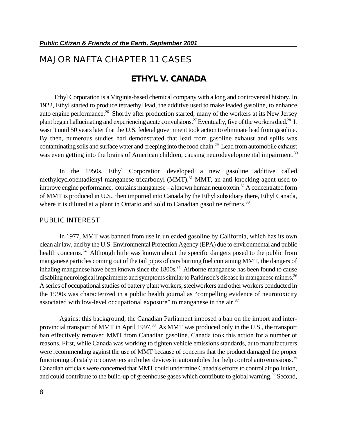# **MAJOR NAFTA CHAPTER 11 CASES**

## **ETHYL V. CANADA**

 Ethyl Corporation is a Virginia-based chemical company with a long and controversial history. In 1922, Ethyl started to produce tetraethyl lead, the additive used to make leaded gasoline, to enhance auto engine performance.<sup>26</sup> Shortly after production started, many of the workers at its New Jersey plant began hallucinating and experiencing acute convulsions.<sup>27</sup> Eventually, five of the workers died.<sup>28</sup> It wasn't until 50 years later that the U.S. federal government took action to eliminate lead from gasoline. By then, numerous studies had demonstrated that lead from gasoline exhaust and spills was contaminating soils and surface water and creeping into the food chain.<sup>29</sup> Lead from automobile exhaust was even getting into the brains of American children, causing neurodevelopmental impairment.<sup>30</sup>

In the 1950s, Ethyl Corporation developed a new gasoline additive called methylcyclopentadienyl manganese tricarbonyl (MMT).<sup>31</sup> MMT, an anti-knocking agent used to improve engine performance, contains manganese – a known human neurotoxin.<sup>32</sup> A concentrated form of MMT is produced in U.S., then imported into Canada by the Ethyl subsidiary there, Ethyl Canada, where it is diluted at a plant in Ontario and sold to Canadian gasoline refiners.<sup>33</sup>

#### **PUBLIC INTEREST**

In 1977, MMT was banned from use in unleaded gasoline by California, which has its own clean air law, and by the U.S. Environmental Protection Agency (EPA) due to environmental and public health concerns.<sup>34</sup> Although little was known about the specific dangers posed to the public from manganese particles coming out of the tail pipes of cars burning fuel containing MMT, the dangers of inhaling manganese have been known since the  $1800s$ .<sup>35</sup> Airborne manganese has been found to cause disabling neurological impairments and symptoms similar to Parkinson's disease in manganese miners.<sup>36</sup> A series of occupational studies of battery plant workers, steelworkers and other workers conducted in the 1990s was characterized in a public health journal as "compelling evidence of neurotoxicity associated with low-level occupational exposure" to manganese in the air. $37$ 

Against this background, the Canadian Parliament imposed a ban on the import and interprovincial transport of MMT in April 1997.<sup>38</sup> As MMT was produced only in the U.S., the transport ban effectively removed MMT from Canadian gasoline. Canada took this action for a number of reasons. First, while Canada was working to tighten vehicle emissions standards, auto manufacturers were recommending against the use of MMT because of concerns that the product damaged the proper functioning of catalytic converters and other devices in automobiles that help control auto emissions.<sup>39</sup> Canadian officials were concerned that MMT could undermine Canada's efforts to control air pollution, and could contribute to the build-up of greenhouse gases which contribute to global warning.<sup>40</sup> Second,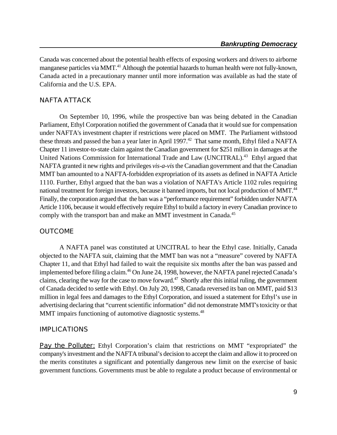Canada was concerned about the potential health effects of exposing workers and drivers to airborne manganese particles via MMT.<sup>41</sup> Although the potential hazards to human health were not fully-known, Canada acted in a precautionary manner until more information was available as had the state of California and the U.S. EPA.

#### **NAFTA ATTACK**

On September 10, 1996, while the prospective ban was being debated in the Canadian Parliament, Ethyl Corporation notified the government of Canada that it would sue for compensation under NAFTA's investment chapter if restrictions were placed on MMT. The Parliament withstood these threats and passed the ban a year later in April 1997.<sup>42</sup> That same month, Ethyl filed a NAFTA Chapter 11 investor-to-state claim against the Canadian government for \$251 million in damages at the United Nations Commission for International Trade and Law (UNCITRAL).<sup>43</sup> Ethyl argued that NAFTA granted it new rights and privileges *vis-a-vis* the Canadian government and that the Canadian MMT ban amounted to a NAFTA-forbidden expropriation of its assets as defined in NAFTA Article 1110. Further, Ethyl argued that the ban was a violation of NAFTA's Article 1102 rules requiring national treatment for foreign investors, because it banned imports, but not local production of MMT.<sup>44</sup> Finally, the corporation argued that the ban was a "performance requirement" forbidden under NAFTA Article 1106, because it would effectively require Ethyl to build a factory in every Canadian province to comply with the transport ban and make an MMT investment in Canada.<sup>45</sup>

#### **OUTCOME**

A NAFTA panel was constituted at UNCITRAL to hear the Ethyl case. Initially, Canada objected to the NAFTA suit, claiming that the MMT ban was not a "measure" covered by NAFTA Chapter 11, and that Ethyl had failed to wait the requisite six months after the ban was passed and implemented before filing a claim.<sup>46</sup> On June 24, 1998, however, the NAFTA panel rejected Canada's claims, clearing the way for the case to move forward. $47$  Shortly after this initial ruling, the government of Canada decided to settle with Ethyl. On July 20, 1998, Canada reversed its ban on MMT, paid \$13 million in legal fees and damages to the Ethyl Corporation, and issued a statement for Ethyl's use in advertising declaring that "current scientific information" did not demonstrate MMT's toxicity or that MMT impairs functioning of automotive diagnostic systems.<sup>48</sup>

#### **IMPLICATIONS**

**Pay the Polluter:** Ethyl Corporation's claim that restrictions on MMT "expropriated" the company's investment and the NAFTA tribunal's decision to accept the claim and allow it to proceed on the merits constitutes a significant and potentially dangerous new limit on the exercise of basic government functions. Governments must be able to regulate a product because of environmental or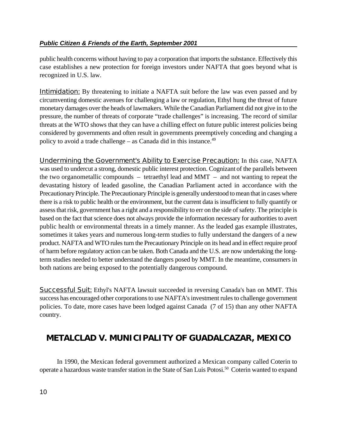public health concerns without having to pay a corporation that imports the substance. Effectively this case establishes a new protection for foreign investors under NAFTA that goes beyond what is recognized in U.S. law.

**Intimidation:** By threatening to initiate a NAFTA suit before the law was even passed and by circumventing domestic avenues for challenging a law or regulation, Ethyl hung the threat of future monetary damages over the heads of lawmakers. While the Canadian Parliament did not give in to the pressure, the number of threats of corporate "trade challenges" is increasing. The record of similar threats at the WTO shows that they can have a chilling effect on future public interest policies being considered by governments and often result in governments preemptively conceding and changing a policy to avoid a trade challenge – as Canada did in this instance. $49$ 

**Undermining the Government's Ability to Exercise Precaution:** In this case, NAFTA was used to undercut a strong, domestic public interest protection. Cognizant of the parallels between the two organometallic compounds  $-$  tetraethyl lead and MMT  $-$  and not wanting to repeat the devastating history of leaded gasoline, the Canadian Parliament acted in accordance with the Precautionary Principle. The Precautionary Principle is generally understood to mean that in cases where there is a risk to public health or the environment, but the current data is insufficient to fully quantify or assess that risk, government has a right and a responsibility to err on the side of safety. The principle is based on the fact that science does not always provide the information necessary for authorities to avert public health or environmental threats in a timely manner. As the leaded gas example illustrates, sometimes it takes years and numerous long-term studies to fully understand the dangers of a new product. NAFTA and WTO rules turn the Precautionary Principle on its head and in effect require proof of harm before regulatory action can be taken. Both Canada and the U.S. are now undertaking the longterm studies needed to better understand the dangers posed by MMT. In the meantime, consumers in both nations are being exposed to the potentially dangerous compound.

**Successful Suit:** Ethyl's NAFTA lawsuit succeeded in reversing Canada's ban on MMT. This success has encouraged other corporations to use NAFTA's investment rules to challenge government policies. To date, more cases have been lodged against Canada (7 of 15) than any other NAFTA country.

# **METALCLAD V. MUNICIPALITY OF GUADALCAZAR, MEXICO**

In 1990, the Mexican federal government authorized a Mexican company called Coterin to operate a hazardous waste transfer station in the State of San Luis Potosi.<sup>50</sup> Coterin wanted to expand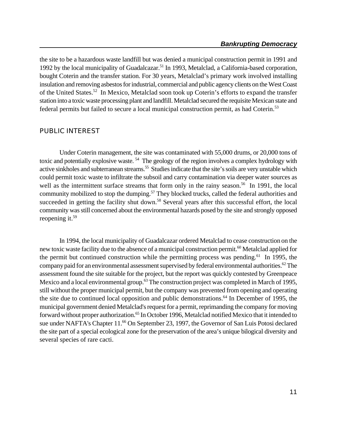the site to be a hazardous waste landfill but was denied a municipal construction permit in 1991 and 1992 by the local municipality of Guadalcazar.<sup>51</sup> In 1993, Metalclad, a California-based corporation, bought Coterin and the transfer station. For 30 years, Metalclad's primary work involved installing insulation and removing asbestos for industrial, commercial and public agency clients on the West Coast of the United States.<sup>52</sup> In Mexico, Metalclad soon took up Coterin's efforts to expand the transfer station into a toxic waste processing plant and landfill. Metalclad secured the requisite Mexican state and federal permits but failed to secure a local municipal construction permit, as had Coterin.<sup>53</sup>

### **PUBLIC INTEREST**

Under Coterin management, the site was contaminated with 55,000 drums, or 20,000 tons of toxic and potentially explosive waste.<sup>54</sup> The geology of the region involves a complex hydrology with active sinkholes and subterranean streams.<sup>55</sup> Studies indicate that the site's soils are very unstable which could permit toxic waste to infiltrate the subsoil and carry contamination via deeper water sources as well as the intermittent surface streams that form only in the rainy season.<sup>56</sup> In 1991, the local community mobilized to stop the dumping.<sup>57</sup> They blocked trucks, called the federal authorities and succeeded in getting the facility shut down.<sup>58</sup> Several years after this successful effort, the local community was still concerned about the environmental hazards posed by the site and strongly opposed reopening it.<sup>59</sup>

In 1994, the local municipality of Guadalcazar ordered Metalclad to cease construction on the new toxic waste facility due to the absence of a municipal construction permit.<sup>60</sup> Metalclad applied for the permit but continued construction while the permitting process was pending.<sup>61</sup> In 1995, the company paid for an environmental assessment supervised by federal environmental authorities.<sup>62</sup> The assessment found the site suitable for the project, but the report was quickly contested by Greenpeace Mexico and a local environmental group.<sup>63</sup> The construction project was completed in March of 1995, still without the proper municipal permit, but the company was prevented from opening and operating the site due to continued local opposition and public demonstrations. $^{64}$  In December of 1995, the municipal government denied Metalclad's request for a permit, reprimanding the company for moving forward without proper authorization.<sup>65</sup> In October 1996, Metalclad notified Mexico that it intended to sue under NAFTA's Chapter 11.<sup>66</sup> On September 23, 1997, the Governor of San Luis Potosi declared the site part of a special ecological zone for the preservation of the area's unique bilogical diversity and several species of rare cacti.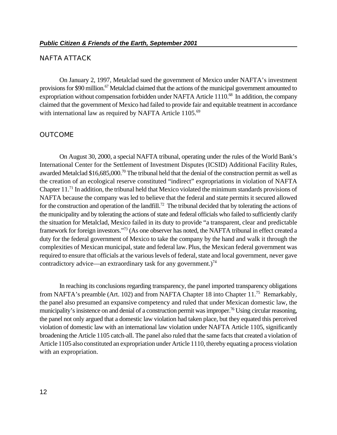#### **NAFTA ATTACK**

On January 2, 1997, Metalclad sued the government of Mexico under NAFTA's investment provisions for \$90 million.<sup>67</sup> Metalclad claimed that the actions of the municipal government amounted to expropriation without compensation forbidden under NAFTA Article 1110.<sup>68</sup> In addition, the company claimed that the government of Mexico had failed to provide fair and equitable treatment in accordance with international law as required by NAFTA Article 1105.<sup>69</sup>

#### **OUTCOME**

On August 30, 2000, a special NAFTA tribunal, operating under the rules of the World Bank's International Center for the Settlement of Investment Disputes (ICSID) Additional Facility Rules, awarded Metalclad \$16,685,000.<sup>70</sup> The tribunal held that the denial of the construction permit as well as the creation of an ecological reserve constituted "indirect" expropriations in violation of NAFTA Chapter  $11$ .<sup>71</sup> In addition, the tribunal held that Mexico violated the minimum standards provisions of NAFTA because the company was led to believe that the federal and state permits it secured allowed for the construction and operation of the landfill.<sup>72</sup> The tribunal decided that by tolerating the actions of the municipality and by tolerating the actions of state and federal officials who failed to sufficiently clarify the situation for Metalclad, Mexico failed in its duty to provide "a transparent, clear and predictable framework for foreign investors."<sup>73</sup> (As one observer has noted, the NAFTA tribunal in effect created a duty for the federal government of Mexico to take the company by the hand and walk it through the complexities of Mexican municipal, state and federal law. Plus, the Mexican federal government was required to ensure that officials at the various levels of federal, state and local government, never gave contradictory advice—an extraordinary task for any government.)<sup>74</sup>

In reaching its conclusions regarding transparency, the panel imported transparency obligations from NAFTA's preamble (Art. 102) and from NAFTA Chapter 18 into Chapter 11.<sup>75</sup> Remarkably, the panel also presumed an expansive competency and ruled that under Mexican domestic law, the municipality's insistence on and denial of a construction permit was improper.<sup>76</sup> Using circular reasoning, the panel not only argued that a domestic law violation had taken place, but they equated this perceived violation of domestic law with an international law violation under NAFTA Article 1105, significantly broadening the Article 1105 catch-all. The panel also ruled that the same facts that created a violation of Article 1105 also constituted an expropriation under Article 1110, thereby equating a process violation with an expropriation.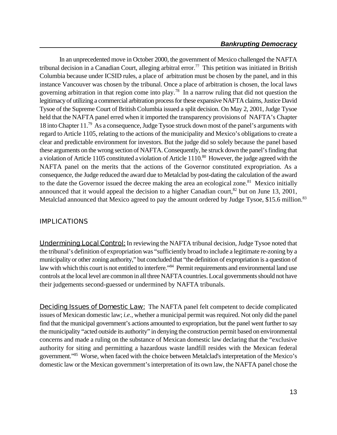In an unprecedented move in October 2000, the government of Mexico challenged the NAFTA tribunal decision in a Canadian Court, alleging arbitral error.<sup>77</sup> This petition was initiated in British Columbia because under ICSID rules, a place of arbitration must be chosen by the panel, and in this instance Vancouver was chosen by the tribunal. Once a place of arbitration is chosen, the local laws governing arbitration in that region come into play.<sup>78</sup> In a narrow ruling that did not question the legitimacy of utilizing a commercial arbitration process for these expansive NAFTA claims, Justice David Tysoe of the Supreme Court of British Columbia issued a split decision. On May 2, 2001, Judge Tysoe held that the NAFTA panel erred when it imported the transparency provisions of NAFTA's Chapter 18 into Chapter  $11.^{79}$  As a consequence, Judge Tysoe struck down most of the panel's arguments with regard to Article 1105, relating to the actions of the municipality and Mexico's obligations to create a clear and predictable environment for investors. But the judge did so solely because the panel based these arguments on the wrong section of NAFTA. Consequently, he struck down the panel's finding that a violation of Article 1105 constituted a violation of Article  $1110$ .<sup>80</sup> However, the judge agreed with the NAFTA panel on the merits that the actions of the Governor constituted expropriation. As a consequence, the Judge reduced the award due to Metalclad by post-dating the calculation of the award to the date the Governor issued the decree making the area an ecological zone.<sup>81</sup> Mexico initially announced that it would appeal the decision to a higher Canadian court,  $82$  but on June 13, 2001, Metalclad announced that Mexico agreed to pay the amount ordered by Judge Tysoe, \$15.6 million.<sup>83</sup>

### **IMPLICATIONS**

**Undermining Local Control:** In reviewing the NAFTA tribunal decision, Judge Tysoe noted that the tribunal's definition of expropriation was "sufficiently broad to include a legitimate re-zoning by a municipality or other zoning authority," but concluded that "the definition of expropriation is a question of law with which this court is not entitled to interfere."<sup>84</sup> Permit requirements and environmental land use controls at the local level are common in all three NAFTA countries. Local governments should not have their judgements second-guessed or undermined by NAFTA tribunals.

**Deciding Issues of Domestic Law:** The NAFTA panel felt competent to decide complicated issues of Mexican domestic law; *i.e.*, whether a municipal permit was required. Not only did the panel find that the municipal government's actions amounted to expropriation, but the panel went further to say the municipality "acted outside its authority" in denying the construction permit based on environmental concerns and made a ruling on the substance of Mexican domestic law declaring that the "exclusive authority for siting and permitting a hazardous waste landfill resides with the Mexican federal government."<sup>85</sup> Worse, when faced with the choice between Metalclad's interpretation of the Mexico's domestic law or the Mexican government's interpretation of its own law, the NAFTA panel chose the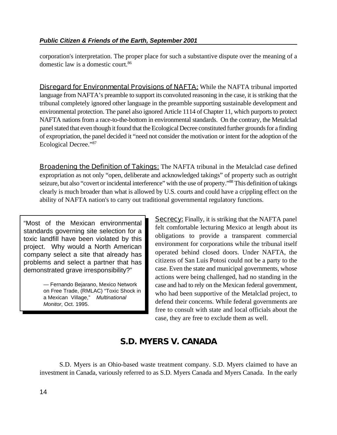corporation's interpretation. The proper place for such a substantive dispute over the meaning of a domestic law is a domestic court.<sup>86</sup>

**Disregard for Environmental Provisions of NAFTA:** While the NAFTA tribunal imported language from NAFTA's preamble to support its convoluted reasoning in the case, it is striking that the tribunal completely ignored other language in the preamble supporting sustainable development and environmental protection. The panel also ignored Article 1114 of Chapter 11, which purports to protect NAFTA nations from a race-to-the-bottom in environmental standards. On the contrary, the Metalclad panel stated that even though it found that the Ecological Decree constituted further grounds for a finding of expropriation, the panel decided it "need not consider the motivation or intent for the adoption of the Ecological Decree."<sup>87</sup>

**Broadening the Definition of Takings:** The NAFTA tribunal in the Metalclad case defined expropriation as not only "open, deliberate and acknowledged takings" of property such as outright seizure, but also "covert or incidental interference" with the use of property."<sup>88</sup> This definition of takings clearly is much broader than what is allowed by U.S. courts and could have a crippling effect on the ability of NAFTA nation's to carry out traditional governmental regulatory functions.

"Most of the Mexican environmental standards governing site selection for a toxic landfill have been violated by this project. Why would a North American company select a site that already has problems and select a partner that has demonstrated grave irresponsibility?"

> — Fernando Bejarano, Mexico Network on Free Trade, (RMLAC) "Toxic Shock in a Mexican Village," *Multinational Monitor*, Oct. 1995.

**Secrecy:** Finally, it is striking that the NAFTA panel felt comfortable lecturing Mexico at length about its obligations to provide a transparent commercial environment for corporations while the tribunal itself operated behind closed doors. Under NAFTA, the citizens of San Luis Potosi could not be a party to the case. Even the state and municipal governments, whose actions were being challenged, had no standing in the case and had to rely on the Mexican federal government, who had been supportive of the Metalclad project, to defend their concerns. While federal governments are free to consult with state and local officials about the case, they are free to exclude them as well.

# **S.D. MYERS V. CANADA**

S.D. Myers is an Ohio-based waste treatment company. S.D. Myers claimed to have an investment in Canada, variously referred to as S.D. Myers Canada and Myers Canada. In the early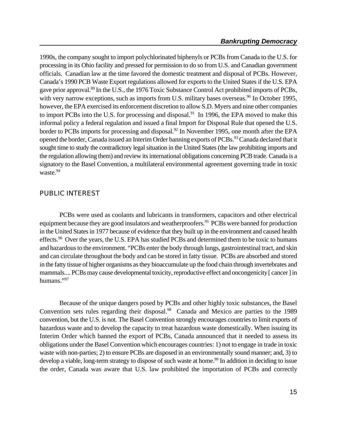1990s, the company sought to import polychlorinated biphenyls or PCBs from Canada to the U.S. for processing in its Ohio facility and pressed for permission to do so from U.S. and Canadian government officials. Canadian law at the time favored the domestic treatment and disposal of PCBs. However, Canada's 1990 PCB Waste Export regulations allowed for exports to the United States if the U.S. EPA gave prior approval.<sup>89</sup> In the U.S., the 1976 Toxic Substance Control Act prohibited imports of PCBs, with very narrow exceptions, such as imports from U.S. military bases overseas.<sup>90</sup> In October 1995, however, the EPA exercised its enforcement discretion to allow S.D. Myers and nine other companies to import PCBs into the U.S. for processing and disposal.<sup>91</sup> In 1996, the EPA moved to make this informal policy a federal regulation and issued a final Import for Disposal Rule that opened the U.S. border to PCBs imports for processing and disposal.<sup>92</sup> In November 1995, one month after the EPA opened the border, Canada issued an Interim Order banning exports of PCBs.<sup>93</sup> Canada declared that it sought time to study the contradictory legal situation in the United States (the law prohibiting imports and the regulation allowing them) and review its international obligations concerning PCB trade. Canada is a signatory to the Basel Convention, a multilateral environmental agreement governing trade in toxic waste.<sup>94</sup>

#### **PUBLIC INTEREST**

PCBs were used as coolants and lubricants in transformers, capacitors and other electrical equipment because they are good insulators and weatherproofers.<sup>95</sup> PCBs were banned for production in the United States in 1977 because of evidence that they built up in the environment and caused health effects.<sup>96</sup> Over the years, the U.S. EPA has studied PCBs and determined them to be toxic to humans and hazardous to the environment. "PCBs enter the body through lungs, gastrointestinal tract, and skin and can circulate throughout the body and can be stored in fatty tissue. PCBs are absorbed and stored in the fatty tissue of higher organisms as they bioaccumulate up the food chain through invertebrates and mammals.... PCBs may cause developmental toxicity, reproductive effect and oncongenicity [ cancer ] in humans."97

Because of the unique dangers posed by PCBs and other highly toxic substances, the Basel Convention sets rules regarding their disposal. $98$  Canada and Mexico are parties to the 1989 convention, but the U.S. is not. The Basel Convention strongly encourages countries to limit exports of hazardous waste and to develop the capacity to treat hazardous waste domestically. When issuing its Interim Order which banned the export of PCBs, Canada announced that it needed to assess its obligations under the Basel Convention which encourages countries: 1) not to engage in trade in toxic waste with non-parties; 2) to ensure PCBs are disposed in an environmentally sound manner; and, 3) to develop a viable, long-term strategy to dispose of such waste at home.<sup>99</sup> In addition in deciding to issue the order, Canada was aware that U.S. law prohibited the importation of PCBs and correctly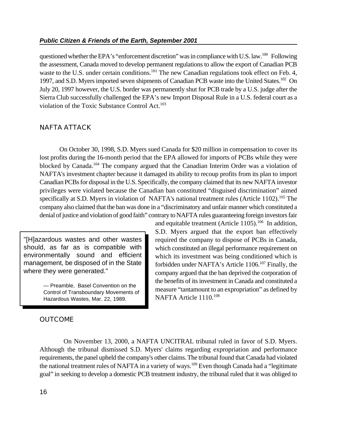questioned whether the EPA's "enforcement discretion" was in compliance with U.S. law.  $^{100}$  Following the assessment, Canada moved to develop permanent regulations to allow the export of Canadian PCB waste to the U.S. under certain conditions.<sup>101</sup> The new Canadian regulations took effect on Feb. 4, 1997, and S.D. Myers imported seven shipments of Canadian PCB waste into the United States.<sup>102</sup> On July 20, 1997 however, the U.S. border was permanently shut for PCB trade by a U.S. judge after the Sierra Club successfully challenged the EPA's new Import Disposal Rule in a U.S. federal court as a violation of the Toxic Substance Control Act.<sup>103</sup>

#### **NAFTA ATTACK**

On October 30, 1998, S.D. Myers sued Canada for \$20 million in compensation to cover its lost profits during the 16-month period that the EPA allowed for imports of PCBs while they were blocked by Canada.<sup>104</sup> The company argued that the Canadian Interim Order was a violation of NAFTA's investment chapter because it damaged its ability to recoup profits from its plan to import Canadian PCBs for disposal in the U.S. Specifically, the company claimed that its new NAFTA investor privileges were violated because the Canadian ban constituted "disguised discrimination" aimed specifically at S.D. Myers in violation of NAFTA's national treatment rules (Article 1102).<sup>105</sup> The company also claimed that the ban was done in a "discriminatory and unfair manner which constituted a denial of justice and violation of good faith" contrary to NAFTA rules guaranteeing foreign investors fair

"[H]azardous wastes and other wastes should, as far as is compatible with environmentally sound and efficient management, be disposed of in the State where they were generated."

> — Preamble, Basel Convention on the Control of Transboundary Movements of Hazardous Wastes, Mar. 22, 1989.

### and equitable treatment (Article  $1105$ ).<sup>106</sup> In addition, S.D. Myers argued that the export ban effectively required the company to dispose of PCBs in Canada, which constituted an illegal performance requirement on which its investment was being conditioned which is forbidden under NAFTA's Article  $1106$ <sup>107</sup> Finally, the company argued that the ban deprived the corporation of the benefits of its investment in Canada and constituted a measure "tantamount to an expropriation" as defined by NAFTA Article 1110.<sup>108</sup>

#### **OUTCOME**

 On November 13, 2000, a NAFTA UNCITRAL tribunal ruled in favor of S.D. Myers. Although the tribunal dismissed S.D. Myers' claims regarding expropriation and performance requirements, the panel upheld the company's other claims. The tribunal found that Canada had violated the national treatment rules of NAFTA in a variety of ways.<sup>109</sup> Even though Canada had a "legitimate goal" in seeking to develop a domestic PCB treatment industry, the tribunal ruled that it was obliged to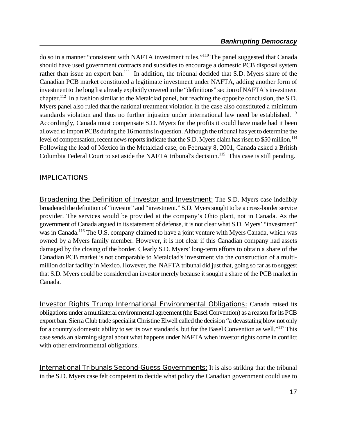do so in a manner "consistent with NAFTA investment rules."<sup>110</sup> The panel suggested that Canada should have used government contracts and subsidies to encourage a domestic PCB disposal system rather than issue an export ban.<sup>111</sup> In addition, the tribunal decided that S.D. Myers share of the Canadian PCB market constituted a legitimate investment under NAFTA, adding another form of investment to the long list already explicitly covered in the "definitions" section of NAFTA's investment chapter.<sup>112</sup> In a fashion similar to the Metalclad panel, but reaching the opposite conclusion, the S.D. Myers panel also ruled that the national treatment violation in the case also constituted a minimum standards violation and thus no further injustice under international law need be established.<sup>113</sup> Accordingly, Canada must compensate S.D. Myers for the profits it could have made had it been allowed to import PCBs during the 16 months in question. Although the tribunal has yet to determine the level of compensation, recent news reports indicate that the S.D. Myers claim has risen to \$50 million.<sup>114</sup> Following the lead of Mexico in the Metalclad case, on February 8, 2001, Canada asked a British Columbia Federal Court to set aside the NAFTA tribunal's decision.<sup>115</sup> This case is still pending.

### **IMPLICATIONS**

**Broadening the Definition of Investor and Investment:** The S.D. Myers case indelibly broadened the definition of "investor" and "investment." S.D. Myers sought to be a cross-border service provider. The services would be provided at the company's Ohio plant, not in Canada. As the government of Canada argued in its statement of defense, it is not clear what S.D. Myers' "investment" was in Canada.<sup>116</sup> The U.S. company claimed to have a joint venture with Myers Canada, which was owned by a Myers family member. However, it is not clear if this Canadian company had assets damaged by the closing of the border. Clearly S.D. Myers' long-term efforts to obtain a share of the Canadian PCB market is not comparable to Metalclad's investment via the construction of a multimillion dollar facility in Mexico. However, the NAFTA tribunal did just that, going so far as to suggest that S.D. Myers could be considered an investor merely because it sought a share of the PCB market in Canada.

**Investor Rights Trump International Environmental Obligations:** Canada raised its obligations under a multilateral environmental agreement(the Basel Convention) as a reason for its PCB export ban. Sierra Club trade specialist Christine Elwell called the decision "a devastating blow not only for a country's domestic ability to set its own standards, but for the Basel Convention as well."<sup>117</sup> This case sends an alarming signal about what happens under NAFTA when investor rights come in conflict with other environmental obligations.

**International Tribunals Second-Guess Governments:** It is also striking that the tribunal in the S.D. Myers case felt competent to decide what policy the Canadian government could use to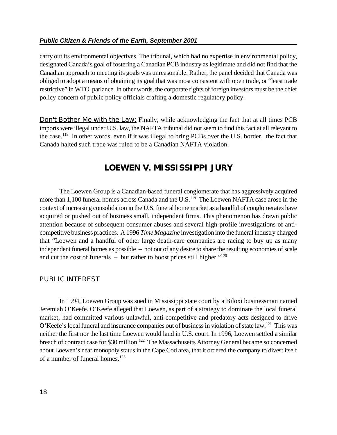#### *Public Citizen & Friends of the Earth, September 2001*

carry out its environmental objectives. The tribunal, which had no expertise in environmental policy, designated Canada's goal of fostering a Canadian PCB industry as legitimate and did not find that the Canadian approach to meeting its goals was unreasonable. Rather, the panel decided that Canada was obliged to adopt a means of obtaining its goal that was most consistent with open trade, or "least trade restrictive" in WTO parlance. In other words, the corporate rights of foreign investors must be the chief policy concern of public policy officials crafting a domestic regulatory policy.

**Don't Bother Me with the Law:** Finally, while acknowledging the fact that at all times PCB imports were illegal under U.S. law, the NAFTA tribunal did not seem to find this fact at all relevant to the case.<sup>118</sup> In other words, even if it was illegal to bring PCBs over the U.S. border, the fact that Canada halted such trade was ruled to be a Canadian NAFTA violation.

# **LOEWEN V. MISSISSIPPI JURY**

The Loewen Group is a Canadian-based funeral conglomerate that has aggressively acquired more than 1,100 funeral homes across Canada and the U.S.<sup>119</sup> The Loewen NAFTA case arose in the context of increasing consolidation in the U.S. funeral home market as a handful of conglomerates have acquired or pushed out of business small, independent firms. This phenomenon has drawn public attention because of subsequent consumer abuses and several high-profile investigations of anticompetitive business practices. A 1996 *Time Magazine* investigation into the funeral industry charged that "Loewen and a handful of other large death-care companies are racing to buy up as many independent funeral homes as possible – not out of any desire to share the resulting economies of scale and cut the cost of funerals – but rather to boost prices still higher." $120$ 

#### **PUBLIC INTEREST**

In 1994, Loewen Group was sued in Mississippi state court by a Biloxi businessman named Jeremiah O'Keefe. O'Keefe alleged that Loewen, as part of a strategy to dominate the local funeral market, had committed various unlawful, anti-competitive and predatory acts designed to drive O'Keefe's local funeral and insurance companies out of business in violation of state law.<sup>121</sup> This was neither the first nor the last time Loewen would land in U.S. court. In 1996, Loewen settled a similar breach of contract case for \$30 million.<sup>122</sup> The Massachusetts Attorney General became so concerned about Loewen's near monopoly status in the Cape Cod area, that it ordered the company to divest itself of a number of funeral homes.<sup>123</sup>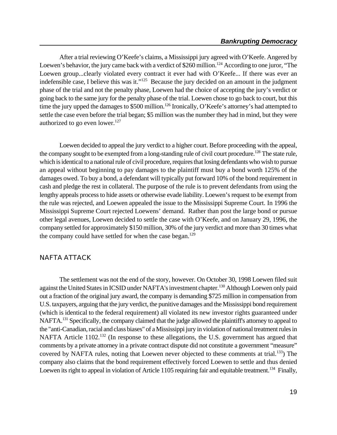After a trial reviewing O'Keefe's claims, a Mississippi jury agreed with O'Keefe. Angered by Loewen's behavior, the jury came back with a verdict of \$260 million.<sup>124</sup> According to one juror, "The Loewen group...clearly violated every contract it ever had with O'Keefe... If there was ever an indefensible case, I believe this was it." $125$  Because the jury decided on an amount in the judgment phase of the trial and not the penalty phase, Loewen had the choice of accepting the jury's verdict or going back to the same jury for the penalty phase of the trial. Loewen chose to go back to court, but this time the jury upped the damages to \$500 million.<sup>126</sup> Ironically, O'Keefe's attorney's had attempted to settle the case even before the trial began; \$5 million was the number they had in mind, but they were authorized to go even lower. $127$ 

Loewen decided to appeal the jury verdict to a higher court. Before proceeding with the appeal, the company sought to be exempted from a long-standing rule of civil court procedure.<sup>128</sup> The state rule, which is identical to a national rule of civil procedure, requires that losing defendants who wish to pursue an appeal without beginning to pay damages to the plaintiff must buy a bond worth 125% of the damages owed. To buy a bond, a defendant will typically put forward 10% of the bond requirement in cash and pledge the rest in collateral. The purpose of the rule is to prevent defendants from using the lengthy appeals process to hide assets or otherwise evade liability. Loewen's request to be exempt from the rule was rejected, and Loewen appealed the issue to the Mississippi Supreme Court. In 1996 the Mississippi Supreme Court rejected Loewens' demand. Rather than post the large bond or pursue other legal avenues, Loewen decided to settle the case with O'Keefe, and on January 29, 1996, the company settled for approximately \$150 million, 30% of the jury verdict and more than 30 times what the company could have settled for when the case began.<sup>129</sup>

#### **NAFTA ATTACK**

The settlement was not the end of the story, however. On October 30, 1998 Loewen filed suit against the United States in ICSID under NAFTA's investment chapter.<sup>130</sup> Although Loewen only paid out a fraction of the original jury award, the company is demanding \$725 million in compensation from U.S. taxpayers, arguing that the jury verdict, the punitive damages and the Mississippi bond requirement (which is identical to the federal requirement) all violated its new investor rights guaranteed under NAFTA.<sup>131</sup> Specifically, the company claimed that the judge allowed the plaintiff's attorney to appeal to the "anti-Canadian, racial and class biases" of a Mississippi jury in violation of national treatment rules in NAFTA Article 1102.<sup>132</sup> (In response to these allegations, the U.S. government has argued that comments by a private attorney in a private contract dispute did not constitute a government "measure" covered by NAFTA rules, noting that Loewen never objected to these comments at trial.<sup>133</sup>) The company also claims that the bond requirement effectively forced Loewen to settle and thus denied Loewen its right to appeal in violation of Article 1105 requiring fair and equitable treatment.<sup>134</sup> Finally,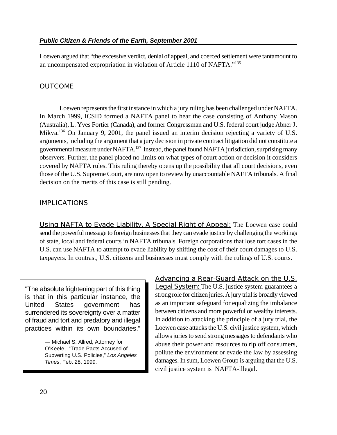Loewen argued that "the excessive verdict, denial of appeal, and coerced settlement were tantamount to an uncompensated expropriation in violation of Article 1110 of NAFTA."<sup>135</sup>

### **OUTCOME**

Loewen represents the first instance in which a jury ruling has been challenged under NAFTA. In March 1999, ICSID formed a NAFTA panel to hear the case consisting of Anthony Mason (Australia), L. Yves Fortier (Canada), and former Congressman and U.S. federal court judge Abner J. Mikva.<sup>136</sup> On January 9, 2001, the panel issued an interim decision rejecting a variety of U.S. arguments, including the argument that a jury decision in private contract litigation did not constitute a governmental measure under NAFTA.<sup>137</sup> Instead, the panel found NAFTA jurisdiction, surprising many observers. Further, the panel placed no limits on what types of court action or decision it considers covered by NAFTA rules. This ruling thereby opens up the possibility that all court decisions, even those of the U.S. Supreme Court, are now open to review by unaccountable NAFTA tribunals. A final decision on the merits of this case is still pending.

### **IMPLICATIONS**

**Using NAFTA to Evade Liability, A Special Right of Appeal:** The Loewen case could send the powerful message to foreign businesses that they can evade justice by challenging the workings of state, local and federal courts in NAFTA tribunals. Foreign corporations that lose tort cases in the U.S. can use NAFTA to attempt to evade liability by shifting the cost of their court damages to U.S. taxpayers. In contrast, U.S. citizens and businesses must comply with the rulings of U.S. courts.

"The absolute frightening part of this thing is that in this particular instance, the United States government has surrendered its sovereignty over a matter of fraud and tort and predatory and illegal practices within its own boundaries."

> — Michael S. Allred, Attorney for O'Keefe, "Trade Pacts Accused of Subverting U.S. Policies," *Los Angeles Times*, Feb. 28, 1999.

#### **Advancing a Rear-Guard Attack on the U.S.**

**Legal System:** The U.S. justice system guarantees a strong role for citizen juries. A jury trial is broadly viewed as an important safeguard for equalizing the imbalance between citizens and more powerful or wealthy interests. In addition to attacking the principle of a jury trial, the Loewen case attacks the U.S. civil justice system, which allows juries to send strong messages to defendants who abuse their power and resources to rip off consumers, pollute the environment or evade the law by assessing damages. In sum, Loewen Group is arguing that the U.S. civil justice system is NAFTA-illegal.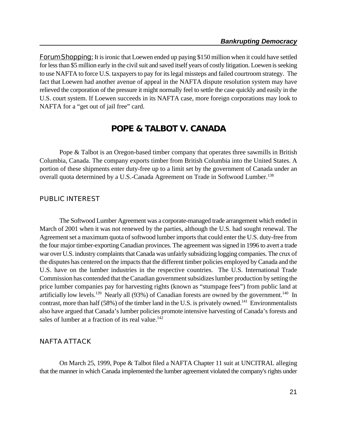**Forum Shopping:** It is ironic that Loewen ended up paying \$150 million when it could have settled for less than \$5 million early in the civil suit and saved itself years of costly litigation. Loewen is seeking to use NAFTA to force U.S. taxpayersto pay for its legal missteps and failed courtroom strategy. The fact that Loewen had another avenue of appeal in the NAFTA dispute resolution system may have relieved the corporation of the pressure it might normally feel to settle the case quickly and easily in the U.S. court system. If Loewen succeeds in its NAFTA case, more foreign corporations may look to NAFTA for a "get out of jail free" card.

# **POPE & TALBOT V. CANADA**

Pope & Talbot is an Oregon-based timber company that operates three sawmills in British Columbia, Canada. The company exports timber from British Columbia into the United States. A portion of these shipments enter duty-free up to a limit set by the government of Canada under an overall quota determined by a U.S.-Canada Agreement on Trade in Softwood Lumber.<sup>138</sup>

#### **PUBLIC INTEREST**

The Softwood Lumber Agreement was a corporate-managed trade arrangement which ended in March of 2001 when it was not renewed by the parties, although the U.S. had sought renewal. The Agreement set a maximum quota of softwood lumber imports that could enter the U.S. duty-free from the four major timber-exporting Canadian provinces. The agreement was signed in 1996 to avert a trade war over U.S. industry complaints that Canada was unfairly subsidizing logging companies. The crux of the disputes has centered on the impacts that the different timber policies employed by Canada and the U.S. have on the lumber industries in the respective countries. The U.S. International Trade Commission has contended that the Canadian government subsidizeslumber production by setting the price lumber companies pay for harvesting rights (known as "stumpage fees") from public land at artificially low levels.<sup>139</sup> Nearly all (93%) of Canadian forests are owned by the government.<sup>140</sup> In contrast, more than half  $(58%)$  of the timber land in the U.S. is privately owned.<sup>141</sup> Environmentalists also have argued that Canada's lumber policies promote intensive harvesting of Canada's forests and sales of lumber at a fraction of its real value.<sup>142</sup>

#### **NAFTA ATTACK**

On March 25, 1999, Pope & Talbot filed a NAFTA Chapter 11 suit at UNCITRAL alleging that the manner in which Canada implemented the lumber agreement violated the company's rights under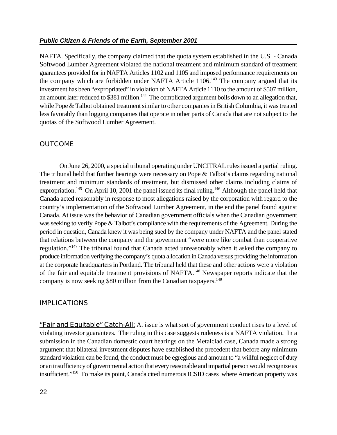NAFTA. Specifically, the company claimed that the quota system established in the U.S. - Canada Softwood Lumber Agreement violated the national treatment and minimum standard of treatment guarantees provided for in NAFTA Articles 1102 and 1105 and imposed performance requirements on the company which are forbidden under NAFTA Article  $1106$ .<sup>143</sup> The company argued that its investment has been "expropriated" in violation of NAFTA Article 1110 to the amount of \$507 million, an amount later reduced to \$381 million.<sup>144</sup> The complicated argument boils down to an allegation that, while Pope & Talbot obtained treatment similar to other companies in British Columbia, it was treated less favorably than logging companies that operate in other parts of Canada that are not subject to the quotas of the Softwood Lumber Agreement.

#### **OUTCOME**

On June 26, 2000, a special tribunal operating under UNCITRAL rules issued a partial ruling. The tribunal held that further hearings were necessary on Pope & Talbot's claims regarding national treatment and minimum standards of treatment, but dismissed other claims including claims of expropriation.<sup>145</sup> On April 10, 2001 the panel issued its final ruling.<sup>146</sup> Although the panel held that Canada acted reasonably in response to most allegations raised by the corporation with regard to the country's implementation of the Softwood Lumber Agreement, in the end the panel found against Canada. At issue was the behavior of Canadian government officials when the Canadian government was seeking to verify Pope & Talbot's compliance with the requirements of the Agreement. During the period in question, Canada knew it was being sued by the company under NAFTA and the panel stated that relations between the company and the government "were more like combat than cooperative regulation."<sup>147</sup> The tribunal found that Canada acted unreasonably when it asked the company to produce information verifying the company's quota allocation in Canada versus providing the information at the corporate headquarters in Portland. The tribunal held that these and other actions were a violation of the fair and equitable treatment provisions of NAFTA.<sup>148</sup> Newspaper reports indicate that the company is now seeking \$80 million from the Canadian taxpayers.<sup>149</sup>

#### **IMPLICATIONS**

**"Fair and Equitable" Catch-All:** At issue is what sort of government conduct rises to a level of violating investor guarantees. The ruling in this case suggests rudeness is a NAFTA violation. In a submission in the Canadian domestic court hearings on the Metalclad case, Canada made a strong argument that bilateral investment disputes have established the precedent that before any minimum standard violation can be found, the conduct must be egregious and amount to "a willful neglect of duty or an insufficiency of governmental action that every reasonable and impartial person would recognize as insufficient."<sup>150</sup> To make its point, Canada cited numerous ICSID cases where American property was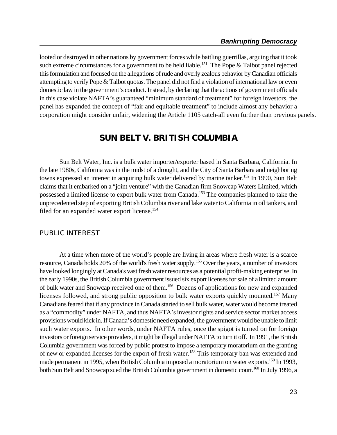looted or destroyed in other nations by government forces while battling guerrillas, arguing that it took such extreme circumstances for a government to be held liable.<sup>151</sup> The Pope & Talbot panel rejected this formulation and focused on the allegations of rude and overly zealous behavior by Canadian officials attempting to verify Pope & Talbot quotas. The panel did not find a violation of international law or even domestic law in the government's conduct. Instead, by declaring that the actions of government officials in this case violate NAFTA's guaranteed "minimum standard of treatment" for foreign investors, the panel has expanded the concept of "fair and equitable treatment" to include almost any behavior a corporation might consider unfair, widening the Article 1105 catch-all even further than previous panels.

# **SUN BELT V. BRITISH COLUMBIA**

Sun Belt Water, Inc. is a bulk water importer/exporter based in Santa Barbara, California. In the late 1980s, California was in the midst of a drought, and the City of Santa Barbara and neighboring towns expressed an interest in acquiring bulk water delivered by marine tanker.<sup>152</sup> In 1990, Sun Belt claims that it embarked on a "joint venture" with the Canadian firm Snowcap Waters Limited, which possessed a limited license to export bulk water from Canada.<sup>153</sup> The companies planned to take the unprecedented step of exporting British Columbia river and lake water to California in oil tankers, and filed for an expanded water export license.<sup>154</sup>

#### **PUBLIC INTEREST**

At a time when more of the world's people are living in areas where fresh water is a scarce resource, Canada holds 20% of the world's fresh water supply.<sup>155</sup> Over the years, a number of investors have looked longingly at Canada's vast fresh water resources as a potential profit-making enterprise. In the early 1990s, the British Columbia government issued six export licenses for sale of a limited amount of bulk water and Snowcap received one of them.<sup>156</sup> Dozens of applications for new and expanded licenses followed, and strong public opposition to bulk water exports quickly mounted.<sup>157</sup> Many Canadians feared that if any province in Canada started to sell bulk water, water would become treated as a "commodity" under NAFTA, and thus NAFTA's investor rights and service sector market access provisions would kick in. If Canada's domestic need expanded, the government would be unable to limit such water exports. In other words, under NAFTA rules, once the spigot is turned on for foreign investors or foreign service providers, itmight be illegal under NAFTA to turn it off. In 1991, the British Columbia government was forced by public protest to impose a temporary moratorium on the granting of new or expanded licenses for the export of fresh water.<sup>158</sup> This temporary ban was extended and made permanent in 1995, when British Columbia imposed a moratorium on water exports.<sup>159</sup> In 1993, both Sun Belt and Snowcap sued the British Columbia government in domestic court.<sup>160</sup> In July 1996, a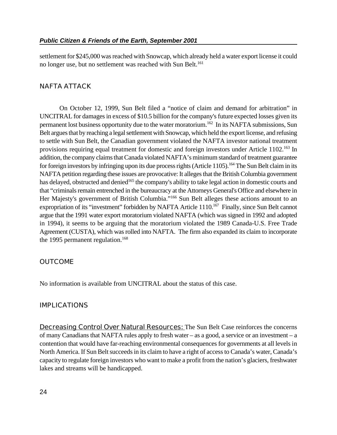settlement for \$245,000 was reached with Snowcap, which already held a water export license it could no longer use, but no settlement was reached with Sun Belt.<sup>161</sup>

#### **NAFTA ATTACK**

On October 12, 1999, Sun Belt filed a "notice of claim and demand for arbitration" in UNCITRAL for damages in excess of \$10.5 billion for the company's future expected losses given its permanent lost business opportunity due to the water moratorium.<sup>162</sup> In its NAFTA submissions, Sun Belt argues that by reaching a legal settlement with Snowcap, which held the export license, and refusing to settle with Sun Belt, the Canadian government violated the NAFTA investor national treatment provisions requiring equal treatment for domestic and foreign investors under Article 1102.<sup>163</sup> In addition, the company claims that Canada violated NAFTA's minimum standard of treatment guarantee for foreign investors by infringing upon its due process rights (Article 1105).<sup>164</sup> The Sun Belt claim in its NAFTA petition regarding these issues are provocative: It alleges that the British Columbia government has delayed, obstructed and denied<sup>165</sup> the company's ability to take legal action in domestic courts and that "criminals remain entrenched in the bureaucracy at the Attorneys General's Office and elsewhere in Her Majesty's government of British Columbia."<sup>166</sup> Sun Belt alleges these actions amount to an expropriation of its "investment" forbidden by NAFTA Article 1110.<sup>167</sup> Finally, since Sun Belt cannot argue that the 1991 water export moratorium violated NAFTA (which was signed in 1992 and adopted in 1994), it seems to be arguing that the moratorium violated the 1989 Canada-U.S. Free Trade Agreement (CUSTA), which was rolled into NAFTA. The firm also expanded its claim to incorporate the 1995 permanent regulation.<sup>168</sup>

#### **OUTCOME**

No information is available from UNCITRAL about the status of this case.

#### **IMPLICATIONS**

**Decreasing Control Over Natural Resources:** The Sun Belt Case reinforces the concerns of many Canadians that NAFTA rules apply to fresh water – as a good, a service or an investment – a contention that would have far-reaching environmental consequences for governments at all levels in North America. If Sun Belt succeeds in its claim to have a right of access to Canada's water, Canada's capacity to regulate foreign investors who want to make a profit from the nation's glaciers, freshwater lakes and streams will be handicapped.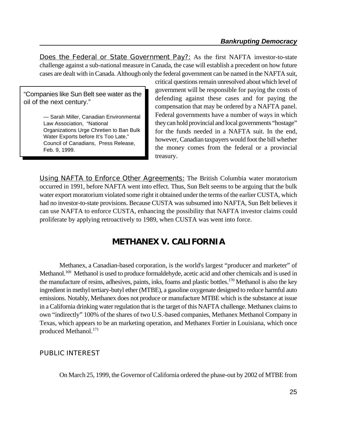**Does the Federal or State Government Pay?:** As the first NAFTA investor-to-state challenge against a sub-national measure in Canada, the case will establish a precedent on how future cases are dealt with in Canada. Although only the federal government can be named in the NAFTA suit,

"Companies like Sun Belt see water as the oil of the next century."

> — Sarah Miller, Canadian Environmental Law Association, "National Organizations Urge Chretien to Ban Bulk Water Exports before It's Too Late," Council of Canadians, Press Release, Feb. 9, 1999.

critical questions remain unresolved about which level of government will be responsible for paying the costs of defending against these cases and for paying the compensation that may be ordered by a NAFTA panel. Federal governments have a number of ways in which theycan hold provincial and local governments "hostage" for the funds needed in a NAFTA suit. In the end, however, Canadian taxpayers would foot the bill whether the money comes from the federal or a provincial treasury.

**Using NAFTA to Enforce Other Agreements:** The British Columbia water moratorium occurred in 1991, before NAFTA went into effect. Thus, Sun Belt seems to be arguing that the bulk water export moratorium violated some right it obtained under the terms of the earlier CUSTA, which had no investor-to-state provisions. Because CUSTA was subsumed into NAFTA, Sun Belt believes it can use NAFTA to enforce CUSTA, enhancing the possibility that NAFTA investor claims could proliferate by applying retroactively to 1989, when CUSTA was went into force.

# **METHANEX V. CALIFORNIA**

Methanex, a Canadian-based corporation, is the world's largest "producer and marketer" of Methanol.<sup>169</sup> Methanol is used to produce formaldehyde, acetic acid and other chemicals and is used in the manufacture of resins, adhesives, paints, inks, foams and plastic bottles.<sup>170</sup> Methanol is also the key ingredient in methyl tertiary-butyl ether (MTBE), a gasoline oxygenate designed to reduce harmful auto emissions. Notably, Methanex does not produce or manufacture MTBE which is the substance at issue in a California drinking water regulation that is the target of this NAFTA challenge. Methanex claims to own "indirectly" 100% of the shares of two U.S.-based companies, Methanex Methanol Company in Texas, which appears to be an marketing operation, and Methanex Fortier in Louisiana, which once produced Methanol.<sup>171</sup>

#### **PUBLIC INTEREST**

On March 25, 1999, the Governor of California ordered the phase-out by 2002 of MTBE from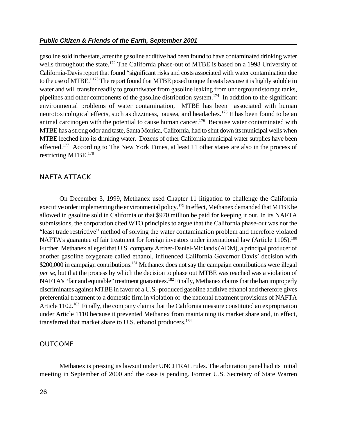gasoline sold in the state, after the gasoline additive had been found to have contaminated drinking water wells throughout the state.<sup>172</sup> The California phase-out of MTBE is based on a 1998 University of California-Davis report that found "significant risks and costs associated with water contamination due to the use of MTBE."<sup>173</sup> The report found that MTBE posed unique threats because it is highly soluble in water and will transfer readily to groundwater from gasoline leaking from underground storage tanks, pipelines and other components of the gasoline distribution system.<sup>174</sup> In addition to the significant environmental problems of water contamination, MTBE has been associated with human neurotoxicological effects, such as dizziness, nausea, and headaches.<sup>175</sup> It has been found to be an animal carcinogen with the potential to cause human cancer.<sup>176</sup> Because water contaminated with MTBE has a strong odor and taste, Santa Monica, California, had to shut down its municipal wells when MTBE leeched into its drinking water. Dozens of other California municipal water supplies have been affected.<sup>177</sup> According to The New York Times, at least 11 other states are also in the process of restricting MTBE.<sup>178</sup>

#### **NAFTA ATTACK**

On December 3, 1999, Methanex used Chapter 11 litigation to challenge the California executive order implementing the environmental policy.<sup>179</sup> In effect, Methanex demanded that MTBE be allowed in gasoline sold in California or that \$970 million be paid for keeping it out. In its NAFTA submissions, the corporation cited WTO principles to argue that the California phase-out was not the "least trade restrictive" method of solving the water contamination problem and therefore violated NAFTA's guarantee of fair treatment for foreign investors under international law (Article 1105).<sup>180</sup> Further, Methanex alleged that U.S. company Archer-Daniel-Midlands (ADM), a principal producer of another gasoline oxygenate called ethanol, influenced California Governor Davis' decision with \$200,000 in campaign contributions.<sup>181</sup> Methanex does not say the campaign contributions were illegal *per se*, but that the process by which the decision to phase out MTBE was reached was a violation of NAFTA's "fair and equitable" treatment guarantees.<sup>182</sup> Finally, Methanex claims that the ban improperly discriminates against MTBE in favor of a U.S.-produced gasoline additive ethanol and therefore gives preferential treatment to a domestic firm in violation of the national treatment provisions of NAFTA Article 1102.<sup>183</sup> Finally, the company claims that the California measure constituted an expropriation under Article 1110 because it prevented Methanex from maintaining its market share and, in effect, transferred that market share to U.S. ethanol producers.<sup>184</sup>

#### **OUTCOME**

Methanex is pressing its lawsuit under UNCITRAL rules. The arbitration panel had its initial meeting in September of 2000 and the case is pending. Former U.S. Secretary of State Warren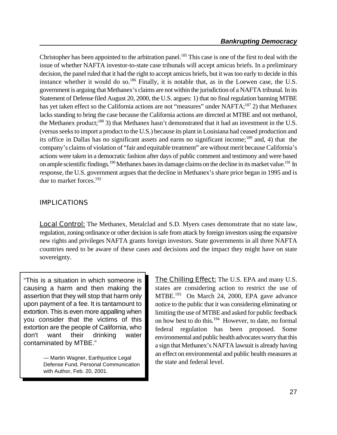Christopher has been appointed to the arbitration panel.<sup>185</sup> This case is one of the first to deal with the issue of whether NAFTA investor-to-state case tribunals will accept amicus briefs. In a preliminary decision, the panel ruled that it had the right to accept amicus briefs, but it was too early to decide in this instance whether it would do so.<sup>186</sup> Finally, it is notable that, as in the Loewen case, the U.S. government is arguing that Methanex's claims are not within the jurisdiction of a NAFTA tribunal. In its Statement of Defense filed August 20, 2000, the U.S. argues: 1) that no final regulation banning MTBE has yet taken effect so the California actions are not "measures" under NAFTA;<sup>187</sup> 2) that Methanex lacks standing to bring the case because the California actions are directed at MTBE and not methanol, the Methanex product;<sup>188</sup> 3) that Methanex hasn't demonstrated that it had an investment in the U.S. (versus seeks to import a product to the U.S.) because its plant in Louisiana had ceased production and its office in Dallas has no significant assets and earns no significant income; $^{189}$  and, 4) that the company's claims of violation of "fair and equitable treatment" are without merit because California's actions were taken in a democratic fashion after days of public comment and testimony and were based on ample scientific findings.<sup>190</sup> Methanex bases its damage claims on the decline in its market value.<sup>191</sup> In response, the U.S. government argues that the decline in Methanex's share price began in 1995 and is due to market forces.<sup>192</sup>

#### **IMPLICATIONS**

**Local Control:** The Methanex, Metalclad and S.D. Myers cases demonstrate that no state law, regulation, zoning ordinance or other decision is safe from attack by foreign investors using the expansive new rights and privileges NAFTA grants foreign investors. State governments in all three NAFTA countries need to be aware of these cases and decisions and the impact they might have on state sovereignty.

"This is a situation in which someone is causing a harm and then making the assertion that they will stop that harm only upon payment of a fee. It is tantamount to extortion. This is even more appalling when you consider that the victims of this extortion are the people of California, who don't want their drinking water contaminated by MTBE."

> — Martin Wagner, Earthjustice Legal Defense Fund, Personal Communication with Author, Feb. 20, 2001.

**The Chilling Effect:** The U.S. EPA and many U.S. states are considering action to restrict the use of MTBE.<sup>193</sup> On March 24, 2000, EPA gave advance notice to the public that it was considering eliminating or limiting the use of MTBE and asked for public feedback on how best to do this.<sup>194</sup> However, to date, no formal federal regulation has been proposed. Some environmental and public health advocates worry that this a sign that Methanex's NAFTA lawsuit is already having an effect on environmental and public health measures at the state and federal level.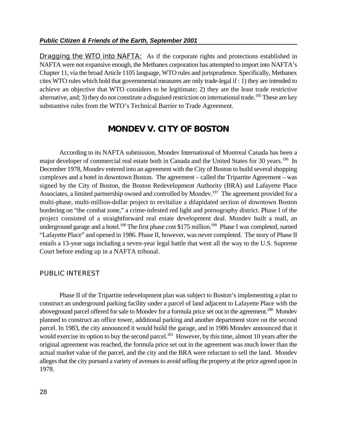**Dragging the WTO into NAFTA:** As if the corporate rights and protections established in NAFTA were not expansive enough, the Methanex corporation has attempted to import into NAFTA's Chapter 11, via the broad Article 1105 language, WTO rules and jurisprudence. Specifically, Methanex cites WTO rules which hold that governmental measures are only trade-legal if : 1) they are intended to achieve an objective that WTO considers to be legitimate; 2) they are the least trade restrictive alternative, and; 3) they do not constitute a disguised restriction on international trade.<sup>195</sup> These are key substantive rules from the WTO's Technical Barrier to Trade Agreement.

# **MONDEV V. CITY OF BOSTON**

According to its NAFTA submission, Mondev International of Montreal Canada has been a major developer of commercial real estate both in Canada and the United States for 30 years.<sup>196</sup> In December 1978, Mondev entered into an agreement with the City of Boston to build several shopping complexes and a hotel in downtown Boston. The agreement – called the Tripartite Agreement – was signed by the City of Boston, the Boston Redevelopment Authority (BRA) and Lafayette Place Associates, a limited partnership owned and controlled by Mondev.<sup>197</sup> The agreement provided for a multi-phase, multi-million-dollar project to revitalize a dilapidated section of downtown Boston bordering on "the combat zone," a crime-infested red light and pornography district. Phase I of the project consisted of a straightforward real estate development deal. Mondev built a mall, an underground garage and a hotel.<sup>198</sup> The first phase cost \$175 million.<sup>199</sup> Phase I was completed, named "Lafayette Place" and opened in 1986. Phase II, however, was never completed. The story of Phase II entails a 13-year saga including a seven-year legal battle that went all the way to the U.S. Supreme Court before ending up in a NAFTA tribunal.

#### **PUBLIC INTEREST**

Phase II of the Tripartite redevelopment plan was subject to Boston's implementing a plan to construct an underground parking facility under a parcel of land adjacent to Lafayette Place with the aboveground parcel offered for sale to Mondev for a formula price set out in the agreement.<sup>200</sup> Mondev planned to construct an office tower, additional parking and another department store on the second parcel. In 1983, the city announced it would build the garage, and in 1986 Mondev announced that it would exercise its option to buy the second parcel.<sup>201</sup> However, by this time, almost 10 years after the original agreement was reached, the formula price set out in the agreement was much lower than the actual market value of the parcel, and the city and the BRA were reluctant to sell the land. Mondev alleges that the city pursued a variety of avenues to avoid selling the property at the price agreed upon in 1978.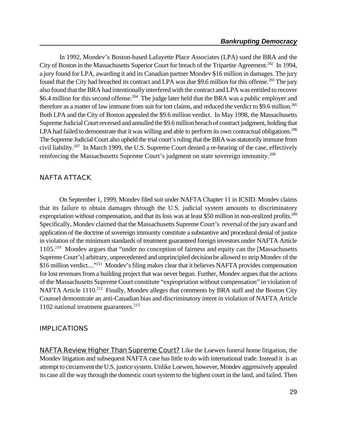In 1992, Mondev's Boston-based Lafayette Place Associates (LPA) sued the BRA and the City of Boston in the Massachusetts Superior Court for breach of the Tripartite Agreement.<sup>202</sup> In 1994, a jury found for LPA, awarding it and its Canadian partner Mondev \$16 million in damages. The jury found that the City had breached its contract and LPA was due \$9.6 million for this offense.<sup>203</sup> The jury also found that the BRA had intentionally interfered with the contract and LPA was entitled to recover \$6.4 million for this second offense.<sup>204</sup> The judge later held that the BRA was a public employer and therefore as a matter of law immune from suit for tort claims, and reduced the verdict to \$9.6 million.<sup>205</sup> Both LPA and the City of Boston appealed the \$9.6 million verdict. In May 1998, the Massachusetts Supreme Judicial Court reversed and annulled the \$9.6 million breach of contract judgment, holding that LPA had failed to demonstrate that it was willing and able to perform its own contractual obligations.<sup>206</sup> The Supreme Judicial Court also upheld the trial court's ruling that the BRA was statutorily immune from civil liability.<sup>207</sup> In March 1999, the U.S. Supreme Court denied a re-hearing of the case, effectively reinforcing the Massachusetts Supreme Court's judgment on state sovereign immunity.<sup>208</sup>

#### **NAFTA ATTACK**

On September 1, 1999, Mondev filed suit under NAFTA Chapter 11 in ICSID. Mondev claims that its failure to obtain damages through the U.S. judicial system amounts to discriminatory expropriation without compensation, and that its loss was at least \$50 million in non-realized profits.<sup>209</sup> Specifically, Mondev claimed that the Massachusetts Supreme Court's reversal of the jury award and application of the doctrine of sovereign immunity constitute a substantive and procedural denial of justice in violation of the minimum standards of treatment guaranteed foreign investors under NAFTA Article 1105.<sup>210</sup> Mondev argues that "under no conception of fairness and equity can the [Massachusetts Supreme Court's] arbitrary, unprecedented and unprincipled decision be allowed to strip Mondev of the \$16 million verdict...."<sup>211</sup> Mondev's filing makes clear that it believes NAFTA provides compensation for lost revenues from a building project that was never begun. Further, Mondev argues that the actions of the Massachusetts Supreme Court constitute "expropriation without compensation" in violation of NAFTA Article 1110.<sup>212</sup> Finally, Mondev alleges that comments by BRA staff and the Boston City Counsel demonstrate an anti-Canadian bias and discriminatory intent in violation of NAFTA Article 1102 national treatment guarantees. $213$ 

#### **IMPLICATIONS**

**NAFTA Review Higher Than Supreme Court?** Like the Loewen funeral home litigation, the Mondev litigation and subsequent NAFTA case has little to do with international trade. Instead it is an attempt to circumvent the U.S. justice system. Unlike Loewen, however, Mondev aggressively appealed its case all the way through the domestic court system to the highest court in the land, and failed. Then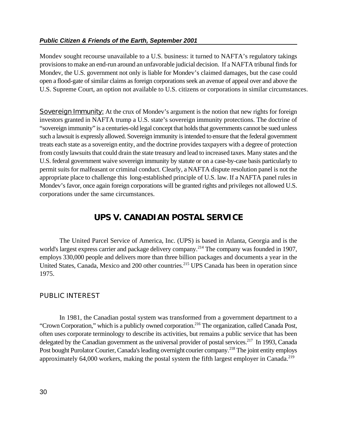#### *Public Citizen & Friends of the Earth, September 2001*

Mondev sought recourse unavailable to a U.S. business: it turned to NAFTA's regulatory takings provisions to make an end-run around an unfavorable judicial decision. If a NAFTA tribunal finds for Mondev, the U.S. government not only is liable for Mondev's claimed damages, but the case could open a flood-gate of similar claims as foreign corporations seek an avenue of appeal over and above the U.S. Supreme Court, an option not available to U.S. citizens or corporations in similar circumstances.

**Sovereign Immunity:** At the crux of Mondev's argument is the notion that new rights for foreign investors granted in NAFTA trump a U.S. state's sovereign immunity protections. The doctrine of "sovereign immunity" is a centuries-old legal concept that holds that governments cannot be sued unless such a lawsuit is expressly allowed. Sovereign immunity is intended to ensure that the federal government treats each state as a sovereign entity, and the doctrine provides taxpayers with a degree of protection from costly lawsuits that could drain the state treasury and lead to increased taxes. Many states and the U.S. federal government waive sovereign immunity by statute or on a case-by-case basis particularly to permit suits for malfeasant or criminal conduct. Clearly, a NAFTA dispute resolution panel is not the appropriate place to challenge this long-established principle of U.S. law. If a NAFTA panel rules in Mondev's favor, once again foreign corporations will be granted rights and privileges not allowed U.S. corporations under the same circumstances.

# **UPS V. CANADIAN POSTAL SERVICE**

The United Parcel Service of America, Inc. (UPS) is based in Atlanta, Georgia and is the world's largest express carrier and package delivery company.<sup>214</sup> The company was founded in 1907, employs 330,000 people and delivers more than three billion packages and documents a year in the United States, Canada, Mexico and 200 other countries.<sup>215</sup> UPS Canada has been in operation since 1975.

#### **PUBLIC INTEREST**

In 1981, the Canadian postal system was transformed from a government department to a "Crown Corporation," which is a publicly owned corporation.<sup>216</sup> The organization, called Canada Post, often uses corporate terminology to describe its activities, but remains a public service that has been delegated by the Canadian government as the universal provider of postal services.<sup>217</sup> In 1993, Canada Post bought Purolator Courier, Canada's leading overnight courier company.<sup>218</sup> The joint entity employs approximately 64,000 workers, making the postal system the fifth largest employer in Canada.<sup>219</sup>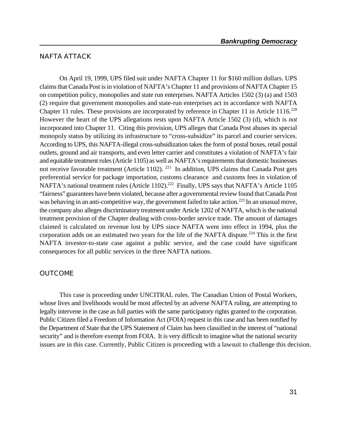### **NAFTA ATTACK**

On April 19, 1999, UPS filed suit under NAFTA Chapter 11 for \$160 million dollars. UPS claims that Canada Post is in violation of NAFTA's Chapter 11 and provisions of NAFTA Chapter 15 on competition policy, monopolies and state run enterprises. NAFTA Articles 1502 (3) (a) and 1503 (2) require that government monopolies and state-run enterprises act in accordance with NAFTA Chapter 11 rules. These provisions are incorporated by reference in Chapter 11 in Article  $1116$ <sup>220</sup> However the heart of the UPS allegations rests upon NAFTA Article 1502 (3) (d), which is *not* incorporated into Chapter 11. Citing this provision, UPS alleges that Canada Post abuses its special monopoly status by utilizing its infrastructure to "cross-subsidize" its parcel and courier services. According to UPS, this NAFTA-illegal cross-subsidization takes the form of postal boxes, retail postal outlets, ground and air transports, and even letter carrier and constitutes a violation of NAFTA's fair and equitable treatment rules (Article 1105) as well as NAFTA's requirements that domestic businesses not receive favorable treatment (Article 1102).<sup>221</sup> In addition, UPS claims that Canada Post gets preferential service for package importation, customs clearance and customs fees in violation of NAFTA's national treatment rules (Article 1102).<sup>222</sup> Finally, UPS says that NAFTA's Article 1105 "fairness" guarantees have been violated, because after a governmentalreview found that Canada Post was behaving in an anti-competitive way, the government failed to take action.<sup>223</sup> In an unusual move, the company also alleges discriminatory treatment under Article 1202 of NAFTA, which is the national treatment provision of the Chapter dealing with cross-border service trade. The amount of damages claimed is calculated on revenue lost by UPS since NAFTA went into effect in 1994, plus the corporation adds on an estimated two years for the life of the NAFTA dispute.<sup>224</sup> This is the first NAFTA investor-to-state case against a public service, and the case could have significant consequences for all public services in the three NAFTA nations.

#### **OUTCOME**

This case is proceeding under UNCITRAL rules. The Canadian Union of Postal Workers, whose lives and livelihoods would be most affected by an adverse NAFTA ruling, are attempting to legally intervene in the case as full parties with the same participatory rights granted to the corporation. Public Citizen filed a Freedom of Information Act (FOIA) request in this case and has been notified by the Department of State that the UPS Statement of Claim has been classified in the interest of "national security" and is therefore exempt from FOIA. It is very difficult to imagine what the national security issues are in this case. Currently, Public Citizen is proceeding with a lawsuit to challenge this decision.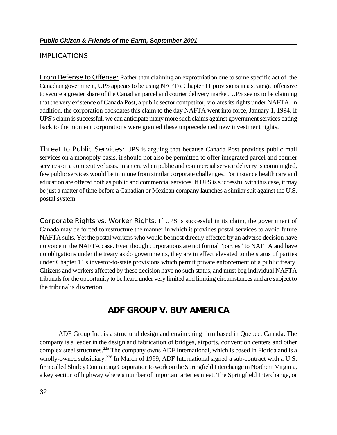#### **IMPLICATIONS**

**From Defense to Offense:** Rather than claiming an expropriation due to some specific act of the Canadian government, UPS appears to be using NAFTA Chapter 11 provisions in a strategic offensive to secure a greater share of the Canadian parcel and courier delivery market. UPS seems to be claiming that the very existence of Canada Post, a public sector competitor, violates its rights under NAFTA. In addition, the corporation backdates this claim to the day NAFTA went into force, January 1, 1994. If UPS's claim is successful, we can anticipate many more such claims against government services dating back to the moment corporations were granted these unprecedented new investment rights.

**Threat to Public Services:** UPS is arguing that because Canada Post provides public mail services on a monopoly basis, it should not also be permitted to offer integrated parcel and courier services on a competitive basis. In an era when public and commercial service delivery is commingled, few public services would be immune from similar corporate challenges. For instance health care and education are offered both as public and commercial services. If UPS is successful with this case, it may be just a matter of time before a Canadian or Mexican company launches a similar suit against the U.S. postal system.

**Corporate Rights vs. Worker Rights:** If UPS is successful in its claim, the government of Canada may be forced to restructure the manner in which it provides postal services to avoid future NAFTA suits. Yet the postal workers who would be most directly effected by an adverse decision have no voice in the NAFTA case. Even though corporations are not formal "parties" to NAFTA and have no obligations under the treaty as do governments, they are in effect elevated to the status of parties under Chapter 11's investor-to-state provisions which permit private enforcement of a public treaty. Citizens and workers affected by these decision have no such status, and must beg individual NAFTA tribunals for the opportunity to be heard under very limited and limiting circumstances and are subject to the tribunal's discretion.

# **ADF GROUP V. BUY AMERICA**

 ADF Group Inc. is a structural design and engineering firm based in Quebec, Canada. The company is a leader in the design and fabrication of bridges, airports, convention centers and other complex steel structures.<sup>225</sup> The company owns ADF International, which is based in Florida and is a wholly-owned subsidiary.<sup>226</sup> In March of 1999, ADF International signed a sub-contract with a U.S. firm called Shirley Contracting Corporation to work on the Springfield Interchange in Northern Virginia, a key section of highway where a number of important arteries meet. The Springfield Interchange, or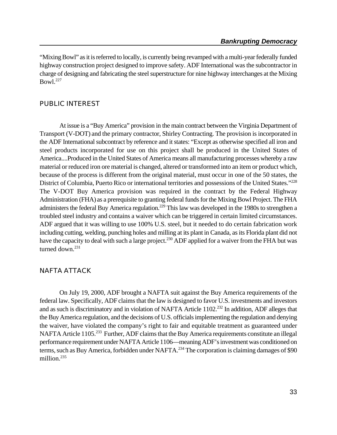"Mixing Bowl" as it is referred to locally, is currently being revamped with a multi-year federally funded highway construction project designed to improve safety. ADF International was the subcontractor in charge of designing and fabricating the steel superstructure for nine highway interchanges at the Mixing  $Bowl.<sup>227</sup>$ 

#### **PUBLIC INTEREST**

At issue is a "Buy America" provision in the main contract between the Virginia Department of Transport (V-DOT) and the primary contractor, Shirley Contracting. The provision is incorporated in the ADF International subcontract by reference and it states: "Except as otherwise specified all iron and steel products incorporated for use on this project shall be produced in the United States of America....Produced in the United States of America means all manufacturing processes whereby a raw material or reduced iron ore material is changed, altered or transformed into an item or product which, because of the process is different from the original material, must occur in one of the 50 states, the District of Columbia, Puerto Rico or international territories and possessions of the United States."<sup>228</sup> The V-DOT Buy America provision was required in the contract by the Federal Highway Administration (FHA) as a prerequisite to granting federal funds for the Mixing Bowl Project. The FHA administers the federal Buy America regulation.<sup>229</sup> This law was developed in the 1980s to strengthen a troubled steel industry and contains a waiver which can be triggered in certain limited circumstances. ADF argued that it was willing to use 100% U.S. steel, but it needed to do certain fabrication work including cutting, welding, punching holes and milling at its plant in Canada, as its Florida plant did not have the capacity to deal with such a large project.<sup>230</sup> ADF applied for a waiver from the FHA but was turned down.<sup>231</sup>

#### **NAFTA ATTACK**

On July 19, 2000, ADF brought a NAFTA suit against the Buy America requirements of the federal law. Specifically, ADF claims that the law is designed to favor U.S. investments and investors and as such is discriminatory and in violation of NAFTA Article 1102.<sup>232</sup> In addition, ADF alleges that the Buy America regulation, and the decisions of U.S. officials implementing the regulation and denying the waiver, have violated the company's right to fair and equitable treatment as guaranteed under NAFTA Article 1105.<sup>233</sup> Further, ADF claims that the Buy America requirements constitute an illegal performance requirement under NAFTA Article 1106—meaning ADF's investment was conditioned on terms, such as Buy America, forbidden under NAFTA.<sup>234</sup> The corporation is claiming damages of \$90 million.<sup>235</sup>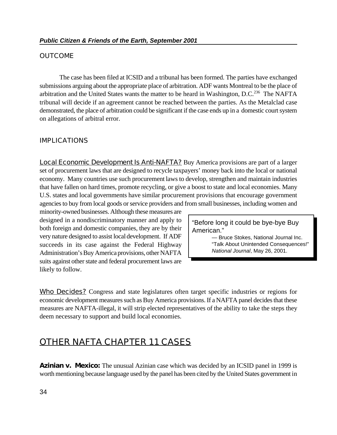#### **OUTCOME**

The case has been filed at ICSID and a tribunal has been formed. The parties have exchanged submissions arguing about the appropriate place of arbitration. ADF wants Montreal to be the place of arbitration and the United States wants the matter to be heard in Washington, D.C.<sup>236</sup> The NAFTA tribunal will decide if an agreement cannot be reached between the parties. As the Metalclad case demonstrated, the place of arbitration could be significant if the case ends up in a domestic court system on allegations of arbitral error.

#### **IMPLICATIONS**

**Local Economic Development Is Anti-NAFTA?** Buy America provisions are part of a larger set of procurement laws that are designed to recycle taxpayers' money back into the local or national economy. Many countries use such procurement laws to develop, strengthen and maintain industries that have fallen on hard times, promote recycling, or give a boost to state and local economies. Many U.S. states and local governments have similar procurement provisions that encourage government agencies to buy from local goods or service providers and from small businesses, including women and

minority-owned businesses. Although these measures are designed in a nondiscriminatory manner and apply to both foreign and domestic companies, they are by their very nature designed to assist local development. If ADF succeeds in its case against the Federal Highway Administration's Buy America provisions, other NAFTA suits against other state and federal procurement laws are likely to follow.

"Before long it could be bye-bye Buy American."

> — Bruce Stokes, National Journal Inc. "Talk About Unintended Consequences!" *National Journal*, May 26, 2001.

**Who Decides?** Congress and state legislatures often target specific industries or regions for economic development measures such as Buy America provisions. If a NAFTA panel decides that these measures are NAFTA-illegal, it will strip elected representatives of the ability to take the steps they deem necessary to support and build local economies.

# **OTHER NAFTA CHAPTER 11 CASES**

**Azinian v. Mexico:** The unusual Azinian case which was decided by an ICSID panel in 1999 is worth mentioning because language used by the panel has been cited by the United States government in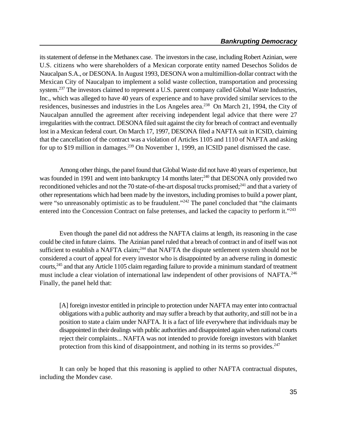its statement of defense in the Methanex case. The investors in the case, including Robert Azinian, were U.S. citizens who were shareholders of a Mexican corporate entity named Desechos Solidos de Naucalpan S.A., or DESONA. In August 1993, DESONA won a multimillion-dollar contract with the Mexican City of Naucalpan to implement a solid waste collection, transportation and processing system.<sup>237</sup> The investors claimed to represent a U.S. parent company called Global Waste Industries, Inc., which was alleged to have 40 years of experience and to have provided similar services to the residences, businesses and industries in the Los Angeles area.<sup>238</sup> On March 21, 1994, the City of Naucalpan annulled the agreement after receiving independent legal advice that there were 27 irregularities with the contract. DESONA filed suit against the city for breach of contract and eventually lost in a Mexican federal court. On March 17, 1997, DESONA filed a NAFTA suit in ICSID, claiming that the cancellation of the contract was a violation of Articles 1105 and 1110 of NAFTA and asking for up to \$19 million in damages.<sup>239</sup> On November 1, 1999, an ICSID panel dismissed the case.

Among other things, the panel found that Global Waste did not have 40 years of experience, but was founded in 1991 and went into bankruptcy 14 months later;<sup>240</sup> that DESONA only provided two reconditioned vehicles and not the 70 state-of-the-art disposal trucks promised;<sup>241</sup> and that a variety of other representations which had been made by the investors, including promises to build a power plant, were "so unreasonably optimistic as to be fraudulent."<sup> $242$ </sup> The panel concluded that "the claimants" entered into the Concession Contract on false pretenses, and lacked the capacity to perform it."<sup>243</sup>

Even though the panel did not address the NAFTA claims at length, its reasoning in the case could be cited in future claims. The Azinian panel ruled that a breach of contract in and of itself was not sufficient to establish a NAFTA claim;  $244$  that NAFTA the dispute settlement system should not be considered a court of appeal for every investor who is disappointed by an adverse ruling in domestic courts,<sup>245</sup> and that any Article 1105 claim regarding failure to provide a minimum standard of treatment must include a clear violation of international law independent of other provisions of NAFTA.<sup>246</sup> Finally, the panel held that:

[A] foreign investor entitled in principle to protection under NAFTA may enter into contractual obligations with a public authority and may suffer a breach by that authority, and still not be in a position to state a claim under NAFTA*.* It is a fact of life everywhere that individuals may be disappointed in their dealings with public authorities and disappointed again when national courts reject their complaints... NAFTA was not intended to provide foreign investors with blanket protection from this kind of disappointment, and nothing in its terms so provides. $247$ 

It can only be hoped that this reasoning is applied to other NAFTA contractual disputes, including the Mondev case.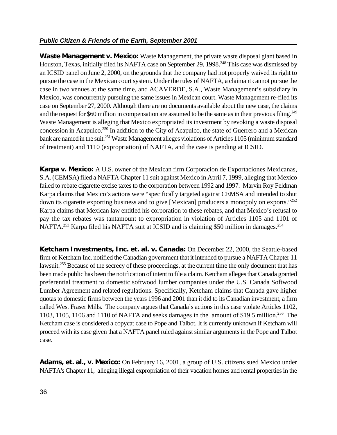**Waste Management v. Mexico:** Waste Management, the private waste disposal giant based in Houston, Texas, initially filed its NAFTA case on September 29, 1998.<sup>248</sup> This case was dismissed by an ICSID panel on June 2, 2000, on the grounds that the company had not properly waived its right to pursue the case in the Mexican court system. Under the rules of NAFTA, a claimant cannot pursue the case in two venues at the same time, and ACAVERDE, S.A., Waste Management's subsidiary in Mexico, was concurrently pursuing the same issues in Mexican court. Waste Management re-filed its case on September 27, 2000. Although there are no documents available about the new case, the claims and the request for \$60 million in compensation are assumed to be the same as in their previous filing.<sup>249</sup> Waste Management is alleging that Mexico expropriated its investment by revoking a waste disposal concession in Acapulco.<sup>250</sup> In addition to the City of Acapulco, the state of Guerrero and a Mexican bank are named in the suit.<sup>251</sup> Waste Management alleges violations of Articles 1105 (minimum standard of treatment) and 1110 (expropriation) of NAFTA, and the case is pending at ICSID.

**Karpa v. Mexico:** A U.S. owner of the Mexican firm Corporacion de Exportaciones Mexicanas, S.A. (CEMSA) filed a NAFTA Chapter 11 suit against Mexico in April 7, 1999, alleging that Mexico failed to rebate cigarette excise taxes to the corporation between 1992 and 1997. Marvin Roy Feldman Karpa claims that Mexico's actions were "specifically targeted against CEMSA and intended to shut down its cigarette exporting business and to give [Mexican] producers a monopoly on exports."<sup>252</sup> Karpa claims that Mexican law entitled his corporation to these rebates, and that Mexico's refusal to pay the tax rebates was tantamount to expropriation in violation of Articles 1105 and 1101 of NAFTA.<sup>253</sup> Karpa filed his NAFTA suit at ICSID and is claiming \$50 million in damages.<sup>254</sup>

**Ketcham Investments, Inc.** *et. al.* **v. Canada:** On December 22, 2000, the Seattle-based firm of Ketcham Inc. notified the Canadian government that it intended to pursue a NAFTA Chapter 11 lawsuit.<sup>255</sup> Because of the secrecy of these proceedings, at the current time the only document that has been made public has been the notification of intent to file a claim. Ketcham alleges that Canada granted preferential treatment to domestic softwood lumber companies under the U.S. Canada Softwood Lumber Agreement and related regulations. Specifically, Ketcham claims that Canada gave higher quotas to domestic firms between the years 1996 and 2001 than it did to its Canadian investment, a firm called West Fraser Mills. The company argues that Canada's actions in this case violate Articles 1102, 1103, 1105, 1106 and 1110 of NAFTA and seeks damages in the amount of \$19.5 million.<sup>256</sup> The Ketcham case is considered a copycat case to Pope and Talbot. It is currently unknown if Ketcham will proceed with its case given that a NAFTA panel ruled against similar arguments in the Pope and Talbot case.

**Adams, et. al., v. Mexico:** On February 16, 2001, a group of U.S. citizens sued Mexico under NAFTA's Chapter 11, alleging illegal expropriation of their vacation homes and rental properties in the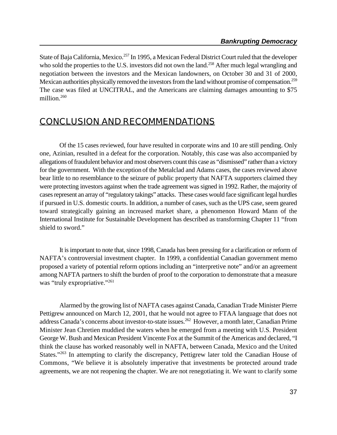State of Baja California, Mexico.<sup>257</sup> In 1995, a Mexican Federal District Court ruled that the developer who sold the properties to the U.S. investors did not own the land.<sup>258</sup> After much legal wrangling and negotiation between the investors and the Mexican landowners, on October 30 and 31 of 2000, Mexican authorities physically removed the investors from the land without promise of compensation.<sup>259</sup> The case was filed at UNCITRAL, and the Americans are claiming damages amounting to \$75 million.<sup>260</sup>

# **CONCLUSION AND RECOMMENDATIONS**

Of the 15 cases reviewed, four have resulted in corporate wins and 10 are still pending. Only one, Azinian, resulted in a defeat for the corporation. Notably, this case was also accompanied by allegations of fraudulent behavior and most observers count this case as "dismissed" rather than a victory for the government. With the exception of the Metalclad and Adams cases, the cases reviewed above bear little to no resemblance to the seizure of public property that NAFTA supporters claimed they were protecting investors against when the trade agreement was signed in 1992. Rather, the majority of cases represent an array of "regulatory takings" attacks. These cases would face significant legal hurdles if pursued in U.S. domestic courts. In addition, a number of cases, such as the UPS case, seem geared toward strategically gaining an increased market share, a phenomenon Howard Mann of the International Institute for Sustainable Development has described as transforming Chapter 11 "from shield to sword."

It is important to note that, since 1998, Canada has been pressing for a clarification or reform of NAFTA's controversial investment chapter. In 1999, a confidential Canadian government memo proposed a variety of potential reform options including an "interpretive note" and/or an agreement among NAFTA partners to shift the burden of proof to the corporation to demonstrate that a measure was "truly expropriative."<sup>261</sup>

Alarmed by the growing list of NAFTA cases against Canada, Canadian Trade Minister Pierre Pettigrew announced on March 12, 2001, that he would not agree to FTAA language that does not address Canada's concerns about investor-to-state issues.<sup>262</sup> However, a month later, Canadian Prime Minister Jean Chretien muddied the waters when he emerged from a meeting with U.S. President George W. Bush and Mexican President Vincente Fox at the Summit of the Americas and declared, "I think the clause has worked reasonably well in NAFTA, between Canada, Mexico and the United States."<sup>263</sup> In attempting to clarify the discrepancy, Pettigrew later told the Canadian House of Commons, "We believe it is absolutely imperative that investments be protected around trade agreements, we are not reopening the chapter. We are not renegotiating it. We want to clarify some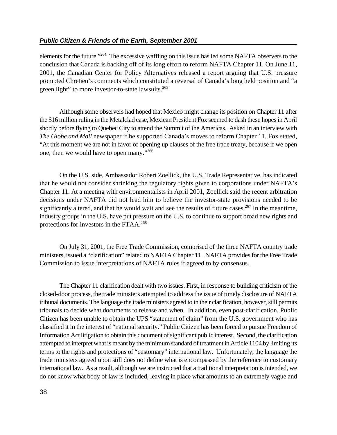elements for the future."<sup>264</sup> The excessive waffling on this issue has led some NAFTA observers to the conclusion that Canada is backing off of its long effort to reform NAFTA Chapter 11. On June 11, 2001, the Canadian Center for Policy Alternatives released a report arguing that U.S. pressure prompted Chretien's comments which constituted a reversal of Canada's long held position and "a green light" to more investor-to-state lawsuits.<sup>265</sup>

Although some observers had hoped that Mexico might change its position on Chapter 11 after the \$16 million ruling in the Metalclad case, Mexican President Fox seemed to dash these hopes in April shortly before flying to Quebec City to attend the Summit of the Americas. Asked in an interview with *The Globe and Mail* newspaper if he supported Canada's moves to reform Chapter 11, Fox stated, "At this moment we are not in favor of opening up clauses of the free trade treaty, because if we open one, then we would have to open many."<sup>266</sup>

On the U.S. side, Ambassador Robert Zoellick, the U.S. Trade Representative, has indicated that he would not consider shrinking the regulatory rights given to corporations under NAFTA's Chapter 11. At a meeting with environmentalists in April 2001, Zoellick said the recent arbitration decisions under NAFTA did not lead him to believe the investor-state provisions needed to be significantly altered, and that he would wait and see the results of future cases.<sup>267</sup> In the meantime. industry groups in the U.S. have put pressure on the U.S. to continue to support broad new rights and protections for investors in the FTAA.<sup>268</sup>

On July 31, 2001, the Free Trade Commission, comprised of the three NAFTA country trade ministers, issued a "clarification" related to NAFTA Chapter 11. NAFTA provides for the Free Trade Commission to issue interpretations of NAFTA rules if agreed to by consensus.

The Chapter 11 clarification dealt with two issues. First, in response to building criticism of the closed-door process, the trade ministers attempted to address the issue of timely disclosure of NAFTA tribunal documents. The language the trade ministers agreed to in their clarification, however, still permits tribunals to decide what documents to release and when. In addition, even post-clarification, Public Citizen has been unable to obtain the UPS "statement of claim" from the U.S. government who has classified it in the interest of "national security." Public Citizen has been forced to pursue Freedom of Information Act litigation to obtain this document of significant public interest. Second, the clarification attempted to interpret what is meant by the minimum standard of treatment in Article 1104 by limiting its terms to the rights and protections of "customary" international law. Unfortunately, the language the trade ministers agreed upon still does not define what is encompassed by the reference to customary international law. As a result, although we are instructed that a traditional interpretation is intended, we do not know what body of law is included, leaving in place what amounts to an extremely vague and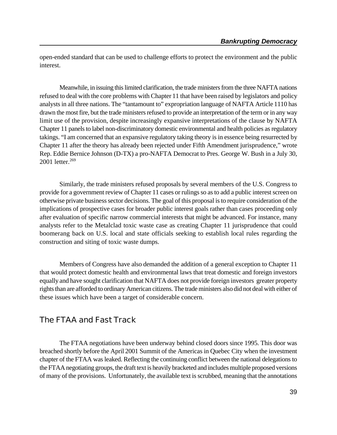open-ended standard that can be used to challenge efforts to protect the environment and the public interest.

Meanwhile, in issuing this limited clarification, the trade ministers from the three NAFTA nations refused to deal with the core problems with Chapter 11 that have been raised by legislators and policy analysts in all three nations. The "tantamount to" expropriation language of NAFTA Article 1110 has drawn the most fire, but the trade ministers refused to provide an interpretation of the term or in any way limit use of the provision, despite increasingly expansive interpretations of the clause by NAFTA Chapter 11 panels to label non-discriminatory domestic environmental and health policies as regulatory takings. "I am concerned that an expansive regulatory taking theory is in essence being resurrected by Chapter 11 after the theory has already been rejected under Fifth Amendment jurisprudence," wrote Rep. Eddie Bernice Johnson (D-TX) a pro-NAFTA Democrat to Pres. George W. Bush in a July 30, 2001 letter.<sup>269</sup>

Similarly, the trade ministers refused proposals by several members of the U.S. Congress to provide for a government review of Chapter 11 cases or rulings so as to add a public interest screen on otherwise private businesssector decisions. The goal of this proposal is to require consideration of the implications of prospective cases for broader public interest goals rather than cases proceeding only after evaluation of specific narrow commercial interests that might be advanced. For instance, many analysts refer to the Metalclad toxic waste case as creating Chapter 11 jurisprudence that could boomerang back on U.S. local and state officials seeking to establish local rules regarding the construction and siting of toxic waste dumps.

Members of Congress have also demanded the addition of a general exception to Chapter 11 that would protect domestic health and environmental laws that treat domestic and foreign investors equally and have sought clarification that NAFTA does not provide foreign investors greater property rights than are afforded to ordinary American citizens. The trade ministers also did not deal with either of these issues which have been a target of considerable concern.

# **The FTAA and Fast Track**

The FTAA negotiations have been underway behind closed doors since 1995. This door was breached shortly before the April 2001 Summit of the Americas in Quebec City when the investment chapter of the FTAA was leaked. Reflecting the continuing conflict between the national delegations to the FTAAnegotiating groups, the draft text is heavily bracketed and includes multiple proposed versions of many of the provisions. Unfortunately, the available text is scrubbed, meaning that the annotations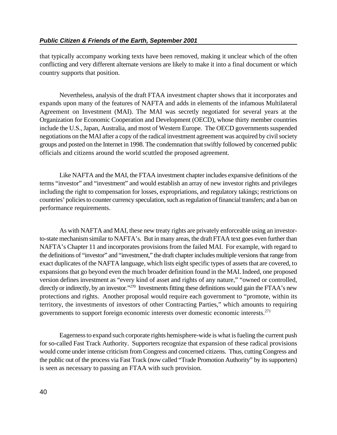that typically accompany working texts have been removed, making it unclear which of the often conflicting and very different alternate versions are likely to make it into a final document or which country supports that position.

Nevertheless, analysis of the draft FTAA investment chapter shows that it incorporates and expands upon many of the features of NAFTA and adds in elements of the infamous Multilateral Agreement on Investment (MAI). The MAI was secretly negotiated for several years at the Organization for Economic Cooperation and Development (OECD), whose thirty member countries include the U.S., Japan, Australia, and most of Western Europe. The OECD governments suspended negotiations on the MAI after a copy of the radical investment agreement was acquired by civil society groups and posted on the Internet in 1998. The condemnation that swiftly followed by concerned public officials and citizens around the world scuttled the proposed agreement.

Like NAFTA and the MAI, the FTAA investment chapter includes expansive definitions of the terms "investor" and "investment" and would establish an array of new investor rights and privileges including the right to compensation for losses, expropriations, and regulatory takings; restrictions on countries' policies to counter currency speculation, such as regulation of financial transfers; and a ban on performance requirements.

As with NAFTA and MAI, these new treaty rights are privately enforceable using an investorto-state mechanism similar to NAFTA's. But in many areas, the draft FTAA text goes even further than NAFTA's Chapter 11 and incorporates provisions from the failed MAI. For example, with regard to the definitions of "investor" and "investment," the draft chapter includes multiple versions that range from exact duplicates of the NAFTA language, which lists eight specific types of assets that are covered, to expansions that go beyond even the much broader definition found in the MAI. Indeed, one proposed version defines investment as "every kind of asset and rights of any nature," "owned or controlled, directly or indirectly, by an investor."<sup>270</sup> Investments fitting these definitions would gain the FTAA's new protections and rights. Another proposal would require each government to "promote, within its territory, the investments of investors of other Contracting Parties," which amounts to requiring governments to support foreign economic interests over domestic economic interests.<sup>271</sup>

Eagernessto expand such corporate rights hemisphere-wide is what is fueling the current push for so-called Fast Track Authority. Supporters recognize that expansion of these radical provisions would come under intense criticism from Congress and concerned citizens. Thus, cutting Congress and the public out of the process via Fast Track (now called "Trade Promotion Authority" by its supporters) is seen as necessary to passing an FTAA with such provision.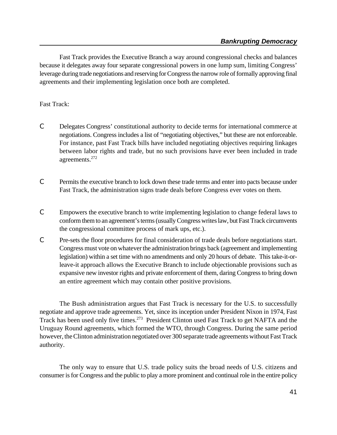Fast Track provides the Executive Branch a way around congressional checks and balances because it delegates away four separate congressional powers in one lump sum, limiting Congress' leverage during trade negotiations and reserving for Congress the narrow role of formally approving final agreements and their implementing legislation once both are completed.

#### Fast Track:

- C Delegates Congress' constitutional authority to decide terms for international commerce at negotiations. Congress includes a list of "negotiating objectives," but these are not enforceable. For instance, past Fast Track bills have included negotiating objectives requiring linkages between labor rights and trade, but no such provisions have ever been included in trade agreements.<sup>272</sup>
- C Permits the executive branch to lock down these trade terms and enter into pacts because under Fast Track, the administration signs trade deals before Congress ever votes on them.
- C Empowers the executive branch to write implementing legislation to change federal laws to conform them to an agreement's terms (usually Congress writes law, but Fast Track circumvents the congressional committee process of mark ups, etc.).
- C Pre-sets the floor procedures for final consideration of trade deals before negotiations start. Congress must vote on whatever the administration brings back (agreement and implementing legislation) within a set time with no amendments and only 20 hours of debate. This take-it-orleave-it approach allows the Executive Branch to include objectionable provisions such as expansive new investor rights and private enforcement of them, daring Congress to bring down an entire agreement which may contain other positive provisions.

The Bush administration argues that Fast Track is necessary for the U.S. to successfully negotiate and approve trade agreements. Yet, since its inception under President Nixon in 1974, Fast Track has been used only five times.<sup>273</sup> President Clinton used Fast Track to get NAFTA and the Uruguay Round agreements, which formed the WTO, through Congress. During the same period however, the Clinton administration negotiated over 300 separate trade agreements without Fast Track authority.

The only way to ensure that U.S. trade policy suits the broad needs of U.S. citizens and consumer is for Congress and the public to play a more prominent and continual role in the entire policy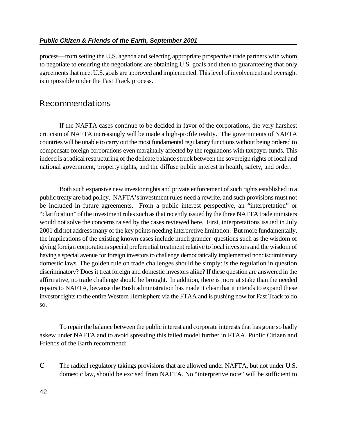#### *Public Citizen & Friends of the Earth, September 2001*

process—from setting the U.S. agenda and selecting appropriate prospective trade partners with whom to negotiate to ensuring the negotiations are obtaining U.S. goals and then to guaranteeing that only agreements that meet U.S. goals are approved and implemented. This level of involvement and oversight is impossible under the Fast Track process.

# **Recommendations**

If the NAFTA cases continue to be decided in favor of the corporations, the very harshest criticism of NAFTA increasingly will be made a high-profile reality. The governments of NAFTA countries will be unable to carry out the most fundamental regulatory functions without being ordered to compensate foreign corporations even marginally affected by the regulations with taxpayer funds. This indeed is a radical restructuring of the delicate balance struck between the sovereign rights of local and national government, property rights, and the diffuse public interest in health, safety, and order.

Both such expansive new investor rights and private enforcement of such rights established in a public treaty are bad policy. NAFTA's investment rules need a rewrite, and such provisions must not be included in future agreements. From a public interest perspective, an "interpretation" or "clarification" of the investment rules such as that recently issued by the three NAFTA trade ministers would not solve the concerns raised by the cases reviewed here. First, interpretations issued in July 2001 did not address many of the key points needing interpretive limitation. But more fundamentally, the implications of the existing known cases include much grander questions such as the wisdom of giving foreign corporations special preferential treatment relative to local investors and the wisdom of having a special avenue for foreign investors to challenge democratically implemented nondiscriminatory domestic laws. The golden rule on trade challenges should be simply: is the regulation in question discriminatory? Does it treat foreign and domestic investors alike? If these question are answered in the affirmative, no trade challenge should be brought. In addition, there is more at stake than the needed repairs to NAFTA, because the Bush administration has made it clear that it intends to expand these investor rights to the entire Western Hemisphere via the FTAA and is pushing now for Fast Track to do so.

To repair the balance between the public interest and corporate interests that has gone so badly askew under NAFTA and to avoid spreading this failed model further in FTAA, Public Citizen and Friends of the Earth recommend:

C The radical regulatory takings provisions that are allowed under NAFTA, but not under U.S. domestic law, should be excised from NAFTA. No "interpretive note" will be sufficient to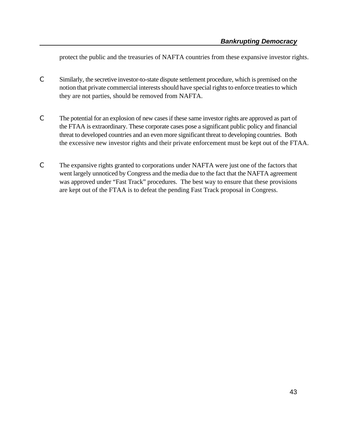protect the public and the treasuries of NAFTA countries from these expansive investor rights.

- C Similarly, the secretive investor-to-state dispute settlement procedure, which is premised on the notion that private commercial interests should have special rights to enforce treaties to which they are not parties, should be removed from NAFTA.
- C The potential for an explosion of new cases if these same investor rights are approved as part of the FTAA is extraordinary. These corporate cases pose a significant public policy and financial threat to developed countries and an even more significant threat to developing countries. Both the excessive new investor rights and their private enforcement must be kept out of the FTAA.
- C The expansive rights granted to corporations under NAFTA were just one of the factors that went largely unnoticed by Congress and the media due to the fact that the NAFTA agreement was approved under "Fast Track" procedures. The best way to ensure that these provisions are kept out of the FTAA is to defeat the pending Fast Track proposal in Congress.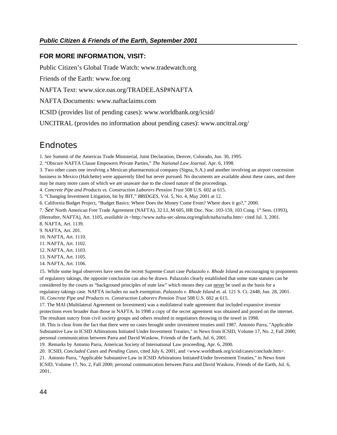#### **FOR MORE INFORMATION, VISIT:**

Public Citizen's Global Trade Watch: www.tradewatch.org

Friends of the Earth: www.foe.org

NAFTA Text: www.sice.oas.org/TRADEE.ASP#NAFTA

NAFTA Documents: www.naftaclaims.com

ICSID (provides list of pending cases): www.worldbank.org/icsid/

UNCITRAL (provides no information about pending cases): www.uncitral.org/

# **Endnotes**

1. *See* Summit of the Americas Trade Ministerial, Joint Declaration, Denver, Colorado, Jun. 30, 1995.

2. "Obscure NAFTA Clause Empowers Private Parties," *The National Law Journal*, Apr. 6, 1998.

3. Two other cases one involving a Mexican pharmaceutical company (Signa, S.A.) and another involving an airport concession business in Mexico (Halchette) were apparently filed but never pursued. No documents are available about these cases, and there may be many more cases of which we are unaware due to the closed nature of the proceedings.

4. *Concrete Pipe and Products vs. Construction Laborers Pension Trust* 508 U.S. 602 at 615.

5. "Changing Investment Litigation, bit by BIT," *BRIDGES*, Vol. 5, No. 4, May 2001 at 12.

6. California Budget Project, "Budget Basics: Where Does the Money Come From? Where does it go?," 2000.

7. *See* North American Free Trade Agreement (NAFTA), 32 I.L.M 605, HR Doc. Noc. 103-159, 103 Cong. 1<sup>st</sup> Sess. (1993),

(Hereafter, NAFTA), Art. 1105, *available in* <http://www.nafta-sec-alena.org/english/nafta/nafta.htm> cited Jul. 3, 2001.

8. NAFTA, Art. 1139.

9. NAFTA, Art. 201.

10. NAFTA, Art. 1110.

11. NAFTA, Art. 1102.

12. NAFTA, Art. 1103. 13. NAFTA, Art. 1105.

14. NAFTA, Art. 1106.

15. While some legal observers have seen the recent Supreme Court case *Palazzolo v. Rhode Island* as encouraging to proponents of regulatory takings, the opposite conclusion can also be drawn. Palazzolo clearly established that some state statutes can be considered by the courts as "background principles of state law" which means they can never be used as the basis for a regulatory takings case. NAFTA includes no such exemption. *Palazzolo v. Rhode Island* et. al. 121 S. Ct. 2448, Jun. 28, 2001.

16. Concrete Pipe and Products vs. Construction Laborers Pension Trust 508 U.S. 602 at 615.

17. The MAI (Multilateral Agreement on Investment) was a multilateral trade agreement that included expansive investor protections even broader than those in NAFTA. In 1998 a copy of the secret agreement was obtained and posted on the internet. The resultant outcry from civil society groups and others resulted in negotiators throwing in the towel in 1998.

18. This is clear from the fact that there were no cases brought under investment treaties until 1987. Antonio Parra, "Applicable Substantive Law in ICSID Arbitrations Initiated Under Investment Treaties," in News from ICSID, Volume 17, No. 2, Fall 2000; personal communication between Parra and David Waskow, Friends of the Earth, Jul. 6, 2001.

19. Remarks by Antonio Parra, American Society of International Law proceeding, Apr. 6, 2000.

20. ICSID, *Concluded Cases* and *Pending Cases*, cited July 6, 2001, and <www.worldbank.org/icsid/cases/conclude.htm>.

21. Antonio Parra, "Applicable Substantive Law in ICSID Arbitrations Initiated\Under Investment Treaties," in News from ICSID, Volume 17, No. 2, Fall 2000; personal communication between Parra and David Waskow, Friends of the Earth, Jul. 6, 2001.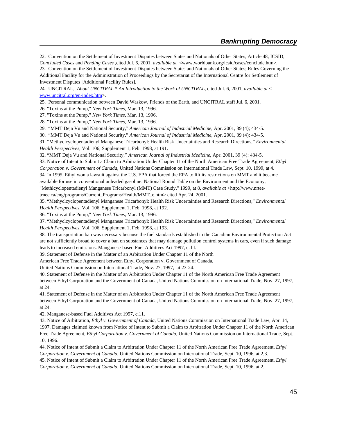22. Convention on the Settlement of Investment Disputes between States and Nationals of Other States, Article 48; ICSID, *Concluded Cases* and *Pending Cases ,*cited Jul. 6, 2001, *available at* <www.worldbank.org/icsid/cases/conclude.htm>. 23. Convention on the Settlement of Investment Disputes between States and Nationals of Other States; Rules Governing the Additional Facility for the Administration of Proceedings by the Secretariat of the International Centre for Settlement of Investment Disputes [Additional Facility Rules].

24. UNCITRAL, *About UNCITRAL \* An Introduction to the Work of UNCITRAL*, cited Jul. 6, 2001, *available at* < www.uncitral.org/en-index.htm>.

25. Personal communication between David Waskow, Friends of the Earth, and UNCITRAL staff Jul. 6, 2001.

26. "Toxins at the Pump," *New York Times*, Mar. 13, 1996.

27. "Toxins at the Pump," *New York Times*, Mar. 13, 1996.

28. "Toxins at the Pump," *New York Times*, Mar. 13, 1996.

29. "MMT Deja Vu and National Security," *American Journal of Industrial Medicine*, Apr. 2001, 39 (4); 434-5.

30. "MMT Deja Vu and National Security," *American Journal of Industrial Medicine*, Apr. 2001, 39 (4); 434-5.

31. "Methyclcyclopentadienyl Manganese Tricarbonyl: Health Risk Uncertainties and Research Directions," *Environmental Health Perspectives*, Vol. 106, Supplement 1, Feb. 1998, at 191.

32. "MMT Deja Vu and National Security," *American Journal of Industrial Medicine*, Apr. 2001, 39 (4): 434-5.

33. Notice of Intent to Submit a Claim to Arbitration Under Chapter 11 of the North American Free Trade Agreement, *Ethyl Corporation v. Government of Canada*, United Nations Commission on International Trade Law, Sept. 10, 1999, at 4.

34. In 1995, Ethyl won a lawsuit against the U.S. EPA that forced the EPA to lift its restrictions on MMT and it became available for use in conventional unleaded gasoline. National Round Table on the Environment and the Economy,

"Methlcyclopentadienyl Manganese Tricarbonyl (MMT) Case Study," 1999, at 8, *available at* <http://www.nrteetrnee.ca/eng/programs/Current\_Programs/Health/MMT\_e.htm> cited Apr. 24, 2001.

35. "Methyclcyclopentadienyl Manganese Tricarbonyl: Health Risk Uncertainties and Research Directions," *Environmental Health Perspectives*, Vol. 106, Supplement 1, Feb. 1998, at 192.

36. "Toxins at the Pump," *New York Times*, Mar. 13, 1996.

37. "Methyclcyclopentadienyl Manganese Tricarbonyl: Health Risk Uncertainties and Research Directions," *Environmental Health Perspectives*, Vol. 106, Supplement 1, Feb. 1998, at 193.

38. The transportation ban was necessary because the fuel standards established in the Canadian Environmental Protection Act are not sufficiently broad to cover a ban on substances that may damage pollution control systems in cars, even if such damage leads to increased emissions. Manganese-based Fuel Additives Act 1997, c. l l.

39. Statement of Defense in the Matter of an Arbitration Under Chapter 11 of the North

American Free Trade Agreement between Ethyl Corporation v. Government of Canada,

United Nations Commission on International Trade, Nov. 27, 1997, at 23-24*.*

40. Statement of Defense in the Matter of an Arbitration Under Chapter 11 of the North American Free Trade Agreement between Ethyl Corporation and the Government of Canada, United Nations Commission on International Trade, Nov. 27, 1997, at 24.

41. Statement of Defense in the Matter of an Arbitration Under Chapter 11 of the North American Free Trade Agreement between Ethyl Corporation and the Government of Canada, United Nations Commission on International Trade, Nov. 27, 1997, at 24.

42. Manganese-based Fuel Additives Act 1997, c.11.

43. Notice of Arbitration, *Ethyl v. Government of Canada*, United Nations Commission on International Trade Law, Apr. 14, 1997. Damages claimed known from Notice of Intent to Submit a Claim to Arbitration Under Chapter 11 of the North American Free Trade Agreement, *Ethyl Corporation v. Government of Canada*, United Nations Commission on International Trade, Sept. 10, 1996.

44. Notice of Intent of Submit a Claim to Arbitration Under Chapter 11 of the North American Free Trade Agreement, *Ethyl Corporation v. Government of Canada*, United Nations Commission on International Trade, Sept. 10, 1996, at 2,3.

45. Notice of Intent of Submit a Claim to Arbitration Under Chapter 11 of the North American Free Trade Agreement, *Ethyl Corporation v. Government of Canada*, United Nations Commission on International Trade, Sept. 10, 1996, at 2.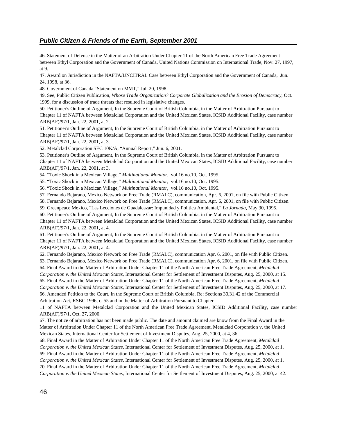#### *Public Citizen & Friends of the Earth, September 2001*

46. Statement of Defense in the Matter of an Arbitration Under Chapter 11 of the North American Free Trade Agreement between Ethyl Corporation and the Government of Canada, United Nations Commission on International Trade, Nov. 27, 1997, at 9.

47. Award on Jurisdiction in the NAFTA/UNCITRAL Case between Ethyl Corporation and the Government of Canada, Jun. 24, 1998, at 36.

48. Government of Canada "Statement on MMT," Jul. 20, 1998.

49. See, Public Citizen Publication, *Whose Trade Organization? Corporate Globalization and the Erosion of Democracy*, Oct. 1999, for a discussion of trade threats that resulted in legislative changes.

50. Petitioner's Outline of Argument, In the Supreme Court of British Columbia, in the Matter of Arbitration Pursuant to Chapter 11 of NAFTA between Metalclad Corporation and the United Mexican States, ICSID Additional Facility, case number ARB(AF)/97/1, Jan. 22, 2001, at 2.

51. Petitioner's Outline of Argument, In the Supreme Court of British Columbia, in the Matter of Arbitration Pursuant to Chapter 11 of NAFTA between Metalclad Corporation and the United Mexican States, ICSID Additional Facility, case number ARB(AF)/97/1, Jan. 22, 2001, at 3.

52. Metalclad Corporation SEC 10K/A, "Annual Report," Jun. 6, 2001.

53. Petitioner's Outline of Argument, In the Supreme Court of British Columbia, in the Matter of Arbitration Pursuant to Chapter 11 of NAFTA between Metalclad Corporation and the United Mexican States, ICSID Additional Facility, case number ARB(AF)/97/1, Jan. 22, 2001, at 3.

54. "Toxic Shock in a Mexican Village," *Multinational Monitor*, vol.16 no.10, Oct. 1995.

55. "Toxic Shock in a Mexican Village," *Multinational Monitor*, vol.16 no.10, Oct. 1995.

56. "Toxic Shock in a Mexican Village," *Multinational Monitor*, vol.16 no.10, Oct. 1995.

57. Fernando Bejarano, Mexico Network on Free Trade (RMALC), communication, Apr. 6, 2001, on file with Public Citizen.

58. Fernando Bejarano, Mexico Network on Free Trade (RMALC), communication, Apr. 6, 2001, on file with Public Citizen.

59. Greenpeace Mexico, "Las Lecciones de Guadalcazar: Impunidad y Politica Ambiental," *La Jornada*, May 30, 1995.

60. Petitioner's Outline of Argument, In the Supreme Court of British Columbia, in the Matter of Arbitration Pursuant to Chapter 11 of NAFTA between Metalclad Corporation and the United Mexican States, ICSID Additional Facility, case number ARB(AF)/97/1, Jan. 22, 2001, at 4.

61. Petitioner's Outline of Argument, In the Supreme Court of British Columbia, in the Matter of Arbitration Pursuant to Chapter 11 of NAFTA between Metalclad Corporation and the United Mexican States, ICSID Additional Facility, case number ARB(AF)/97/1, Jan. 22, 2001, at 4.

62. Fernando Bejarano, Mexico Network on Free Trade (RMALC), communication Apr. 6, 2001, on file with Public Citizen.

63. Fernando Bejarano, Mexico Network on Free Trade (RMALC), communication Apr. 6, 2001, on file with Public Citizen. 64. Final Award in the Matter of Arbitration Under Chapter 11 of the North American Free Trade Agreement, *Metalclad*

*Corporation v. the United Mexican States*, International Center for Settlement of Investment Disputes, Aug. 25, 2000, at 15.

65. Final Award in the Matter of Arbitration Under Chapter 11 of the North American Free Trade Agreement, *Metalclad Corporation v. the United Mexican States*, International Center for Settlement of Investment Disputes, Aug. 25, 2000, at 17. 66. Amended Petition to the Court, In the Supreme Court of British Columbia, Re: Sections 30,31,42 of the Commercial Arbitration Act, RSBC 1996, c. 55 and in the Matter of Arbitration Pursuant to Chapter

11 of NAFTA between Metalclad Corporation and the United Mexican States, ICSID Additional Facility, case number ARB(AF)/97/1, Oct. 27, 2000.

67. The notice of arbitration has not been made public. The date and amount claimed are know from the Final Award in the Matter of Arbitration Under Chapter 11 of the North American Free Trade Agreement, Metalclad Corporation v. the United Mexican States, International Center for Settlement of Investment Disputes, Aug. 25, 2000, at 4, 36.

68. Final Award in the Matter of Arbitration Under Chapter 11 of the North American Free Trade Agreement, *Metalclad Corporation v. the United Mexican States*, International Center for Settlement of Investment Disputes, Aug. 25, 2000, at 1.

69. Final Award in the Matter of Arbitration Under Chapter 11 of the North American Free Trade Agreement, *Metalclad Corporation v. the United Mexican States*, International Center for Settlement of Investment Disputes, Aug. 25, 2000, at 1. 70. Final Award in the Matter of Arbitration Under Chapter 11 of the North American Free Trade Agreement, *Metalclad Corporation v. the United Mexican States*, International Center for Settlement of Investment Disputes, Aug. 25, 2000, at 42.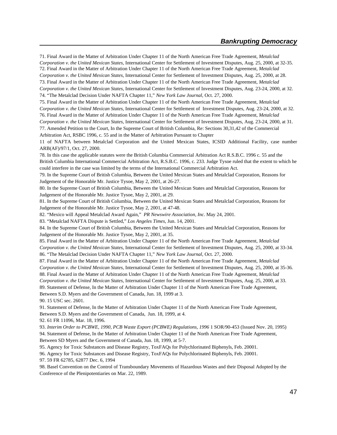71. Final Award in the Matter of Arbitration Under Chapter 11 of the North American Free Trade Agreement, *Metalclad Corporation v. the United Mexican States*, International Center for Settlement of Investment Disputes, Aug. 25, 2000, at 32-35. 72. Final Award in the Matter of Arbitration Under Chapter 11 of the North American Free Trade Agreement, *Metalclad Corporation v. the United Mexican States*, International Center for Settlement of Investment Disputes, Aug. 25, 2000, at 28. 73. Final Award in the Matter of Arbitration Under Chapter 11 of the North American Free Trade Agreement, *Metalclad Corporation v. the United Mexican States*, International Center for Settlement of Investment Disputes, Aug. 23-24, 2000, at 32. 74. "The Metalclad Decision Under NAFTA Chapter 11," *New York Law Journal*, Oct. 27, 2000.

75. Final Award in the Matter of Arbitration Under Chapter 11 of the North American Free Trade Agreement, *Metalclad Corporation v. the United Mexican States*, International Center for Settlement of Investment Disputes, Aug. 23-24, 2000, at 32. 76. Final Award in the Matter of Arbitration Under Chapter 11 of the North American Free Trade Agreement, *Metalclad Corporation v. the United Mexican States*, International Center for Settlement of Investment Disputes, Aug. 23-24, 2000, at 31. 77. Amended Petition to the Court, In the Supreme Court of British Columbia, Re: Sections 30,31,42 of the Commercial

Arbitration Act, RSBC 1996, c. 55 and in the Matter of Arbitration Pursuant to Chapter

11 of NAFTA between Metalclad Corporation and the United Mexican States, ICSID Additional Facility, case number ARB(AF)/97/1, Oct. 27, 2000.

78. In this case the applicable statutes were the British Columbia Commercial Arbitration Act R.S.B.C. 1996 c. 55 and the British Columbia International Commercial Arbitration Act, R.S.B.C. 1996, c. 233. Judge Tysoe ruled that the extent to which he could interfere in the case was limited by the terms of the International Commercial Arbitration Act.

79. In the Supreme Court of British Columbia, Between the United Mexican States and Metalclad Corporation, Reasons for Judgement of the Honorable Mr. Justice Tysoe, May 2, 2001, at 26-27.

80. In the Supreme Court of British Columbia, Between the United Mexican States and Metalclad Corporation, Reasons for Judgement of the Honorable Mr. Justice Tysoe, May 2, 2001, at 29.

81. In the Supreme Court of British Columbia, Between the United Mexican States and Metalclad Corporation, Reasons for Judgement of the Honorable Mr. Justice Tysoe, May 2, 2001, at 47-48.

82. "Mexico will Appeal Metalclad Award Again," *PR Newswire Association, Inc*. May 24, 2001.

83. "Metalclad NAFTA Dispute is Settled," *Los Angeles Times*, Jun. 14, 2001.

84. In the Supreme Court of British Columbia, Between the United Mexican States and Metalclad Corporation, Reasons for Judgement of the Honorable Mr. Justice Tysoe, May 2, 2001, at 35.

85. Final Award in the Matter of Arbitration Under Chapter 11 of the North American Free Trade Agreement, *Metalclad Corporation v. the United Mexican States*, International Center for Settlement of Investment Disputes, Aug. 25, 2000, at 33-34. 86. "The Metalclad Decision Under NAFTA Chapter 11," *New York Law Journal*, Oct. 27, 2000.

87. Final Award in the Matter of Arbitration Under Chapter 11 of the North American Free Trade Agreement, *Metalclad Corporation v. the United Mexican States*, International Center for Settlement of Investment Disputes, Aug. 25, 2000, at 35-36. 88. Final Award in the Matter of Arbitration Under Chapter 11 of the North American Free Trade Agreement, *Metalclad Corporation v. the United Mexican States*, International Center for Settlement of Investment Disputes, Aug. 25, 2000, at 33. 89. Statement of Defense, In the Matter of Arbitration Under Chapter 11 of the North American Free Trade Agreement, Between S.D. Myers and the Government of Canada, Jun. 18, 1999 at 3.

90. 15 USC sec. 2601.

91. Statement of Defense, In the Matter of Arbitration Under Chapter 11 of the North American Free Trade Agreement, Between S.D. Myers and the Government of Canada, Jun. 18, 1999, at 4.

92. 61 FR 11096, Mar. 18, 1996.

93. *Interim Order to PCBWE, 1990, PCB Waste Export (PCBWE) Regulations, 1996* 1 SOR/90-453 (Issued Nov. 20, 1995) 94. Statement of Defense, In the Matter of Arbitration Under Chapter 11 of the North American Free Trade Agreement, Between SD Myers and the Government of Canada, Jun. 18, 1999, at 5-7.

95. Agency for Toxic Substances and Disease Registry, ToxFAQs for Polychlorinated Biphenyls, Feb. 20001.

96. Agency for Toxic Substances and Disease Registry, ToxFAQs for Polychlorinated Biphenyls, Feb. 20001.

97. 59 FR 62785, 62877 Dec. 6, 1994

98. Basel Convention on the Control of Transboundary Movements of Hazardous Wastes and their Disposal Adopted by the Conference of the Plenipotentiaries on Mar. 22, 1989.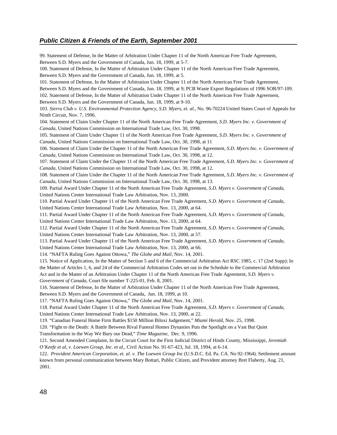#### *Public Citizen & Friends of the Earth, September 2001*

99. Statement of Defense, In the Matter of Arbitration Under Chapter 11 of the North American Free Trade Agreement, Between S.D. Myers and the Government of Canada, Jun. 18, 1999, at 5-7. 100. Statement of Defense, In the Matter of Arbitration Under Chapter 11 of the North American Free Trade Agreement, Between S.D. Myers and the Government of Canada, Jun. 18, 1999, at 5. 101. Statement of Defense, In the Matter of Arbitration Under Chapter 11 of the North American Free Trade Agreement, Between S.D. Myers and the Government of Canada, Jun. 18, 1999, at 9; PCB Waste Export Regulations of 1996 SOR/97-109. 102. Statement of Defense, In the Matter of Arbitration Under Chapter 11 of the North American Free Trade Agreement, Between S.D. Myers and the Government of Canada, Jun. 18, 1999, at 9-10. 103. *Sierra Club v. U.S. Environmental Protection Agency, S.D. Myers, et. al.,* No. 96-70224 United States Court of Appeals for Ninth Circuit, Nov. 7, 1996. 104. Statement of Claim Under Chapter 11 of the North American Free Trade Agreement, *S.D. Myers Inc. v. Government of Canada*, United Nations Commission on International Trade Law, Oct. 30, 1998. 105. Statement of Claim Under Chapter 11 of the North American Free Trade Agreement, *S.D. Myers Inc. v. Government of Canada*, United Nations Commission on International Trade Law, Oct. 30, 1998, at 11 106. Statement of Claim Under the Chapter 11 of the North American Free Trade Agreement, *S.D. Myers Inc. v. Government of Canada*, United Nations Commission on International Trade Law, Oct. 30, 1998, at 12. 107. Statement of Claim Under the Chapter 11 of the North American Free Trade Agreement, *S.D. Myers Inc. v. Government of Canada*, United Nations Commission on International Trade Law, Oct. 30, 1998, at 12. 108. Statement of Claim Under the Chapter 11 of the North American Free Trade Agreement, *S.D. Myers Inc. v. Government of Canada,* United Nations Commission on International Trade Law, Oct. 30, 1998, at 13. 109. Partial Award Under Chapter 11 of the North American Free Trade Agreement, *S.D. Myers v. Government of Canada*, United Nations Center International Trade Law Arbitration, Nov. 13, 2000. 110. Partial Award Under Chapter 11 of the North American Free Trade Agreement, *S.D. Myers v. Government of Canada*, United Nations Center International Trade Law Arbitration, Nov. 13, 2000, at 64. 111. Partial Award Under Chapter 11 of the North American Free Trade Agreement, *S.D. Myers v. Government of Canada,* United Nations Center International Trade Law Arbitration, Nov. 13, 2000, at 64. 112. Partial Award Under Chapter 11 of the North American Free Trade Agreement, *S.D. Myers v. Government of Canada*, United Nations Center International Trade Law Arbitration, Nov. 13, 2000, at 57. 113. Partial Award Under Chapter 11 of the North American Free Trade Agreement, *S.D. Myers v. Government of Canada*, United Nations Center International Trade Law Arbitration, Nov. 13, 2000, at 66. 114. "NAFTA Ruling Goes Against Ottowa," *The Globe and Mail*, Nov. 14, 2001. 115. Notice of Application, In the Matter of Section 5 and 6 of the Commercial Arbitration Act RSC 1985, c. 17 (2nd Supp); In the Matter of Articles 1, 6, and 24 of the Commercial Arbitration Codes set out in the Schedule to the Commercial Arbitration Act and in the Matter of an Arbitration Under Chapter 11 of the North American Free Trade Agreement, *S.D. Myers v. Government of Canada*, Court file number T-225-01, Feb. 8, 2001. 116. Statement of Defense, In the Matter of Arbitration Under Chapter 11 of the North American Free Trade Agreement, Between S.D. Myers and the Government of Canada, Jun. 18, 1999, at 10. 117. "NAFTA Ruling Goes Against Ottowa," *The Globe and Mail*, Nov. 14, 2001. 118. Partial Award Under Chapter 11 of the North American Free Trade Agreement, *S.D. Myers v. Government of Canada*, United Nations Center International Trade Law Arbitration, Nov. 13, 2000, at 22. 119. "Canadian Funeral Home Firm Battles \$150 Million Biloxi Judgement," *Miami Herald*, Nov. 25, 1998. 120. "Fight to the Death: A Battle Between Rival Funeral Homes Dynasties Puts the Spotlight on a Vast But Quiet Transformation in the Way We Bury our Dead," *Time Magazine*, Dec. 9, 1996. 121. Second Amended Complaint, In the Circuit Court for the First Judicial District of Hinds County, Mississippi, *Jeremiah O'Keefe et al, v. Loewen Group, Inc. et al,*. Civil Action No. 91-67-423, Jul. 18, 1994, at 6-14. 122. *Provident American Corporation, et. al. v. The Loewen Group Inc* (U.S.D.C. Ed. Pa. CA. No 92-1964). Settlement amount known from personal communication between Mary Bottari, Public Citizen, and Provident attorney Bret Flaherty, Aug. 21,

2001.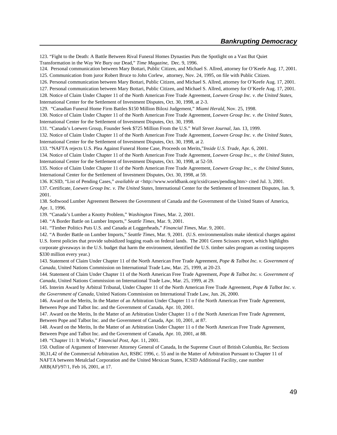123. "Fight to the Death: A Battle Between Rival Funeral Homes Dynasties Puts the Spotlight on a Vast But Quiet

Transformation in the Way We Bury our Dead," *Time Magazine*, Dec. 9, 1996.

124. Personal communication between Mary Bottari, Public Citizen, and Michael S. Allred, attorney for O'Keefe Aug. 17, 2001. 125. Communication from juror Robert Bruce to John Corlew, attorney, Nov. 24, 1995, on file with Public Citizen.

126. Personal communication between Mary Bottari, Public Citizen, and Michael S. Allred, attorney for O'Keefe Aug. 17, 2001.

127. Personal communication between Mary Bottari, Public Citizen, and Michael S. Allred, attorney for O'Keefe Aug. 17, 2001.

128. Notice of Claim Under Chapter 11 of the North American Free Trade Agreement, *Loewen Group Inc. v. the United States*, International Center for the Settlement of Investment Disputes, Oct. 30, 1998, at 2-3.

129. "Canadian Funeral Home Firm Battles \$150 Million Biloxi Judgement," *Miami Herald*, Nov. 25, 1998.

130. Notice of Claim Under Chapter 11 of the North American Free Trade Agreement, *Loewen Group Inc. v. the United States*, International Center for the Settlement of Investment Disputes, Oct. 30, 1998.

131. "Canada's Loewen Group, Founder Seek \$725 Million From the U.S." *Wall Street Journal*, Jan. 13, 1999.

132. Notice of Claim Under Chapter 11 of the North American Free Trade Agreement, *Loewen Group Inc. v. the United States*, International Center for the Settlement of Investment Disputes, Oct. 30, 1998, at 2.

133. "NAFTA rejects U.S. Plea Against Funeral Home Case, Proceeds on Merits,"*Inside U.S. Trade*, Apr. 6, 2001.

134. Notice of Claim Under Chapter 11 of the North American Free Trade Agreement, *Loewen Group Inc., v. the United States*, International Center for the Settlement of Investment Disputes, Oct. 30, 1998, at 52-59.

135. Notice of Claim Under Chapter 11 of the North American Free Trade Agreement, *Loewen Group Inc., v. the United States*, International Center for the Settlement of Investment Disputes, Oct. 30, 1998, at 59.

136. ICSID, "List of Pending Cases," *available at* <http://www.worldbank.org/icsid/cases/pending.htm> cited Jul. 3, 2001.

137. Certificate, *Loewen Group Inc. v. The United States*, International Center for the Settlement of Investment Disputes, Jan. 9, 2001.

138. Softwood Lumber Agreement Between the Government of Canada and the Government of the United States of America, Apr. 1, 1996.

139. "Canada's Lumber a Knotty Problem," *Washington Times*, Mar. 2, 2001.

140. "A Border Battle on Lumber Imports," *Seattle Times*, Mar. 9, 2001.

141. "Timber Politics Puts U.S. and Canada at Loggerheads," *Financial Times*, Mar. 9, 2001.

142. "A Border Battle on Lumber Imports," *Seattle Times*, Mar. 9, 2001. (U.S. environmentalists make identical charges against

U.S. forest policies that provide subsidized logging roads on federal lands. The 2001 Green Scissors report, which highlights corporate giveaways in the U.S. budget that harm the environment, identified the U.S. timber sales program as costing taxpayers \$330 million every year.)

143. Statement of Claim Under Chapter 11 of the North American Free Trade Agreement, *Pope & Talbot Inc. v. Government of Canada*, United Nations Commission on International Trade Law, Mar. 25, 1999, at 20-23.

144. Statement of Claim Under Chapter 11 of the North American Free Trade Agreement, *Pope & Talbot Inc. v. Government of Canada*, United Nations Commission on International Trade Law, Mar. 25, 1999, at 29.

145. Interim Award by Arbitral Tribunal, Under Chapter 11 of the North American Free Trade Agreement, *Pope & Talbot Inc. v. the Government of Canada*, United Nations Commission on International Trade Law, Jun. 26, 2000.

146. Award on the Merits, In the Matter of an Arbitration Under Chapter 11 o f the North American Free Trade Agreement, Between Pope and Talbot Inc. and the Government of Canada, Apr. 10, 2001.

147. Award on the Merits, In the Matter of an Arbitration Under Chapter 11 o f the North American Free Trade Agreement, Between Pope and Talbot Inc. and the Government of Canada, Apr. 10, 2001, at 87.

148. Award on the Merits, In the Matter of an Arbitration Under Chapter 11 o f the North American Free Trade Agreement, Between Pope and Talbot Inc. and the Government of Canada, Apr. 10, 2001, at 88.

149. "Chapter 11: It Works," *Financial Post*, Apr. 11, 2001.

150. Outline of Argument of Intervener Attorney General of Canada, In the Supreme Court of British Columbia, Re: Sections 30,31,42 of the Commercial Arbitration Act, RSBC 1996, c. 55 and in the Matter of Arbitration Pursuant to Chapter 11 of NAFTA between Metalclad Corporation and the United Mexican States, ICSID Additional Facility, case number ARB(AF)/97/1, Feb 16, 2001, at 17.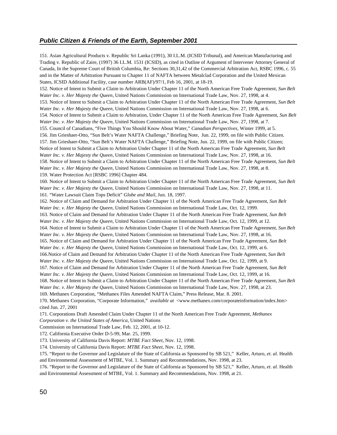#### *Public Citizen & Friends of the Earth, September 2001*

151. Asian Agricultural Products v. Republic Sri Lanka (1991), 30 I.L.M. (ICSID Tribunal), and American Manufacturing and Trading v. Republic of Zaire, (1997) 36 I.L.M. 1531 (ICSID), as cited in Outline of Argument of Intervener Attorney General of Canada, In the Supreme Court of British Columbia, Re: Sections 30,31,42 of the Commercial Arbitration Act, RSBC 1996, c. 55 and in the Matter of Arbitration Pursuant to Chapter 11 of NAFTA between Metalclad Corporation and the United Mexican States, ICSID Additional Facility, case number ARB(AF)/97/1, Feb 16, 2001, at 18-19. 152. Notice of Intent to Submit a Claim to Arbitration Under Chapter 11 of the North American Free Trade Agreement, *Sun Belt Water Inc. v. Her Majesty the Queen*, United Nations Commission on International Trade Law, Nov. 27, 1998, at 4. 153. Notice of Intent to Submit a Claim to Arbitration Under Chapter 11 of the North American Free Trade Agreement, *Sun Belt Water Inc. v. Her Majesty the Queen*, United Nations Commission on International Trade Law, Nov. 27, 1998, at 6. 154. Notice of Intent to Submit a Claim to Arbitration, Under Chapter 11 of the North American Free Trade Agreement, *Sun Belt Water Inc. v. Her Majesty the Queen*, United Nations Commission on International Trade Law, Nov. 27, 1998, at 7. 155. Council of Canadians, "Five Things You Should Know About Water," *Canadian Perspectives*, Winter 1999, at 5. 156. Jim Grieshaer-Otto, "Sun Belt's Water NAFTA Challenge," Briefing Note, Jun. 22, 1999, on file with Public Citizen. 157. Jim Grieshaer-Otto, "Sun Belt's Water NAFTA Challenge," Briefing Note, Jun. 22, 1999, on file with Public Citizen; Notice of Intent to Submit a Claim to Arbitration Under Chapter 11 of the North American Free Trade Agreement, *Sun Belt Water Inc. v. Her Majesty the Queen*, United Nations Commission on International Trade Law, Nov. 27, 1998, at 16. 158. Notice of Intent to Submit a Claim to Arbitration Under Chapter 11 of the North American Free Trade Agreement, *Sun Belt Water Inc. v. Her Majesty the Queen*, United Nations Commission on International Trade Law, Nov. 27, 1998, at 8. 159. Water Protection Act [RSBC 1996] Chapter 484. 160. Notice of Intent to Submit a Claim to Arbitration Under Chapter 11 of the North American Free Trade Agreement, *Sun Belt Water Inc. v. Her Majesty the Queen*, United Nations Commission on International Trade Law, Nov. 27, 1998, at 11. 161. "Water Lawsuit Claim Tops Deficit" *Globe and Mail*, Jun. 18, 1997. 162. Notice of Claim and Demand for Arbitration Under Chapter 11 of the North American Free Trade Agreement, *Sun Belt Water Inc. v. Her Majesty the Queen*, United Nations Commission on International Trade Law, Oct. 12, 1999. 163. Notice of Claim and Demand for Arbitration Under Chapter 11 of the North American Free Trade Agreement, *Sun Belt Water Inc. v. Her Majesty the Queen*, United Nations Commission on International Trade Law, Oct. 12, 1999, at 12. 164. Notice of Intent to Submit a Claim to Arbitration Under Chapter 11 of the North American Free Trade Agreement, *Sun Belt Water Inc. v. Her Majesty the Queen*, United Nations Commission on International Trade Law, Nov. 27, 1998, at 16. 165. Notice of Claim and Demand for Arbitration Under Chapter 11 of the North American Free Trade Agreement, *Sun Belt Water Inc. v. Her Majesty the Queen*, United Nations Commission on International Trade Law, Oct. 12, 1999, at 6. 166.Notice of Claim and Demand for Arbitration Under Chapter 11 of the North American Free Trade Agreement, *Sun Belt Water Inc. v. Her Majesty the Queen*, United Nations Commission on International Trade Law, Oct. 12, 1999, at 9. 167. Notice of Claim and Demand for Arbitration Under Chapter 11 of the North American Free Trade Agreement, *Sun Belt Water Inc. v. Her Majesty the Queen*, United Nations Commission on International Trade Law, Oct. 12, 1999, at 16. 168. Notice of Intent to Submit a Claim to Arbitration Under Chapter 11 of the North American Free Trade Agreement, *Sun Belt Water Inc. v. Her Majesty the Queen*, United Nations Commission on International Trade Law, Nov. 27, 1998, at 23. 169. Methanex Corporation, "Methanex Files Amended NAFTA Claim," Press Release, Mar. 8. 2001. 170. Methanex Corporation, "Corporate Information," *available at* <www.methanex.com/corporateinformation/index.htm> cited Jun. 27, 2001 171. Corporations Draft Amended Claim Under Chapter 11 of the North American Free Trade Agreement, *Methanex Corporation v. the United States of America*, United Nations

Commission on International Trade Law, Feb. 12, 2001, at 10-12.

172. California Executive Order D-5-99, Mar. 25, 1999.

173. University of California Davis Report: *MTBE Fact Sheet*, Nov. 12, 1998.

174. University of California Davis Report: *MTBE Fact Sheet*, Nov. 12, 1998.

175. "Report to the Governor and Legislature of the State of California as Sponsored by SB 521," Keller, Arturo, *et. al.* Health and Environmental Assessment of MTBE, Vol. 1. Summary and Recommendations, Nov. 1998, at 23.

176. "Report to the Governor and Legislature of the State of California as Sponsored by SB 521," Keller, Arturo, *et. al.* Health and Environmental Assessment of MTBE, Vol. 1. Summary and Recommendations, Nov. 1998, at 21.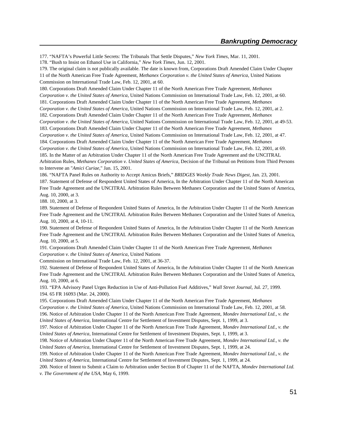177. "NAFTA's Powerful Little Secrets: The Tribunals That Settle Disputes," *New York Times*, Mar. 11, 2001.

178. "Bush to Insist on Ethanol Use in California," *New York Times*, Jun. 12, 2001.

179. The original claim is not publically available. The date is known from, Corporations Draft Amended Claim Under Chapter 11 of the North American Free Trade Agreement, *Methanex Corporation v. the United States of America*, United Nations Commission on International Trade Law, Feb. 12, 2001, at 60.

180. Corporations Draft Amended Claim Under Chapter 11 of the North American Free Trade Agreement, *Methanex Corporation v. the United States of America*, United Nations Commission on International Trade Law, Feb. 12, 2001, at 60.

181. Corporations Draft Amended Claim Under Chapter 11 of the North American Free Trade Agreement, *Methanex Corporation v. the United States of America*, United Nations Commission on International Trade Law, Feb. 12, 2001, at 2. 182. Corporations Draft Amended Claim Under Chapter 11 of the North American Free Trade Agreement, *Methanex*

*Corporation v. the United States of America*, United Nations Commission on International Trade Law, Feb. 12, 2001, at 49-53.

183. Corporations Draft Amended Claim Under Chapter 11 of the North American Free Trade Agreement, *Methanex*

*Corporation v. the United States of America*, United Nations Commission on International Trade Law, Feb. 12, 2001, at 47. 184. Corporations Draft Amended Claim Under Chapter 11 of the North American Free Trade Agreement, *Methanex*

*Corporation v. the United States of America*, United Nations Commission on International Trade Law, Feb. 12, 2001, at 69. 185. In the Matter of an Arbitration Under Chapter 11 of the North American Free Trade Agreement and the UNCITRAL Arbitration Rules, *Methanex Corporation v. United States of America*, Decision of the Tribunal on Petitions from Third Persons to Intervene an "*Amici Curiae*," Jan. 15, 2001.

186. "NAFTA Panel Rules on Authority to Accept Amicus Briefs," *BRIDGES Weekly Trade News Digest*, Jan. 23, 2001. 187. Statement of Defense of Respondent United States of America, In the Arbitration Under Chapter 11 of the North American Free Trade Agreement and the UNCITRAL Arbitration Rules Between Methanex Corporation and the United States of America, Aug. 10, 2000, at 3.

188. 10, 2000, at 3.

189. Statement of Defense of Respondent United States of America, In the Arbitration Under Chapter 11 of the North American Free Trade Agreement and the UNCITRAL Arbitration Rules Between Methanex Corporation and the United States of America, Aug. 10, 2000, at 4, 10-11.

190. Statement of Defense of Respondent United States of America, In the Arbitration Under Chapter 11 of the North American Free Trade Agreement and the UNCITRAL Arbitration Rules Between Methanex Corporation and the United States of America, Aug. 10, 2000, at 5.

191. Corporations Draft Amended Claim Under Chapter 11 of the North American Free Trade Agreement, *Methanex Corporation v. the United States of America*, United Nations

Commission on International Trade Law, Feb. 12, 2001, at 36-37.

192. Statement of Defense of Respondent United States of America, In the Arbitration Under Chapter 11 of the North American Free Trade Agreement and the UNCITRAL Arbitration Rules Between Methanex Corporation and the United States of America, Aug. 10, 2000, at 6.

193. "EPA Advisory Panel Urges Reduction in Use of Anti-Pollution Fuel Additives," *Wall Street Journal*, Jul. 27, 1999. 194. 65 FR 16093 (Mar. 24, 2000).

195. Corporations Draft Amended Claim Under Chapter 11 of the North American Free Trade Agreement, *Methanex*

*Corporation v. the United States of America*, United Nations Commission on International Trade Law, Feb. 12, 2001, at 58. 196. Notice of Arbitration Under Chapter 11 of the North American Free Trade Agreement, *Mondev International Ltd., v. the United States of America*, International Centre for Settlement of Investment Disputes, Sept. 1, 1999, at 3.

197. Notice of Arbitration Under Chapter 11 of the North American Free Trade Agreement, *Mondev International Ltd., v. the United States of America*, International Centre for Settlement of Investment Disputes, Sept. 1, 1999, at 3.

198. Notice of Arbitration Under Chapter 11 of the North American Free Trade Agreement, *Mondev International Ltd., v. the United States of America*, International Centre for Settlement of Investment Disputes, Sept. 1, 1999, at 24.

199. Notice of Arbitration Under Chapter 11 of the North American Free Trade Agreement, *Mondev International Ltd., v. the United States of America*, International Centre for Settlement of Investment Disputes, Sept. 1, 1999, at 24.

200. Notice of Intent to Submit a Claim to Arbitration under Section B of Chapter 11 of the NAFTA, *Mondev International Ltd. v. The Government of the USA*, May 6, 1999.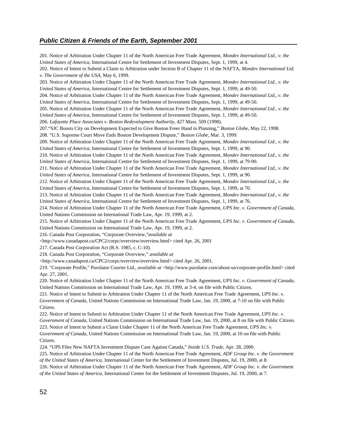#### *Public Citizen & Friends of the Earth, September 2001*

201. Notice of Arbitration Under Chapter 11 of the North American Free Trade Agreement, *Mondev International Ltd., v. the United States of America*, International Centre for Settlement of Investment Disputes, Sept. 1, 1999, at 4. 202. Notice of Intent to Submit a Claim to Arbitration under Section B of Chapter 11 of the NAFTA, *Mondev International Ltd. v. The Government of the USA*, May 6, 1999. 203. Notice of Arbitration Under Chapter 11 of the North American Free Trade Agreement, *Mondev International Ltd., v. the United States of America*, International Centre for Settlement of Investment Disputes, Sept. 1, 1999, at 49-50. 204. Notice of Arbitration Under Chapter 11 of the North American Free Trade Agreement, *Mondev International Ltd., v. the United States of America*, International Centre for Settlement of Investment Disputes, Sept. 1, 1999, at 49-50. 205. Notice of Arbitration Under Chapter 11 of the North American Free Trade Agreement, *Mondev International Ltd., v. the United States of America*, International Centre for Settlement of Investment Disputes, Sept. 1, 1999, at 49-50. 206. *Lafayette Place Associates v. Boston Redevelopment Authority*, 427 Mass. 509 (1998). 207."SJC Boosts City on Development Expected to Give Boston Freer Hand in Planning," *Boston Globe*, May 22, 1998. 208. "U.S. Supreme Court Move Ends Boston Development Dispute," *Boston Globe*, Mar. 3, 1999. 209. Notice of Arbitration Under Chapter 11 of the North American Free Trade Agreement, *Mondev International Ltd., v. the United States of America*, International Centre for Settlement of Investment Disputes, Sept. 1, 1999, at 90. 210. Notice of Arbitration Under Chapter 11 of the North American Free Trade Agreement, *Mondev International Ltd., v. the United States of America*, International Centre for Settlement of Investment Disputes, Sept. 1, 1999, at 79-90. 211. Notice of Arbitration Under Chapter 11 of the North American Free Trade Agreement, *Mondev International Ltd., v. the United States of America*, International Centre for Settlement of Investment Disputes, Sept. 1, 1999, at 90. 212. Notice of Arbitration Under Chapter 11 of the North American Free Trade Agreement, *Mondev International Ltd., v. the United States of America*, International Centre for Settlement of Investment Disputes, Sept. 1, 1999, at 70. 213. Notice of Arbitration Under Chapter 11 of the North American Free Trade Agreement, *Mondev International Ltd., v. the United States of America*, International Centre for Settlement of Investment Disputes, Sept. 1, 1999, at 76. 214. Notice of Arbitration Under Chapter 11 of the North American Free Trade Agreement, *UPS Inc. v. Government of Canada*, United Nations Commission on International Trade Law, Apr. 19, 1999, at 2. 215. Notice of Arbitration Under Chapter 11 of the North American Free Trade Agreement, *UPS Inc. v. Government of Canada*, United Nations Commission on International Trade Law, Apr. 19, 1999, at 2. 216. Canada Post Corporation, "Corporate Overview,"*available at* <http://www.canadapost.ca/CPC2/corpc/overview/overview.html> cited Apr. 26, 2001 217. Canada Post Corporation Act (R.S. 1985, c. C-10). 218. Canada Post Corporation, "Corporate Overview," *available at* <http://www.canadapost.ca/CPC2/corpc/overview/overview.html> cited Apr. 26, 2001. 219. "Corporate Profile," Purolator Courier Ltd., *available at* <http://www.purolator.com/about-us/corporate-profile.html> cited Apr. 27, 2001. 220. Notice of Arbitration Under Chapter 11 of the North American Free Trade Agreement, *UPS Inc. v. Government of Canada*, United Nations Commission on International Trade Law, Apr. 19, 1999, at 3-4, on file with Public Citizen. 221. Notice of Intent to Submit to Arbitration Under Chapter 11 of the North American Free Trade Agreement, *UPS Inc. v. Government of Canada*, United Nations Commission on International Trade Law, Jan. 19, 2000, at 7-10 on file with Public Citizen. 222. Notice of Intent to Submit to Arbitration Under Chapter 11 of the North American Free Trade Agreement, *UPS Inc. v. Government of Canada*, United Nations Commission on International Trade Law, Jan. 19, 2000, at 8 on file with Public Citizen. 223. Notice of Intent to Submit a Claim Under Chapter 11 of the North American Free Trade Agreement, *UPS Inc. v. Government of Canada*, United Nations Commission on International Trade Law, Jan. 19, 2000, at 10 on file with Public Citizen. 224. "UPS Files New NAFTA Investment Dispute Case Against Canada," *Inside U.S. Trade*, Apr. 28, 2000. 225. Notice of Arbitration Under Chapter 11 of the North American Free Trade Agreement, *ADF Group Inc. v. the Government of the United States of America*, International Center for the Settlement of Investment Disputes, Jul. 19, 2000, at 8.

226. Notice of Arbitration Under Chapter 11 of the North American Free Trade Agreement, *ADF Group Inc. v. the Government of the United States of America*, International Center for the Settlement of Investment Disputes, Jul. 19, 2000, at 7.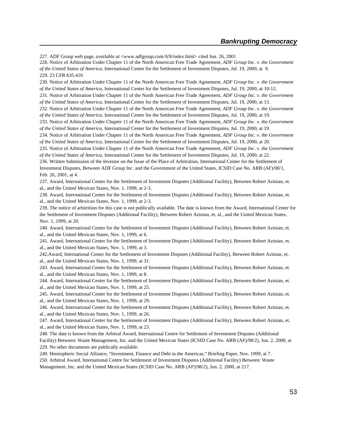227. ADF Group web page, *available at* <www.adfgroup.com/AN/index.html> cited Jun. 26, 2001 228. Notice of Arbitration Under Chapter 11 of the North American Free Trade Agreement, *ADF Group Inc. v. the Government of the United States of America*, International Center for the Settlement of Investment Disputes, Jul. 19, 2000, at 9. 229. 23 CFR 635.410

230. Notice of Arbitration Under Chapter 11 of the North American Free Trade Agreement, *ADF Group Inc. v. the Government of the United States of America*, International Center for the Settlement of Investment Disputes, Jul. 19, 2000, at 10-12.

231. Notice of Arbitration Under Chapter 11 of the North American Free Trade Agreement, *ADF Group Inc. v. the Government of the United States of America*, International Center for the Settlement of Investment Disputes, Jul. 19, 2000, at 13.

232. Notice of Arbitration Under Chapter 11 of the North American Free Trade Agreement, *ADF Group Inc. v. the Government of the United States of America*, International Center for the Settlement of Investment Disputes, Jul. 19, 2000, at 19.

233. Notice of Arbitration Under Chapter 11 of the North American Free Trade Agreement, *ADF Group Inc. v. the Government of the United States of America*, International Center for the Settlement of Investment Disputes, Jul. 19, 2000, at 19.

234. Notice of Arbitration Under Chapter 11 of the North American Free Trade Agreement, *ADF Group Inc. v. the Government of the United States of America*, International Center for the Settlement of Investment Disputes, Jul. 19, 2000, at 20.

235. Notice of Arbitration Under Chapter 11 of the North American Free Trade Agreement, *ADF Group Inc. v. the Government of the United States of America*, International Center for the Settlement of Investment Disputes, Jul. 19, 2000, at 22.

236. Written Submission of the Investor on the Issue of the Place of Arbitration, International Center for the Settlement of Investment Disputes, Between ADF Group Inc. and the Government of the United States, ICSID Case No. ARB (AF)/00/1, Feb. 26, 2001, at 4.

237. Award, International Center for the Settlement of Investment Disputes (Additional Facility), Between Robert Azinian, et. al., and the United Mexican States, Nov. 1, 1999, at 2-3.

238. Award, International Center for the Settlement of Investment Disputes (Additional Facility), Between Robert Azinian, et. al., and the United Mexican States, Nov. 1, 1999, at 2-3.

239. The notice of arbitrition for this case is not publically available. The date is known from the Award, International Center for the Settlement of Investment Disputes (Additional Facility), Between Robert Azinian, et. al., and the United Mexican States, Nov. 1, 1999, at 20.

240. Award, International Center for the Settlement of Investment Disputes (Additional Facility), Between Robert Azinian, et. al., and the United Mexican States, Nov. 1, 1999, at 6.

241. Award, International Center for the Settlement of Investment Disputes (Additional Facility), Between Robert Azinian, et. al., and the United Mexican States, Nov. 1, 1999, at 3.

242.Award, International Center for the Settlement of Investment Disputes (Additional Facility), Between Robert Azinian, et. al., and the United Mexican States, Nov. 1, 1999, at 31.

243. Award, International Center for the Settlement of Investment Disputes (Additional Facility), Between Robert Azinian, et. al., and the United Mexican States, Nov. 1, 1999, at 8.

244. Award, International Center for the Settlement of Investment Disputes (Additional Facility), Between Robert Azinian, et. al., and the United Mexican States, Nov. 1, 1999, at 25.

245. Award, International Center for the Settlement of Investment Disputes (Additional Facility), Between Robert Azinian, et. al., and the United Mexican States, Nov. 1, 1999, at 29.

246. Award, International Center for the Settlement of Investment Disputes (Additional Facility), Between Robert Azinian, et. al., and the United Mexican States, Nov. 1, 1999, at 26.

247. Award, International Center for the Settlement of Investment Disputes (Additional Facility), Between Robert Azinian, et. al., and the United Mexican States, Nov. 1, 1999, at 23.

248. The date is known from the Arbitral Award, International Centre for Settlement of Investment Disputes (Additional Facility) Between: Waste Management, Inc. and the United Mexican States (ICSID Case No. ARB (AF)/98/2), Jun. 2, 2000, at 229. No other documents are publically available.

249. Hemispheric Social Alliance, "Investment, Finance and Debt in the Americas," Briefing Paper, Nov. 1999, at 7.

250. Arbitral Award, International Centre for Settlement of Investment Disputes (Additional Facility) Between: Waste Management, Inc. and the United Mexican States (ICSID Case No. ARB (AF)/98/2), Jun. 2, 2000, at 217.